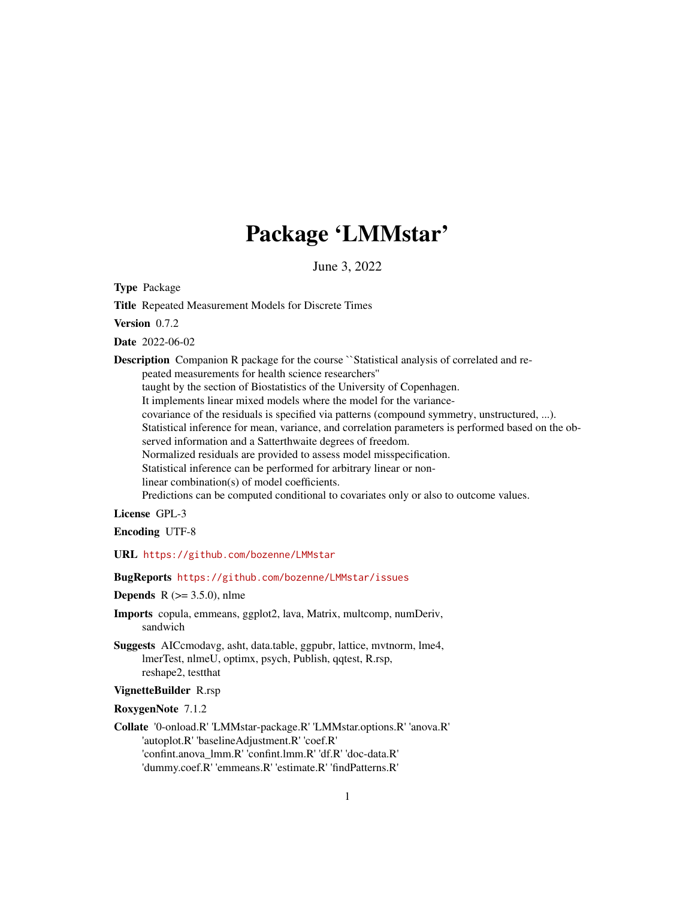# Package 'LMMstar'

June 3, 2022

Type Package

Title Repeated Measurement Models for Discrete Times

Version 0.7.2

Date 2022-06-02

**Description** Companion R package for the course ``Statistical analysis of correlated and repeated measurements for health science researchers'' taught by the section of Biostatistics of the University of Copenhagen. It implements linear mixed models where the model for the variancecovariance of the residuals is specified via patterns (compound symmetry, unstructured, ...). Statistical inference for mean, variance, and correlation parameters is performed based on the observed information and a Satterthwaite degrees of freedom. Normalized residuals are provided to assess model misspecification. Statistical inference can be performed for arbitrary linear or nonlinear combination(s) of model coefficients. Predictions can be computed conditional to covariates only or also to outcome values.

License GPL-3

Encoding UTF-8

URL <https://github.com/bozenne/LMMstar>

### BugReports <https://github.com/bozenne/LMMstar/issues>

### **Depends** R  $(>= 3.5.0)$ , nlme

- Imports copula, emmeans, ggplot2, lava, Matrix, multcomp, numDeriv, sandwich
- Suggests AICcmodavg, asht, data.table, ggpubr, lattice, mvtnorm, lme4, lmerTest, nlmeU, optimx, psych, Publish, qqtest, R.rsp, reshape2, testthat

# VignetteBuilder R.rsp

RoxygenNote 7.1.2

Collate '0-onload.R' 'LMMstar-package.R' 'LMMstar.options.R' 'anova.R' 'autoplot.R' 'baselineAdjustment.R' 'coef.R' 'confint.anova\_lmm.R' 'confint.lmm.R' 'df.R' 'doc-data.R' 'dummy.coef.R' 'emmeans.R' 'estimate.R' 'findPatterns.R'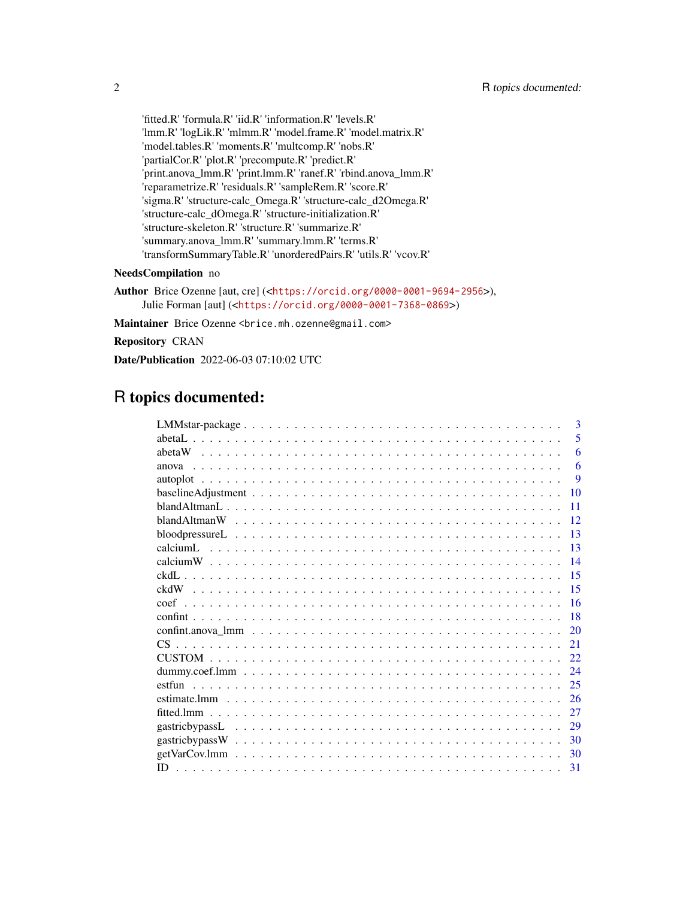'fitted.R' 'formula.R' 'iid.R' 'information.R' 'levels.R' 'lmm.R' 'logLik.R' 'mlmm.R' 'model.frame.R' 'model.matrix.R' 'model.tables.R' 'moments.R' 'multcomp.R' 'nobs.R' 'partialCor.R' 'plot.R' 'precompute.R' 'predict.R' 'print.anova\_lmm.R' 'print.lmm.R' 'ranef.R' 'rbind.anova\_lmm.R' 'reparametrize.R' 'residuals.R' 'sampleRem.R' 'score.R' 'sigma.R' 'structure-calc\_Omega.R' 'structure-calc\_d2Omega.R' 'structure-calc\_dOmega.R' 'structure-initialization.R' 'structure-skeleton.R' 'structure.R' 'summarize.R' 'summary.anova\_lmm.R' 'summary.lmm.R' 'terms.R' 'transformSummaryTable.R' 'unorderedPairs.R' 'utils.R' 'vcov.R'

# NeedsCompilation no

Author Brice Ozenne [aut, cre] (<<https://orcid.org/0000-0001-9694-2956>>), Julie Forman [aut] (<<https://orcid.org/0000-0001-7368-0869>>)

Maintainer Brice Ozenne <brice.mh.ozenne@gmail.com>

Repository CRAN

Date/Publication 2022-06-03 07:10:02 UTC

# R topics documented:

|                                                                                                                | $\mathbf{3}$ |
|----------------------------------------------------------------------------------------------------------------|--------------|
|                                                                                                                | 5            |
|                                                                                                                | 6            |
|                                                                                                                | 6            |
|                                                                                                                | 9            |
| $baselineAdjustment \dots \dots \dots \dots \dots \dots \dots \dots \dots \dots \dots \dots \dots \dots \dots$ | 10           |
|                                                                                                                | 11           |
| 12                                                                                                             |              |
|                                                                                                                | 13           |
| $\overline{13}$                                                                                                |              |
| $\overline{14}$                                                                                                |              |
| 15                                                                                                             |              |
| 15                                                                                                             |              |
| -16                                                                                                            |              |
| 18                                                                                                             |              |
|                                                                                                                | 20           |
| 21                                                                                                             |              |
|                                                                                                                |              |
|                                                                                                                |              |
|                                                                                                                |              |
|                                                                                                                | 26           |
|                                                                                                                | 27           |
|                                                                                                                | 29           |
|                                                                                                                | 30           |
| 30                                                                                                             |              |
| -31                                                                                                            |              |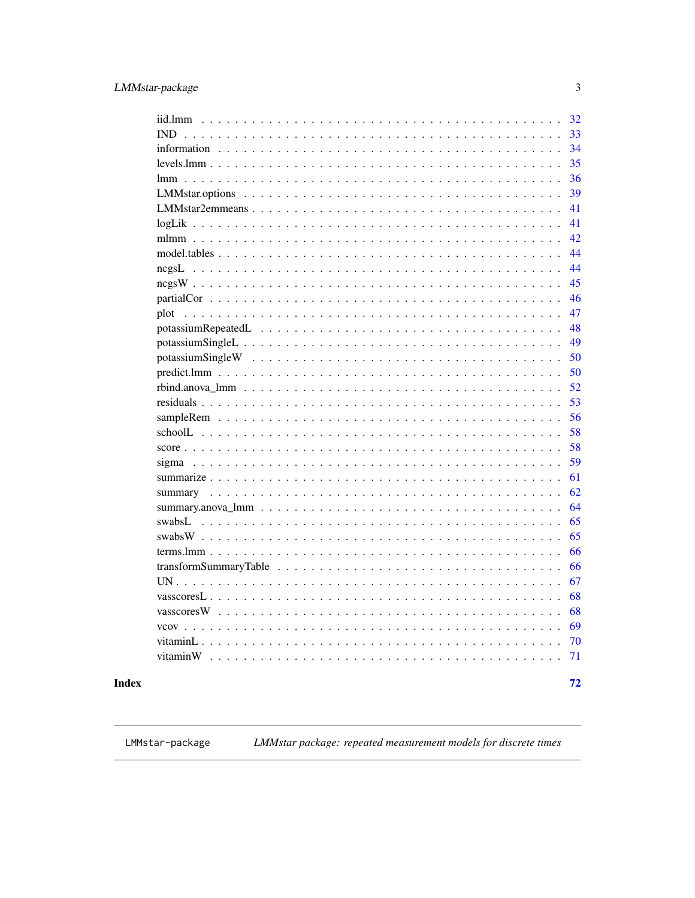<span id="page-2-0"></span>

| iid.lmm                                                                                       | 32 |
|-----------------------------------------------------------------------------------------------|----|
| <b>IND</b><br>.                                                                               | 33 |
|                                                                                               | 34 |
| $\mathbf{r}$<br>$\overline{a}$<br>$\mathbf{r}$                                                | 35 |
| $\overline{\phantom{a}}$<br>$\overline{a}$<br>$\overline{a}$                                  | 36 |
| $\ddot{\phantom{a}}$                                                                          | 39 |
|                                                                                               | 41 |
|                                                                                               | 41 |
|                                                                                               | 42 |
|                                                                                               | 44 |
|                                                                                               | 44 |
|                                                                                               | 45 |
|                                                                                               | 46 |
| plot                                                                                          | 47 |
|                                                                                               | 48 |
| potassiumSingleL                                                                              | 49 |
|                                                                                               | 50 |
|                                                                                               | 50 |
|                                                                                               | 52 |
|                                                                                               | 53 |
|                                                                                               | 56 |
|                                                                                               | 58 |
|                                                                                               | 58 |
|                                                                                               | 59 |
|                                                                                               | 61 |
|                                                                                               | 62 |
|                                                                                               | 64 |
|                                                                                               | 65 |
|                                                                                               | 65 |
|                                                                                               | 66 |
|                                                                                               | 66 |
|                                                                                               | 67 |
| vasscores $L \ldots \ldots \ldots \ldots \ldots \ldots \ldots \ldots$<br>$\ddot{\phantom{0}}$ | 68 |
| vasscores W $\ldots \ldots \ldots \ldots \ldots \ldots \ldots \ldots \ldots \ldots$           | 68 |
|                                                                                               | 69 |
| $\mathbb{R}^2$<br>$\mathbf{r}$                                                                | 70 |
| $\mathbb{R}^n$<br>$\overline{a}$<br>$\overline{a}$<br>$\mathbf{r}$                            | 71 |
|                                                                                               |    |
|                                                                                               | 72 |

# **Index**

LMMstar-package

LMMstar package: repeated measurement models for discrete times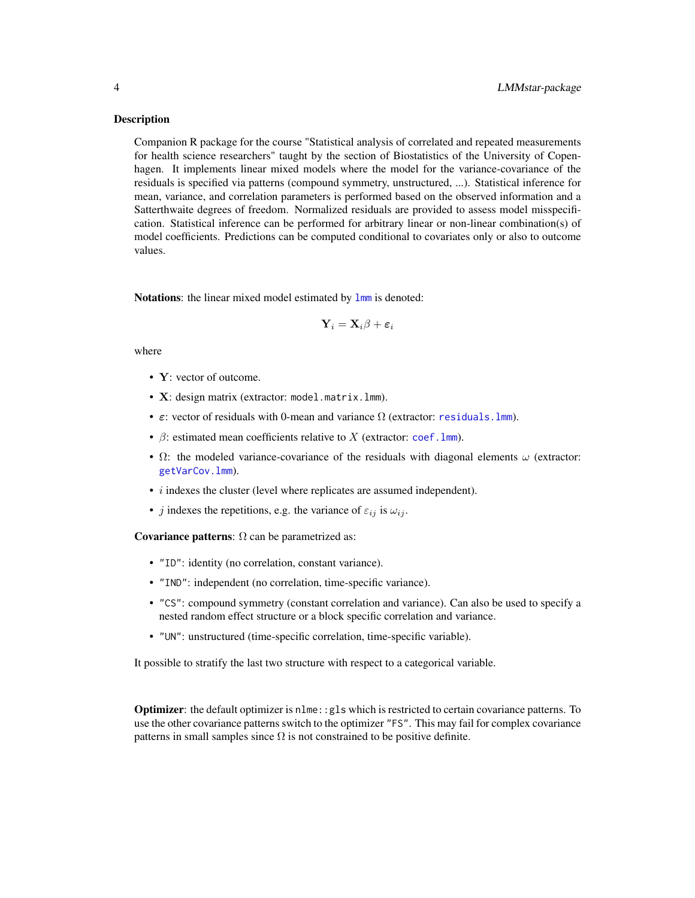Companion R package for the course "Statistical analysis of correlated and repeated measurements for health science researchers" taught by the section of Biostatistics of the University of Copenhagen. It implements linear mixed models where the model for the variance-covariance of the residuals is specified via patterns (compound symmetry, unstructured, ...). Statistical inference for mean, variance, and correlation parameters is performed based on the observed information and a Satterthwaite degrees of freedom. Normalized residuals are provided to assess model misspecification. Statistical inference can be performed for arbitrary linear or non-linear combination(s) of model coefficients. Predictions can be computed conditional to covariates only or also to outcome values.

Notations: the linear mixed model estimated by  $lmm$  is denoted:

$$
\mathbf{Y}_i = \mathbf{X}_i\beta + \boldsymbol{\varepsilon}_i
$$

where

- Y: vector of outcome.
- X: design matrix (extractor: model.matrix.lmm).
- $\varepsilon$ : vector of residuals with 0-mean and variance  $\Omega$  (extractor: residuals. lmm).
- $\beta$ : estimated mean coefficients relative to X (extractor: coef. lmm).
- $\Omega$ : the modeled variance-covariance of the residuals with diagonal elements  $\omega$  (extractor: [getVarCov.lmm](#page-29-1)).
- *i* indexes the cluster (level where replicates are assumed independent).
- j indexes the repetitions, e.g. the variance of  $\varepsilon_{ij}$  is  $\omega_{ij}$ .

Covariance patterns:  $\Omega$  can be parametrized as:

- "ID": identity (no correlation, constant variance).
- "IND": independent (no correlation, time-specific variance).
- "CS": compound symmetry (constant correlation and variance). Can also be used to specify a nested random effect structure or a block specific correlation and variance.
- "UN": unstructured (time-specific correlation, time-specific variable).

It possible to stratify the last two structure with respect to a categorical variable.

Optimizer: the default optimizer is nlme::gls which is restricted to certain covariance patterns. To use the other covariance patterns switch to the optimizer "FS". This may fail for complex covariance patterns in small samples since  $\Omega$  is not constrained to be positive definite.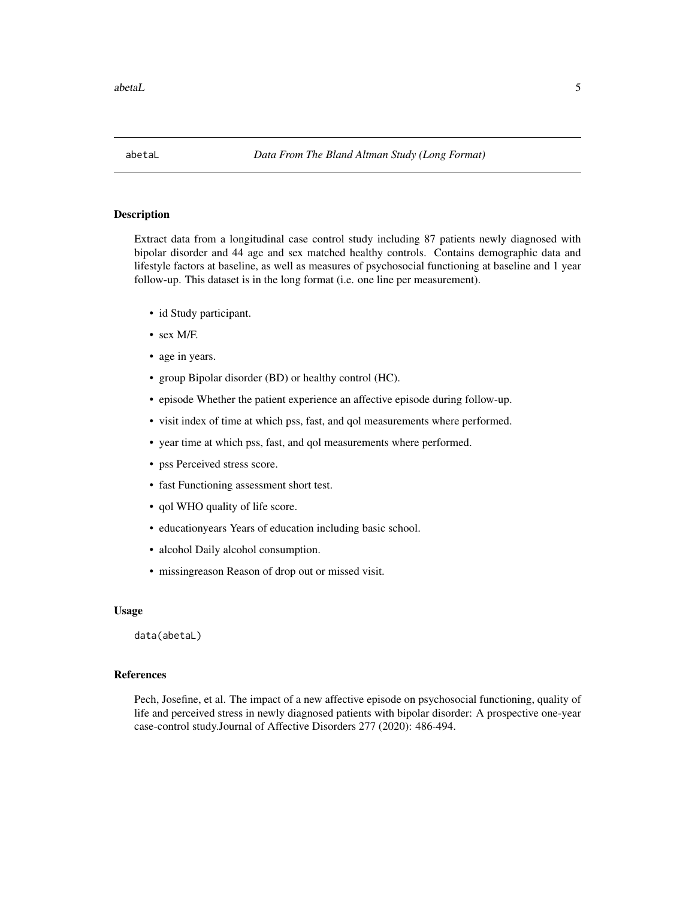<span id="page-4-0"></span>abetaL 5

### Description

Extract data from a longitudinal case control study including 87 patients newly diagnosed with bipolar disorder and 44 age and sex matched healthy controls. Contains demographic data and lifestyle factors at baseline, as well as measures of psychosocial functioning at baseline and 1 year follow-up. This dataset is in the long format (i.e. one line per measurement).

- id Study participant.
- sex M/F.
- age in years.
- group Bipolar disorder (BD) or healthy control (HC).
- episode Whether the patient experience an affective episode during follow-up.
- visit index of time at which pss, fast, and qol measurements where performed.
- year time at which pss, fast, and qol measurements where performed.
- pss Perceived stress score.
- fast Functioning assessment short test.
- qol WHO quality of life score.
- educationyears Years of education including basic school.
- alcohol Daily alcohol consumption.
- missingreason Reason of drop out or missed visit.

### Usage

data(abetaL)

# References

Pech, Josefine, et al. The impact of a new affective episode on psychosocial functioning, quality of life and perceived stress in newly diagnosed patients with bipolar disorder: A prospective one-year case-control study.Journal of Affective Disorders 277 (2020): 486-494.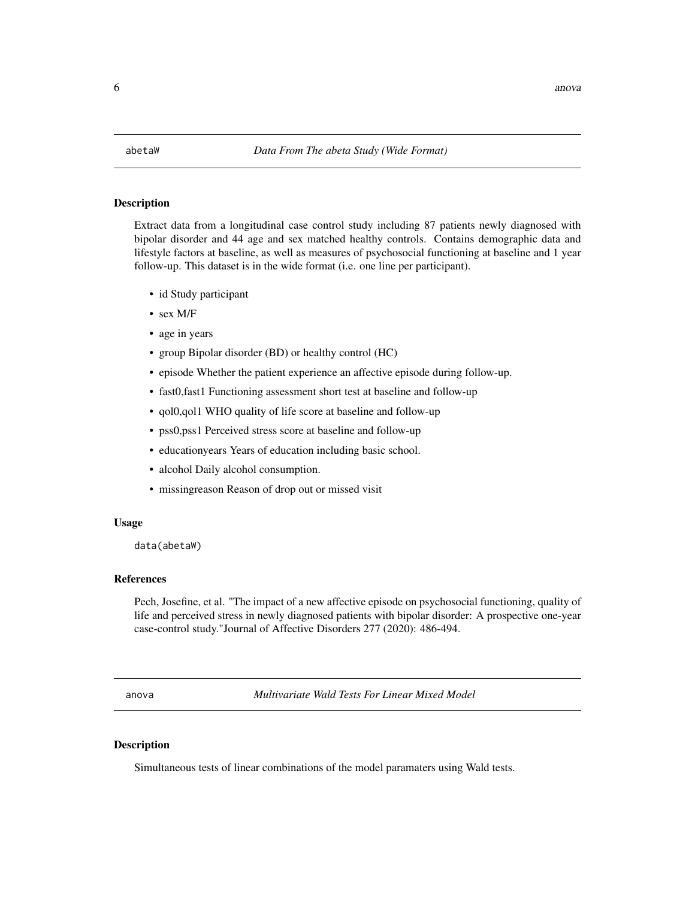<span id="page-5-0"></span>

Extract data from a longitudinal case control study including 87 patients newly diagnosed with bipolar disorder and 44 age and sex matched healthy controls. Contains demographic data and lifestyle factors at baseline, as well as measures of psychosocial functioning at baseline and 1 year follow-up. This dataset is in the wide format (i.e. one line per participant).

- id Study participant
- sex M/F
- age in years
- group Bipolar disorder (BD) or healthy control (HC)
- episode Whether the patient experience an affective episode during follow-up.
- fast0,fast1 Functioning assessment short test at baseline and follow-up
- qol0,qol1 WHO quality of life score at baseline and follow-up
- pss0,pss1 Perceived stress score at baseline and follow-up
- educationyears Years of education including basic school.
- alcohol Daily alcohol consumption.
- missingreason Reason of drop out or missed visit

#### Usage

data(abetaW)

# References

Pech, Josefine, et al. "The impact of a new affective episode on psychosocial functioning, quality of life and perceived stress in newly diagnosed patients with bipolar disorder: A prospective one-year case-control study."Journal of Affective Disorders 277 (2020): 486-494.

anova *Multivariate Wald Tests For Linear Mixed Model*

#### Description

Simultaneous tests of linear combinations of the model paramaters using Wald tests.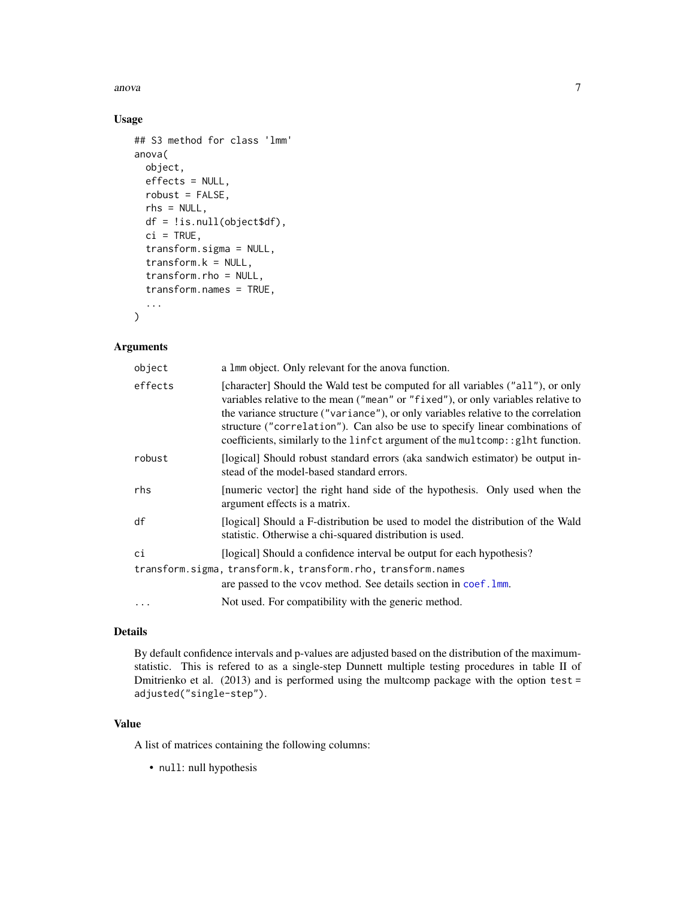anova anova anova anova anova anova anova anova anova anova anova anova anova anova anova anova anova anova an

# Usage

```
## S3 method for class 'lmm'
anova(
  object,
 effects = NULL,
  robust = FALSE,
  rhs = NULL,
  df = !is.null(object$df),
  ci = TRUE,transform.sigma = NULL,
  transform.k = NULL,
  transform.rho = NULL,
  transform.names = TRUE,
  ...
```
)

# Arguments

| object   | a 1mm object. Only relevant for the anova function.                                                                                                                                                                                                                                                                                                                                                                            |
|----------|--------------------------------------------------------------------------------------------------------------------------------------------------------------------------------------------------------------------------------------------------------------------------------------------------------------------------------------------------------------------------------------------------------------------------------|
| effects  | [character] Should the Wald test be computed for all variables ("all"), or only<br>variables relative to the mean ("mean" or "fixed"), or only variables relative to<br>the variance structure ("variance"), or only variables relative to the correlation<br>structure ("correlation"). Can also be use to specify linear combinations of<br>coefficients, similarly to the linfct argument of the multcomp: : glht function. |
| robust   | [logical] Should robust standard errors (aka sandwich estimator) be output in-<br>stead of the model-based standard errors.                                                                                                                                                                                                                                                                                                    |
| rhs      | [numeric vector] the right hand side of the hypothesis. Only used when the<br>argument effects is a matrix.                                                                                                                                                                                                                                                                                                                    |
| df       | [logical] Should a F-distribution be used to model the distribution of the Wald<br>statistic. Otherwise a chi-squared distribution is used.                                                                                                                                                                                                                                                                                    |
| сi       | [logical] Should a confidence interval be output for each hypothesis?                                                                                                                                                                                                                                                                                                                                                          |
|          | transform.sigma, transform.k, transform.rho, transform.names<br>are passed to the vcov method. See details section in coef. 1mm.                                                                                                                                                                                                                                                                                               |
| $\cdots$ | Not used. For compatibility with the generic method.                                                                                                                                                                                                                                                                                                                                                                           |

# Details

By default confidence intervals and p-values are adjusted based on the distribution of the maximumstatistic. This is refered to as a single-step Dunnett multiple testing procedures in table II of Dmitrienko et al. (2013) and is performed using the multcomp package with the option test = adjusted("single-step").

# Value

A list of matrices containing the following columns:

• null: null hypothesis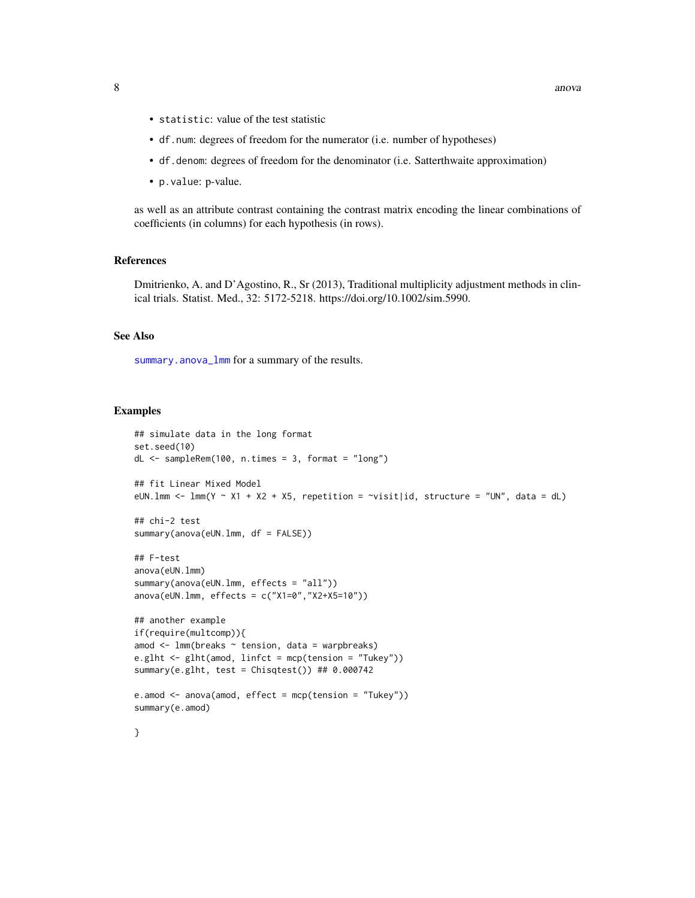- statistic: value of the test statistic
- df.num: degrees of freedom for the numerator (i.e. number of hypotheses)
- df.denom: degrees of freedom for the denominator (i.e. Satterthwaite approximation)
- p.value: p-value.

as well as an attribute contrast containing the contrast matrix encoding the linear combinations of coefficients (in columns) for each hypothesis (in rows).

### References

Dmitrienko, A. and D'Agostino, R., Sr (2013), Traditional multiplicity adjustment methods in clinical trials. Statist. Med., 32: 5172-5218. https://doi.org/10.1002/sim.5990.

### See Also

[summary.anova\\_lmm](#page-63-1) for a summary of the results.

```
## simulate data in the long format
set.seed(10)
dL <- sampleRem(100, n.times = 3, format = "long")
## fit Linear Mixed Model
eUN.1mm <- lmm(Y \sim X1 + X2 + X5, repetition = \sim visit|id, structure = "UN", data = dL)
## chi-2 test
summary(anova(eUN.lmm, df = FALSE))
## F-test
anova(eUN.lmm)
summary(anova(eUN.lmm, effects = "all"))
anova(eUN.lmm, effects = c("X1=0","X2+X5=10"))
## another example
if(require(multcomp)){
amod \leq 1mm(breaks \sim tension, data = warpbreaks)
e.glht <- glht(amod, linfct = mcp(tension = "Tukey"))
summary(e.glht, test = Chisqtest()) ## 0.000742e.amod \leq anova(amod, effect = mcp(tension = "Tukey"))
summary(e.amod)
}
```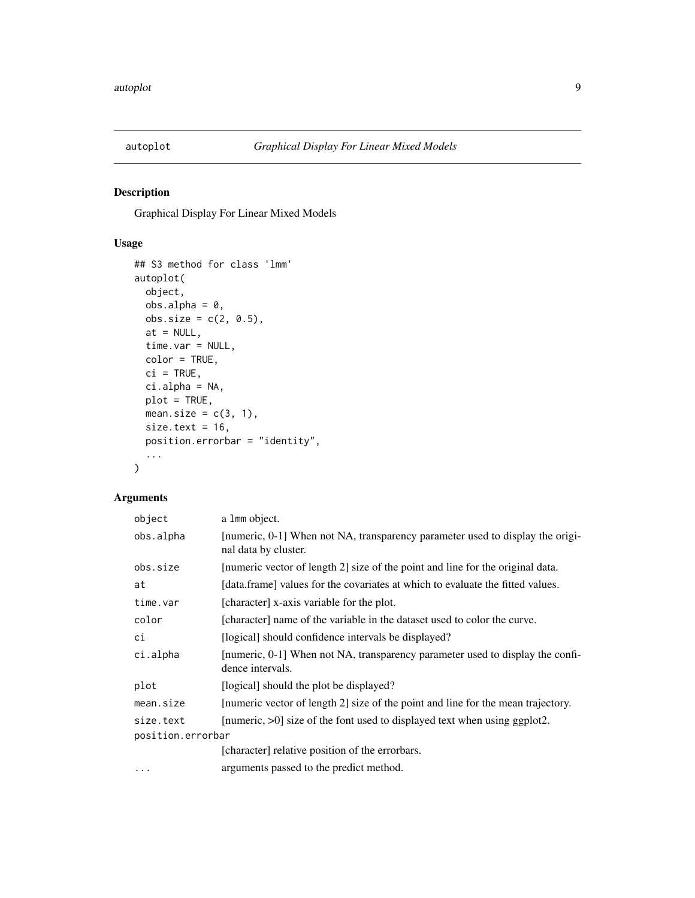<span id="page-8-0"></span>

Graphical Display For Linear Mixed Models

# Usage

```
## S3 method for class 'lmm'
autoplot(
 object,
 obs.alpha = 0,obs.size = c(2, 0.5),
 at = NULL,time.var = NULL,
 color = TRUE,
 ci = TRUE,ci.alpha = NA,
 plot = TRUE,
 mean.size = c(3, 1),
 size.text = 16,
 position.errorbar = "identity",
  ...
)
```

| object            | a 1mm object.                                                                                         |
|-------------------|-------------------------------------------------------------------------------------------------------|
| obs.alpha         | [numeric, 0-1] When not NA, transparency parameter used to display the origi-<br>nal data by cluster. |
| obs.size          | [numeric vector of length 2] size of the point and line for the original data.                        |
| at                | [data.frame] values for the covariates at which to evaluate the fitted values.                        |
| time.var          | [character] x-axis variable for the plot.                                                             |
| color             | [character] name of the variable in the dataset used to color the curve.                              |
| сi                | [logical] should confidence intervals be displayed?                                                   |
| ci.alpha          | [numeric, 0-1] When not NA, transparency parameter used to display the confi-<br>dence intervals.     |
| plot              | [logical] should the plot be displayed?                                                               |
| mean.size         | [numeric vector of length 2] size of the point and line for the mean trajectory.                      |
| size.text         | [numeric, $>0$ ] size of the font used to displayed text when using ggplot2.                          |
| position.errorbar |                                                                                                       |
|                   | [character] relative position of the errorbars.                                                       |
| $\cdots$          | arguments passed to the predict method.                                                               |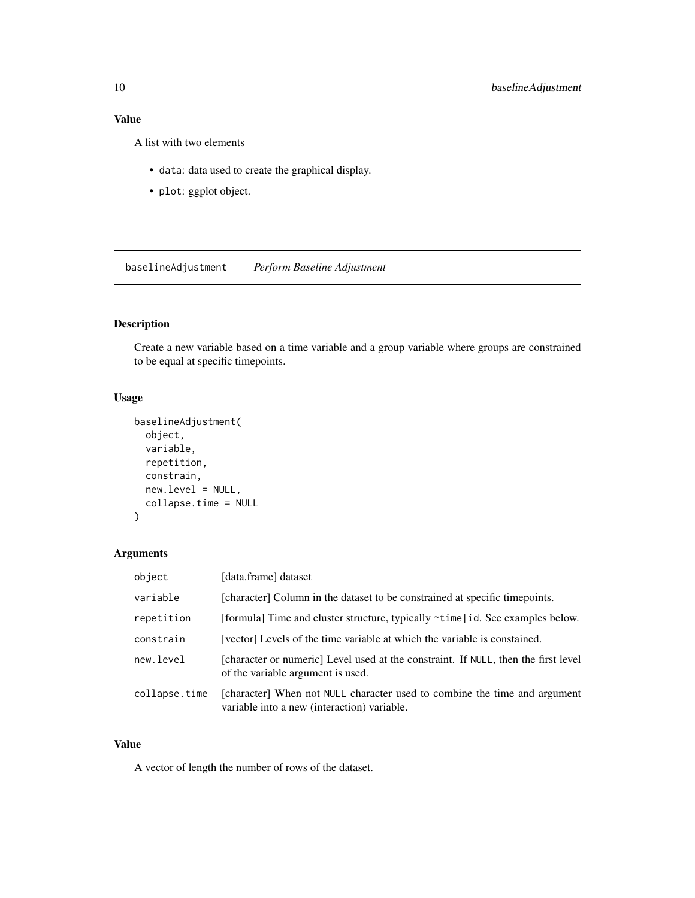# <span id="page-9-0"></span>Value

A list with two elements

- data: data used to create the graphical display.
- plot: ggplot object.

baselineAdjustment *Perform Baseline Adjustment*

# Description

Create a new variable based on a time variable and a group variable where groups are constrained to be equal at specific timepoints.

# Usage

```
baselineAdjustment(
 object,
  variable,
  repetition,
  constrain,
 new.level = NULL,
  collapse.time = NULL
)
```
### Arguments

| object        | [data.frame] dataset                                                                                                     |
|---------------|--------------------------------------------------------------------------------------------------------------------------|
| variable      | [character] Column in the dataset to be constrained at specific timepoints.                                              |
| repetition    | [formula] Time and cluster structure, typically $\sim$ time   id. See examples below.                                    |
| constrain     | [vector] Levels of the time variable at which the variable is constained.                                                |
| new.level     | [character or numeric] Level used at the constraint. If NULL, then the first level<br>of the variable argument is used.  |
| collapse.time | [character] When not NULL character used to combine the time and argument<br>variable into a new (interaction) variable. |

# Value

A vector of length the number of rows of the dataset.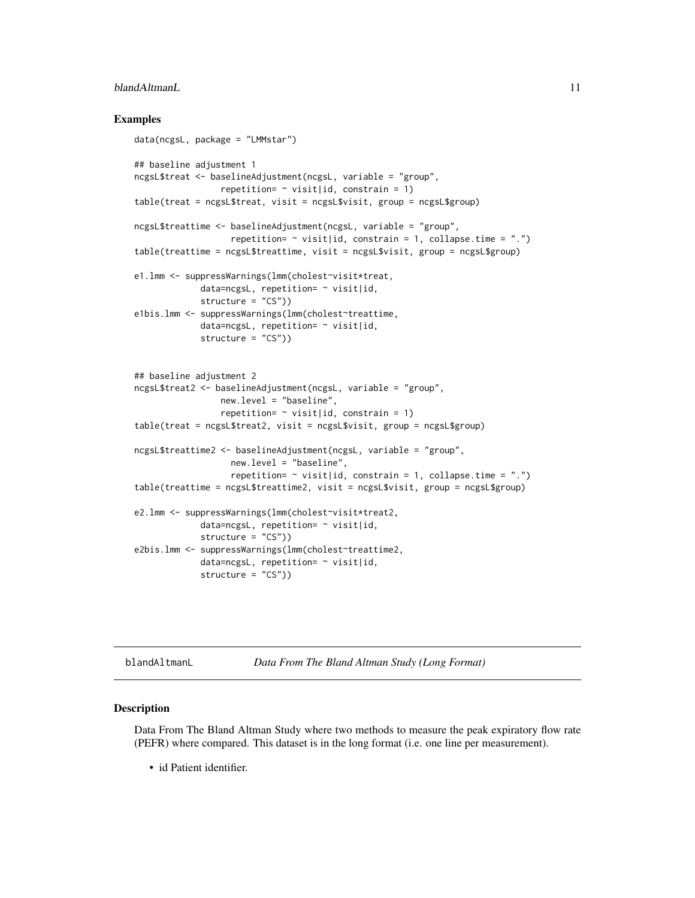## <span id="page-10-0"></span>blandAltmanL 11

### Examples

```
data(ncgsL, package = "LMMstar")
## baseline adjustment 1
ncgsL$treat <- baselineAdjustment(ncgsL, variable = "group",
                 repetition= \sim visit|id, constrain = 1)
table(treat = ncgsL$treat, visit = ncgsL$visit, group = ncgsL$group)
ncgsL$treattime <- baselineAdjustment(ncgsL, variable = "group",
                   repetition= \sim visit|id, constrain = 1, collapse.time = ".")
table(treattime = ncgsL$treattime, visit = ncgsL$visit, group = ncgsL$group)
e1.lmm <- suppressWarnings(lmm(cholest~visit*treat,
             data=ncgsL, repetition= ~ visit|id,
             structure = "CS"))
e1bis.lmm <- suppressWarnings(lmm(cholest~treattime,
             data=ncgsL, repetition= ~ visit|id,
             structure = "CS"))
## baseline adjustment 2
ncgsL$treat2 <- baselineAdjustment(ncgsL, variable = "group",
                 new.level = "baseline",
                 repetition= \sim visit|id, constrain = 1)
table(treat = ncgsL$treat2, visit = ncgsL$visit, group = ncgsL$group)
ncgsL$treattime2 <- baselineAdjustment(ncgsL, variable = "group",
                   new.level = "baseline",
                   repetition= \sim visit|id, constrain = 1, collapse.time = ".")
table(treattime = ncgsL$treattime2, visit = ncgsL$visit, group = ncgsL$group)
e2.lmm <- suppressWarnings(lmm(cholest~visit*treat2,
             data=ncgsL, repetition= ~ visit|id,
             structure = "CS"))
e2bis.lmm <- suppressWarnings(lmm(cholest~treattime2,
             data=ncgsL, repetition= ~ visit|id,
             structure = "CS"))
```
blandAltmanL *Data From The Bland Altman Study (Long Format)*

### Description

Data From The Bland Altman Study where two methods to measure the peak expiratory flow rate (PEFR) where compared. This dataset is in the long format (i.e. one line per measurement).

• id Patient identifier.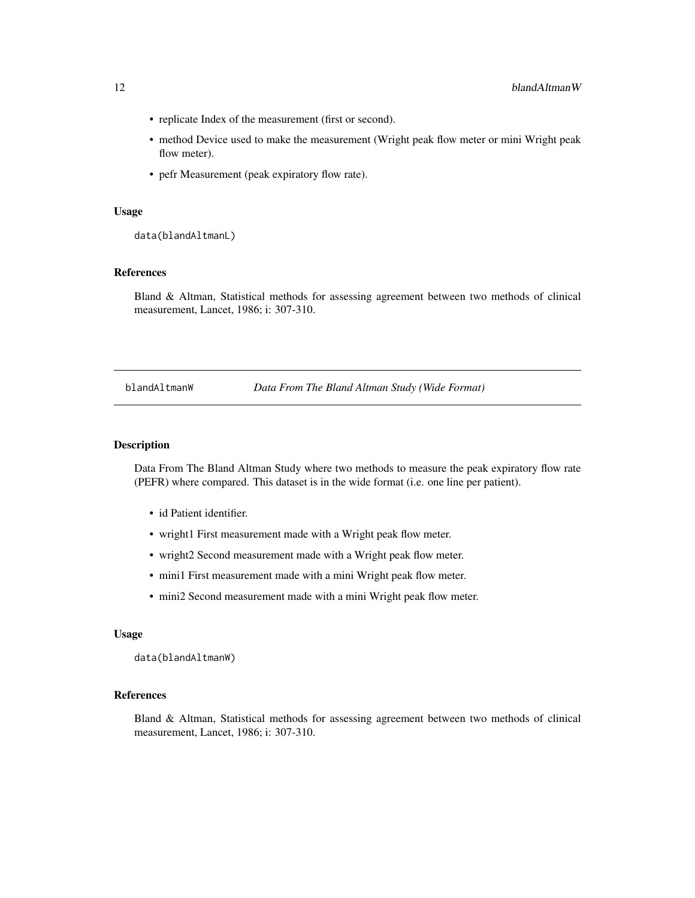- <span id="page-11-0"></span>• replicate Index of the measurement (first or second).
- method Device used to make the measurement (Wright peak flow meter or mini Wright peak flow meter).
- pefr Measurement (peak expiratory flow rate).

### Usage

data(blandAltmanL)

### References

Bland & Altman, Statistical methods for assessing agreement between two methods of clinical measurement, Lancet, 1986; i: 307-310.

blandAltmanW *Data From The Bland Altman Study (Wide Format)*

### Description

Data From The Bland Altman Study where two methods to measure the peak expiratory flow rate (PEFR) where compared. This dataset is in the wide format (i.e. one line per patient).

- id Patient identifier.
- wright1 First measurement made with a Wright peak flow meter.
- wright2 Second measurement made with a Wright peak flow meter.
- mini1 First measurement made with a mini Wright peak flow meter.
- mini2 Second measurement made with a mini Wright peak flow meter.

#### Usage

data(blandAltmanW)

### References

Bland & Altman, Statistical methods for assessing agreement between two methods of clinical measurement, Lancet, 1986; i: 307-310.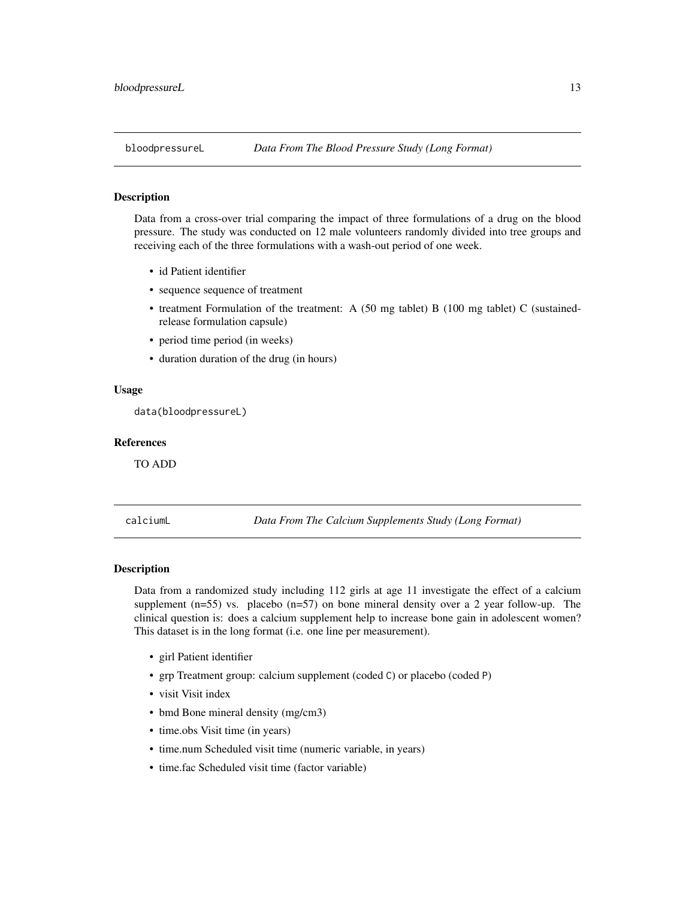<span id="page-12-0"></span>

Data from a cross-over trial comparing the impact of three formulations of a drug on the blood pressure. The study was conducted on 12 male volunteers randomly divided into tree groups and receiving each of the three formulations with a wash-out period of one week.

- id Patient identifier
- sequence sequence of treatment
- treatment Formulation of the treatment: A (50 mg tablet) B (100 mg tablet) C (sustainedrelease formulation capsule)
- period time period (in weeks)
- duration duration of the drug (in hours)

### Usage

data(bloodpressureL)

#### References

TO ADD

calciumL *Data From The Calcium Supplements Study (Long Format)*

### Description

Data from a randomized study including 112 girls at age 11 investigate the effect of a calcium supplement  $(n=55)$  vs. placebo  $(n=57)$  on bone mineral density over a 2 year follow-up. The clinical question is: does a calcium supplement help to increase bone gain in adolescent women? This dataset is in the long format (i.e. one line per measurement).

- girl Patient identifier
- grp Treatment group: calcium supplement (coded C) or placebo (coded P)
- visit Visit index
- bmd Bone mineral density (mg/cm3)
- time.obs Visit time (in years)
- time.num Scheduled visit time (numeric variable, in years)
- time.fac Scheduled visit time (factor variable)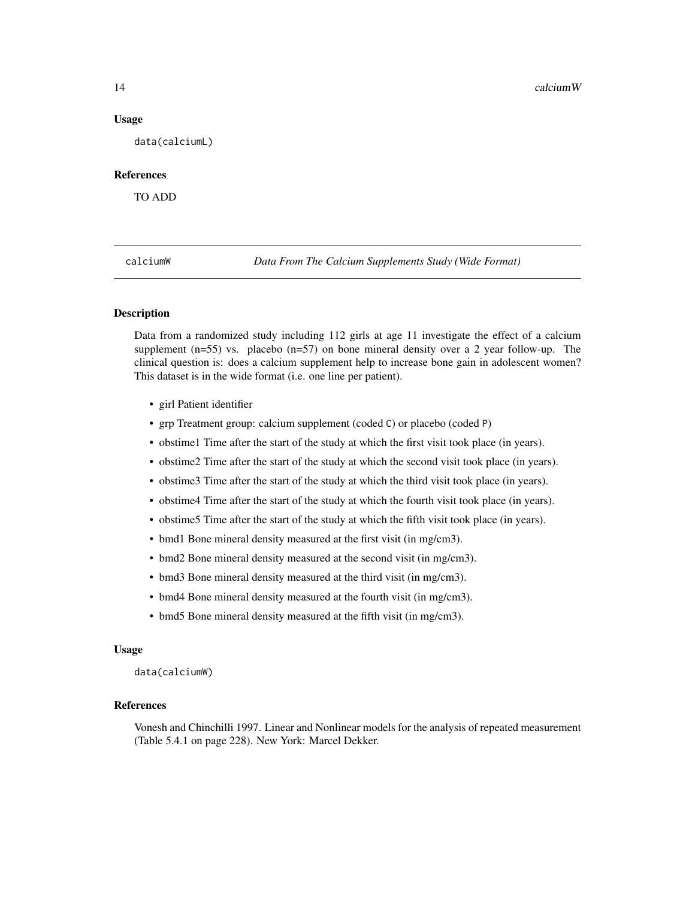#### Usage

data(calciumL)

# References

TO ADD

calciumW *Data From The Calcium Supplements Study (Wide Format)*

### Description

Data from a randomized study including 112 girls at age 11 investigate the effect of a calcium supplement  $(n=55)$  vs. placebo  $(n=57)$  on bone mineral density over a 2 year follow-up. The clinical question is: does a calcium supplement help to increase bone gain in adolescent women? This dataset is in the wide format (i.e. one line per patient).

- girl Patient identifier
- grp Treatment group: calcium supplement (coded C) or placebo (coded P)
- obstime1 Time after the start of the study at which the first visit took place (in years).
- obstime2 Time after the start of the study at which the second visit took place (in years).
- obstime3 Time after the start of the study at which the third visit took place (in years).
- obstime4 Time after the start of the study at which the fourth visit took place (in years).
- obstime5 Time after the start of the study at which the fifth visit took place (in years).
- bmd1 Bone mineral density measured at the first visit (in mg/cm3).
- bmd2 Bone mineral density measured at the second visit (in mg/cm3).
- bmd3 Bone mineral density measured at the third visit (in mg/cm3).
- bmd4 Bone mineral density measured at the fourth visit (in mg/cm3).
- bmd5 Bone mineral density measured at the fifth visit (in mg/cm3).

#### Usage

data(calciumW)

#### References

Vonesh and Chinchilli 1997. Linear and Nonlinear models for the analysis of repeated measurement (Table 5.4.1 on page 228). New York: Marcel Dekker.

<span id="page-13-0"></span>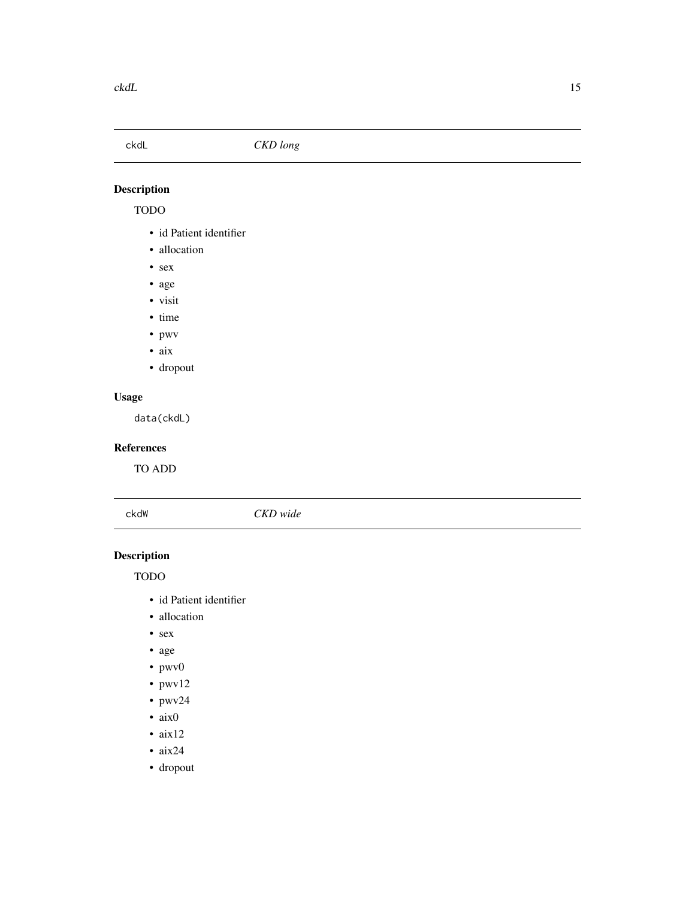# <span id="page-14-0"></span>ckdL *CKD long*

# Description

# TODO

- id Patient identifier
- allocation
- sex
- age
- visit
- time
- pwv
- aix
- dropout

# Usage

data(ckdL)

# References

TO ADD

ckdW *CKD wide*

# Description

TODO

- id Patient identifier
- allocation
- sex
- age
- pwv0
- pwv12
- pwv24
- aix0
- aix12
- $aix24$
- dropout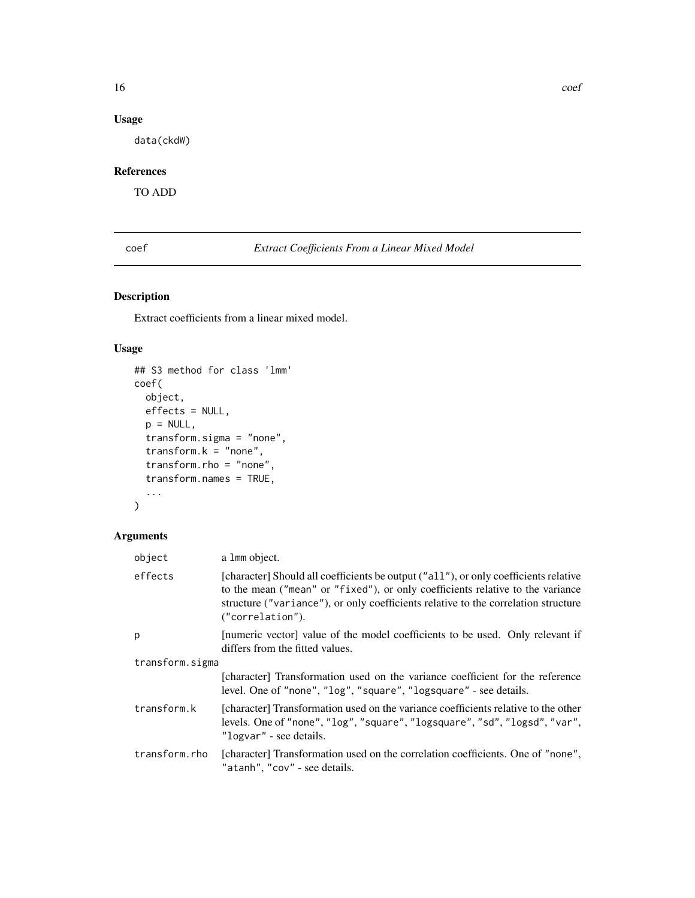# <span id="page-15-0"></span>Usage

data(ckdW)

# References

TO ADD

<span id="page-15-2"></span>coef *Extract Coefficients From a Linear Mixed Model*

# <span id="page-15-1"></span>Description

Extract coefficients from a linear mixed model.

# Usage

```
## S3 method for class 'lmm'
coef(
  object,
  effects = NULL,
  p = NULL,transform.sigma = "none",
  transform.k = "none",
  transform.rho = "none",
  transform.names = TRUE,
  ...
\mathcal{L}
```

| object          | a 1mm object.                                                                                                                                                                                                                                                                    |  |
|-----------------|----------------------------------------------------------------------------------------------------------------------------------------------------------------------------------------------------------------------------------------------------------------------------------|--|
| effects         | [character] Should all coefficients be output ("all"), or only coefficients relative<br>to the mean ("mean" or "fixed"), or only coefficients relative to the variance<br>structure ("variance"), or only coefficients relative to the correlation structure<br>("correlation"). |  |
| p               | [numeric vector] value of the model coefficients to be used. Only relevant if<br>differs from the fitted values.                                                                                                                                                                 |  |
| transform.sigma |                                                                                                                                                                                                                                                                                  |  |
|                 | [character] Transformation used on the variance coefficient for the reference<br>level. One of "none", "log", "square", "logsquare" - see details.                                                                                                                               |  |
| transform.k     | [character] Transformation used on the variance coefficients relative to the other<br>levels. One of "none", "log", "square", "logsquare", "sd", "logsd", "var",<br>"logvar" - see details.                                                                                      |  |
| transform.rho   | [character] Transformation used on the correlation coefficients. One of "none",<br>"atanh", "cov" - see details.                                                                                                                                                                 |  |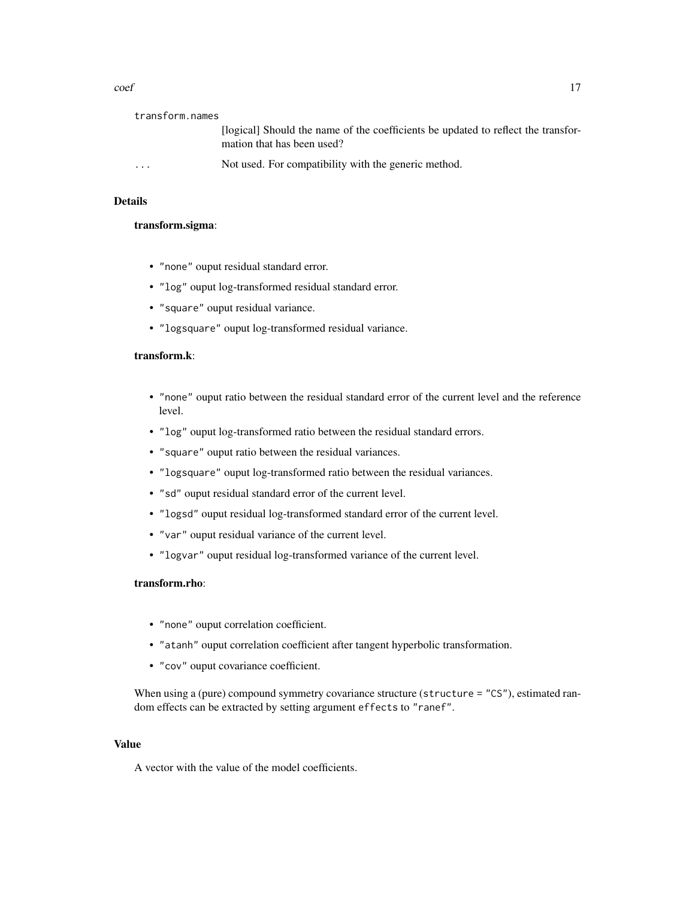| transform.names |                                                                                                                 |
|-----------------|-----------------------------------------------------------------------------------------------------------------|
|                 | [logical] Should the name of the coefficients be updated to reflect the transfor-<br>mation that has been used? |
| $\cdots$        | Not used. For compatibility with the generic method.                                                            |

### Details

# transform.sigma:

- "none" ouput residual standard error.
- "log" ouput log-transformed residual standard error.
- "square" ouput residual variance.
- "logsquare" ouput log-transformed residual variance.

# transform.k:

- "none" ouput ratio between the residual standard error of the current level and the reference level.
- "log" ouput log-transformed ratio between the residual standard errors.
- "square" ouput ratio between the residual variances.
- "logsquare" ouput log-transformed ratio between the residual variances.
- "sd" ouput residual standard error of the current level.
- "logsd" ouput residual log-transformed standard error of the current level.
- "var" ouput residual variance of the current level.
- "logvar" ouput residual log-transformed variance of the current level.

### transform.rho:

- "none" ouput correlation coefficient.
- "atanh" ouput correlation coefficient after tangent hyperbolic transformation.
- "cov" ouput covariance coefficient.

When using a (pure) compound symmetry covariance structure (structure = "CS"), estimated random effects can be extracted by setting argument effects to "ranef".

# Value

A vector with the value of the model coefficients.

 $\text{coeff}$  17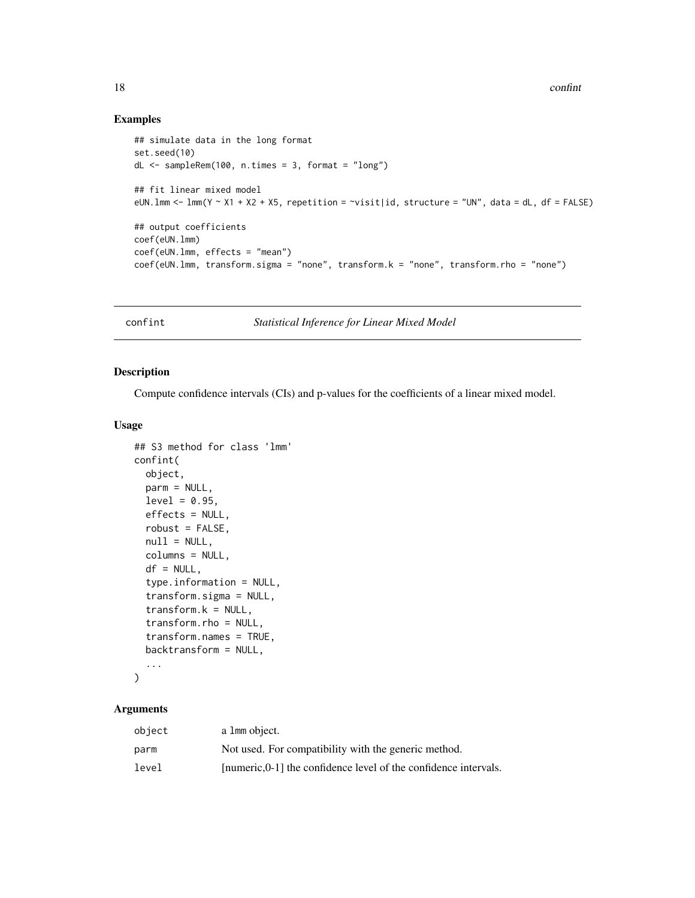# Examples

```
## simulate data in the long format
set.seed(10)
dL <- sampleRem(100, n.times = 3, format = "long")
## fit linear mixed model
eUN.1mm <- lm(N \sim X1 + X2 + X5, repetition = \sim visit|id, structure = "UN", data = dL, df = FALSE)
## output coefficients
coef(eUN.lmm)
coef(eUN.lmm, effects = "mean")
coef(eUN.lmm, transform.sigma = "none", transform.k = "none", transform.rho = "none")
```
confint *Statistical Inference for Linear Mixed Model*

### Description

Compute confidence intervals (CIs) and p-values for the coefficients of a linear mixed model.

### Usage

```
## S3 method for class 'lmm'
confint(
  object,
 parm = NULL,
 level = 0.95,
  effects = NULL,
  robust = FALSE,null = NULL,columns = NULL,
  df = NULL,type.information = NULL,
  transform.sigma = NULL,
  transform.k = NULL,
  transform.rho = NULL,
  transform.names = TRUE,
 backtransform = NULL,
  ...
```

```
)
```

| object | a 1 mm object.                                                   |
|--------|------------------------------------------------------------------|
| parm   | Not used. For compatibility with the generic method.             |
| level  | [numeric, 0-1] the confidence level of the confidence intervals. |

<span id="page-17-0"></span>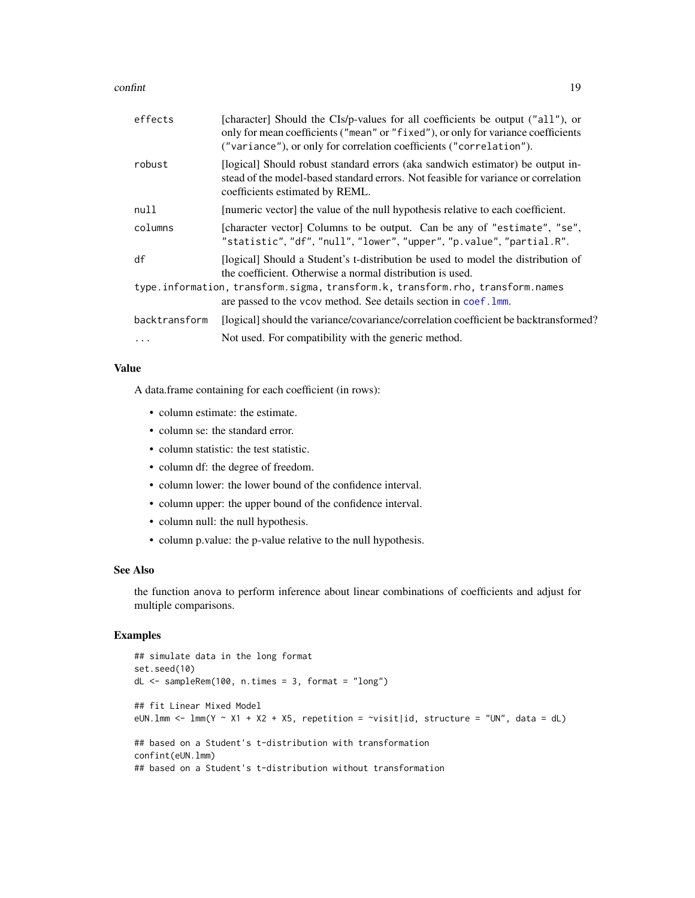#### confint that the confine of the confine of the confine of the confine of the confine of the confine of the confine of the confine of the confine of the confine of the confine of the confine of the confine of the confine of

| effects       | [character] Should the CIs/p-values for all coefficients be output ("all"), or<br>only for mean coefficients ("mean" or "fixed"), or only for variance coefficients<br>("variance"), or only for correlation coefficients ("correlation"). |
|---------------|--------------------------------------------------------------------------------------------------------------------------------------------------------------------------------------------------------------------------------------------|
| robust        | [logical] Should robust standard errors (aka sandwich estimator) be output in-<br>stead of the model-based standard errors. Not feasible for variance or correlation<br>coefficients estimated by REML.                                    |
| null          | [numeric vector] the value of the null hypothesis relative to each coefficient.                                                                                                                                                            |
| columns       | [character vector] Columns to be output. Can be any of "estimate", "se",<br>"statistic", "df", "null", "lower", "upper", "p.value", "partial.R".                                                                                           |
| df            | [logical] Should a Student's t-distribution be used to model the distribution of<br>the coefficient. Otherwise a normal distribution is used.                                                                                              |
|               | type.information, transform.sigma, transform.k, transform.rho, transform.names<br>are passed to the vcov method. See details section in coef. 1mm.                                                                                         |
| backtransform | [logical] should the variance/covariance/correlation coefficient be backtransformed?                                                                                                                                                       |
| $\cdots$      | Not used. For compatibility with the generic method.                                                                                                                                                                                       |

### Value

A data.frame containing for each coefficient (in rows):

- column estimate: the estimate.
- column se: the standard error.
- column statistic: the test statistic.
- column df: the degree of freedom.
- column lower: the lower bound of the confidence interval.
- column upper: the upper bound of the confidence interval.
- column null: the null hypothesis.
- column p.value: the p-value relative to the null hypothesis.

### See Also

the function anova to perform inference about linear combinations of coefficients and adjust for multiple comparisons.

```
## simulate data in the long format
set.seed(10)
dL <- sampleRem(100, n.times = 3, format = "long")
## fit Linear Mixed Model
eUN.1mm <- lmm(Y \sim X1 + X2 + X5, repetition = \sim visit|id, structure = "UN", data = dL)
## based on a Student's t-distribution with transformation
confint(eUN.lmm)
## based on a Student's t-distribution without transformation
```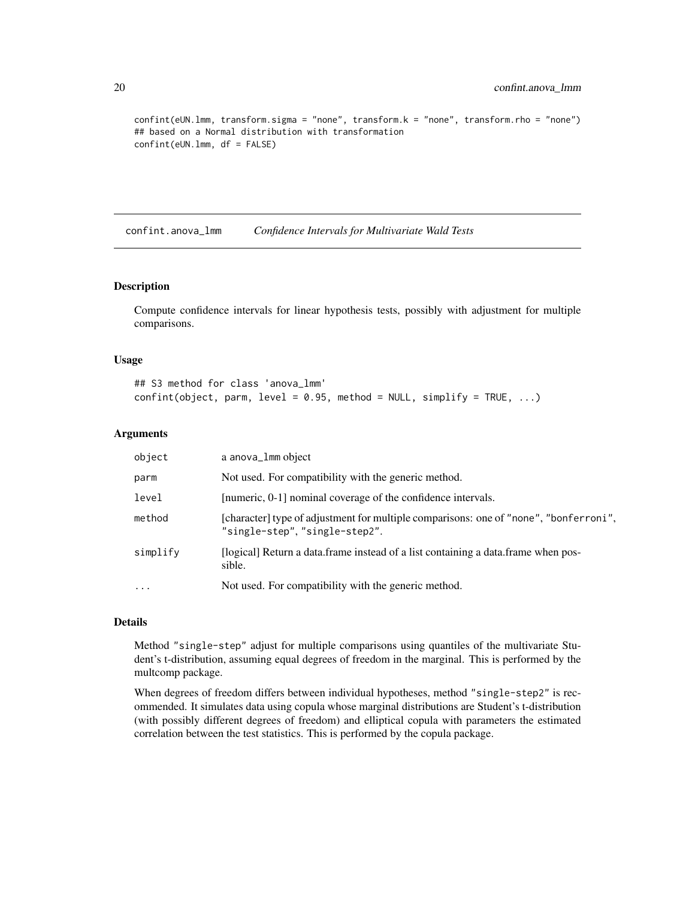```
confint(eUN.lmm, transform.sigma = "none", transform.k = "none", transform.rho = "none")
## based on a Normal distribution with transformation
confint(eUN.lmm, df = FALSE)
```
confint.anova\_lmm *Confidence Intervals for Multivariate Wald Tests*

#### Description

Compute confidence intervals for linear hypothesis tests, possibly with adjustment for multiple comparisons.

### Usage

```
## S3 method for class 'anova_lmm'
confint(object, parm, level = 0.95, method = NULL, simplify = TRUE, ...)
```
### Arguments

| object   | a anova_1mm object                                                                                                      |
|----------|-------------------------------------------------------------------------------------------------------------------------|
| parm     | Not used. For compatibility with the generic method.                                                                    |
| level    | [numeric, 0-1] nominal coverage of the confidence intervals.                                                            |
| method   | [character] type of adjustment for multiple comparisons: one of "none", "bonferroni",<br>"single-step", "single-step2". |
| simplify | [logical] Return a data.frame instead of a list containing a data.frame when pos-<br>sible.                             |
| $\cdots$ | Not used. For compatibility with the generic method.                                                                    |

#### Details

Method "single-step" adjust for multiple comparisons using quantiles of the multivariate Student's t-distribution, assuming equal degrees of freedom in the marginal. This is performed by the multcomp package.

When degrees of freedom differs between individual hypotheses, method "single-step2" is recommended. It simulates data using copula whose marginal distributions are Student's t-distribution (with possibly different degrees of freedom) and elliptical copula with parameters the estimated correlation between the test statistics. This is performed by the copula package.

<span id="page-19-0"></span>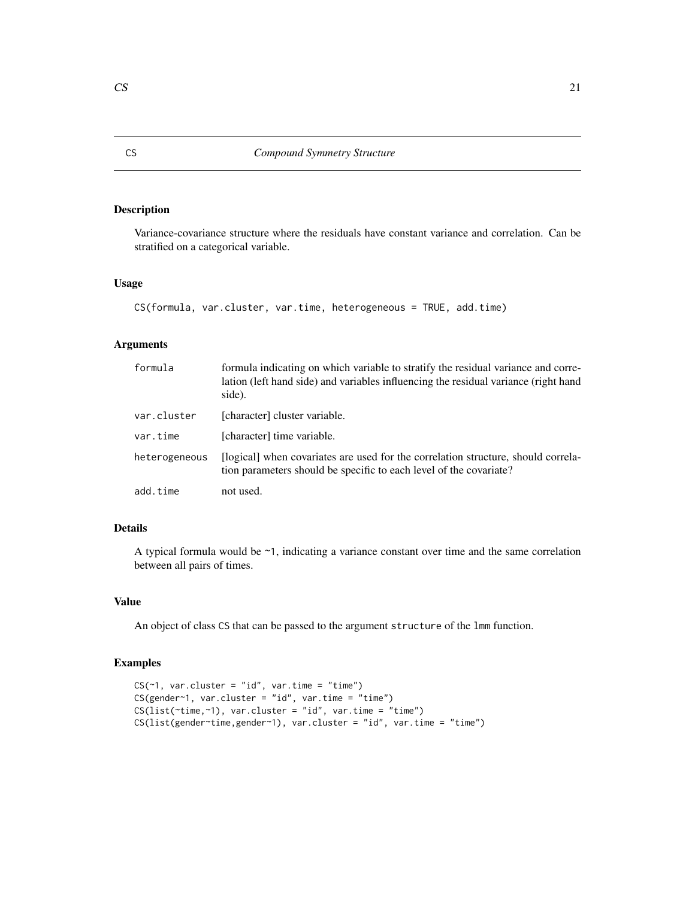Variance-covariance structure where the residuals have constant variance and correlation. Can be stratified on a categorical variable.

### Usage

```
CS(formula, var.cluster, var.time, heterogeneous = TRUE, add.time)
```
# Arguments

| formula       | formula indicating on which variable to stratify the residual variance and corre-<br>lation (left hand side) and variables influencing the residual variance (right hand<br>side). |
|---------------|------------------------------------------------------------------------------------------------------------------------------------------------------------------------------------|
| var.cluster   | [character] cluster variable.                                                                                                                                                      |
| var.time      | [character] time variable.                                                                                                                                                         |
| heterogeneous | [logical] when covariates are used for the correlation structure, should correla-<br>tion parameters should be specific to each level of the covariate?                            |
| add.time      | not used.                                                                                                                                                                          |

# Details

A typical formula would be ~1, indicating a variance constant over time and the same correlation between all pairs of times.

#### Value

An object of class CS that can be passed to the argument structure of the lmm function.

```
CS(\sim 1, \text{ var. cluster} = "id", \text{ var.time} = "time")CS(gender~1, var.cluster = "id", var.time = "time")
CS(list(\text{time},\text{-}1), \text{ var}.\text{cluster} = \text{"id", var.time} = \text{"time"}CS(list(gender~time,gender~1), var.cluster = "id", var.time = "time")
```
<span id="page-20-0"></span>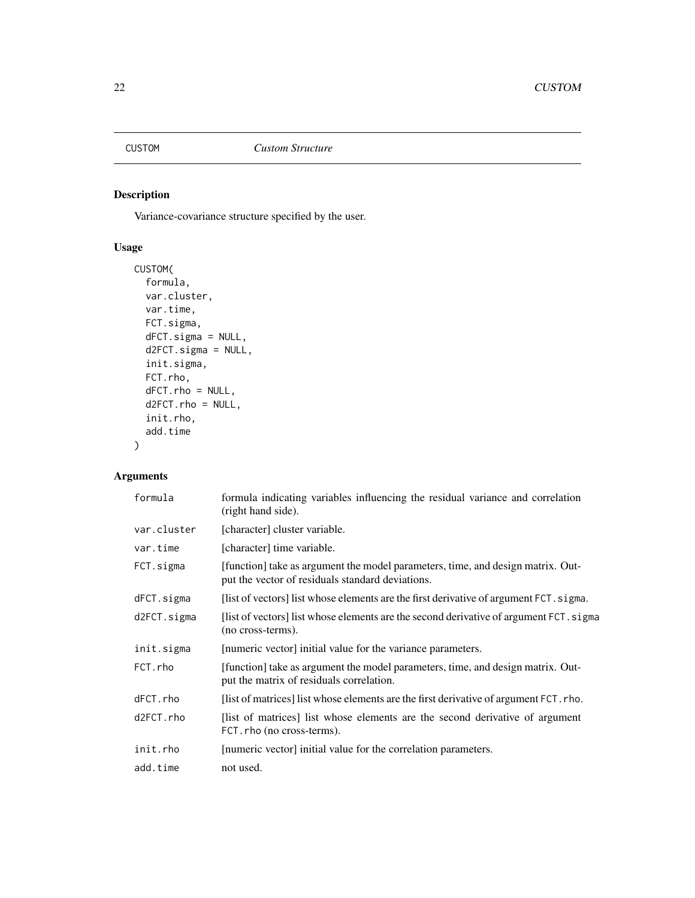<span id="page-21-0"></span>

Variance-covariance structure specified by the user.

# Usage

```
CUSTOM(
  formula,
 var.cluster,
 var.time,
 FCT.sigma,
 dFCT.sigma = NULL,
 d2FCT.sigma = NULL,
  init.sigma,
 FCT.rho,
  dFCT.rho = NULL,
 d2FCT.rho = NULL,
  init.rho,
  add.time
)
```

| formula     | formula indicating variables influencing the residual variance and correlation<br>(right hand side).                                |
|-------------|-------------------------------------------------------------------------------------------------------------------------------------|
| var.cluster | [character] cluster variable.                                                                                                       |
| var.time    | [character] time variable.                                                                                                          |
| FCT.sigma   | [function] take as argument the model parameters, time, and design matrix. Out-<br>put the vector of residuals standard deviations. |
| dFCT.sigma  | [list of vectors] list whose elements are the first derivative of argument FCT. sigma.                                              |
| d2FCT.sigma | [list of vectors] list whose elements are the second derivative of argument FCT. sigma<br>(no cross-terms).                         |
| init.sigma  | [numeric vector] initial value for the variance parameters.                                                                         |
| FCT.rho     | [function] take as argument the model parameters, time, and design matrix. Out-<br>put the matrix of residuals correlation.         |
| dFCT.rho    | [list of matrices] list whose elements are the first derivative of argument FCT. rho.                                               |
| d2FCT.rho   | [list of matrices] list whose elements are the second derivative of argument<br>FCT. rho (no cross-terms).                          |
| init.rho    | [numeric vector] initial value for the correlation parameters.                                                                      |
| add.time    | not used.                                                                                                                           |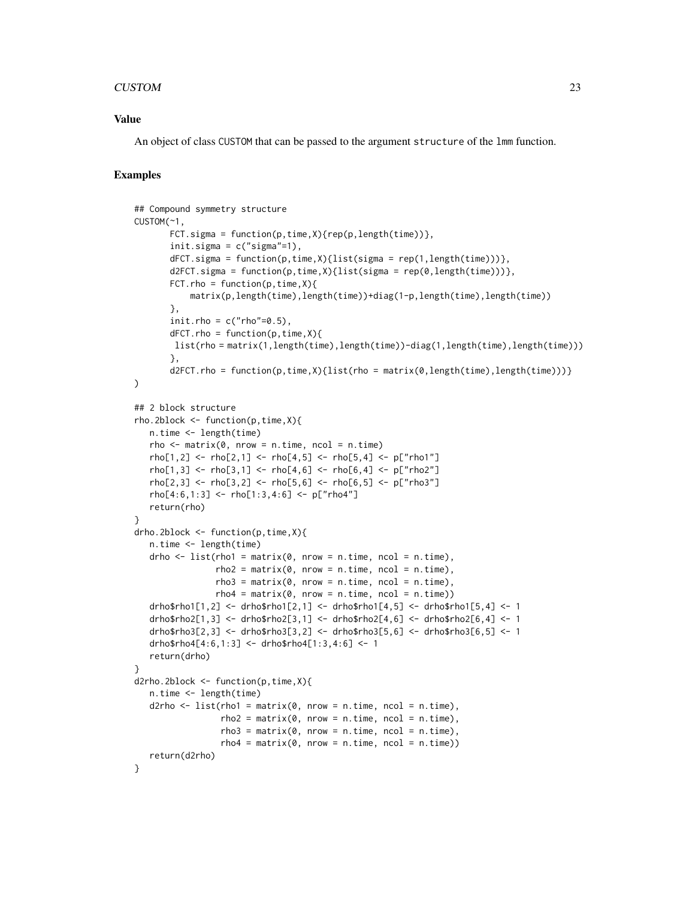### CUSTOM 23

### Value

An object of class CUSTOM that can be passed to the argument structure of the lmm function.

```
## Compound symmetry structure
CUSTOM(~1,
      FCT.sigma = function(p, time, X){rep(p,length(time))},
      init.sizema = c("sigma"—1),dFCT.sigma = function(p,time,X){list(sigma = rep(1,length(time)))},
      d2FCT.sizema = function(p, time, X) \{list(sign = rep(0, length(time)))\},FCT.rho = function(p, time,X){
           matrix(p,length(time),length(time))+diag(1-p,length(time),length(time))
      },
      init.rho = c("rho"-0.5),
      dFCT.rho = function(p,time,X){
       list(rho = matrix(1,length(time),length(time))-diag(1,length(time),length(time)))
      },
      d2FCT.rho = function(p,time,X){list(rho = matrix(0,length(time),length(time)))}
)
## 2 block structure
rho.2block <- function(p,time,X){
  n.time <- length(time)
  rho \leq matrix(0, nrow = n.time, ncol = n.time)
  rho[1,2] <- rho[2,1] <- rho[4,5] <- rho[5,4] <- p['rho1"]rho[1,3] <- rho[3,1] <- rho[4,6] <- rho[6,4] <- p['rho2'']rho[2,3] <- rho[3,2] <- rho[5,6] <- rho[6,5] <- p['rho3"]rho[4:6,1:3] <- rho[1:3,4:6] <- p['rho4"]return(rho)
}
drho.2block <- function(p,time,X){
  n.time <- length(time)
  drho \le list(rho1 = matrix(0, nrow = n.time, ncol = n.time),
                rho2 = matrix(0, nrow = n.time, ncol = n.time),rho3 = matrix(0, nrow = n.time, ncol = n.time),rho4 = matrix(0, nrow = n.time, ncol = n.time)drho$rho1[1,2] <- drho$rho1[2,1] <- drho$rho1[4,5] <- drho$rho1[5,4] <- 1
   drho$rho2[1,3] <- drho$rho2[3,1] <- drho$rho2[4,6] <- drho$rho2[6,4] <- 1
   drho$rho3[2,3] <- drho$rho3[3,2] <- drho$rho3[5,6] <- drho$rho3[6,5] <- 1
   drho$rho4[4:6,1:3] <- drho$rho4[1:3,4:6] <- 1
  return(drho)
}
d2rho.2block <- function(p,time,X){
  n.time <- length(time)
   d2rho \le list(rho1 = matrix(0, nrow = n.time, ncol = n.time),
                 rho2 = matrix(0, nrow = n.time, ncol = n.time),
                 rho3 = matrix(0, nrow = n.time, ncol = n.time),rho4 = matrix(0, nrow = n.time, ncol = n.time)return(d2rho)
}
```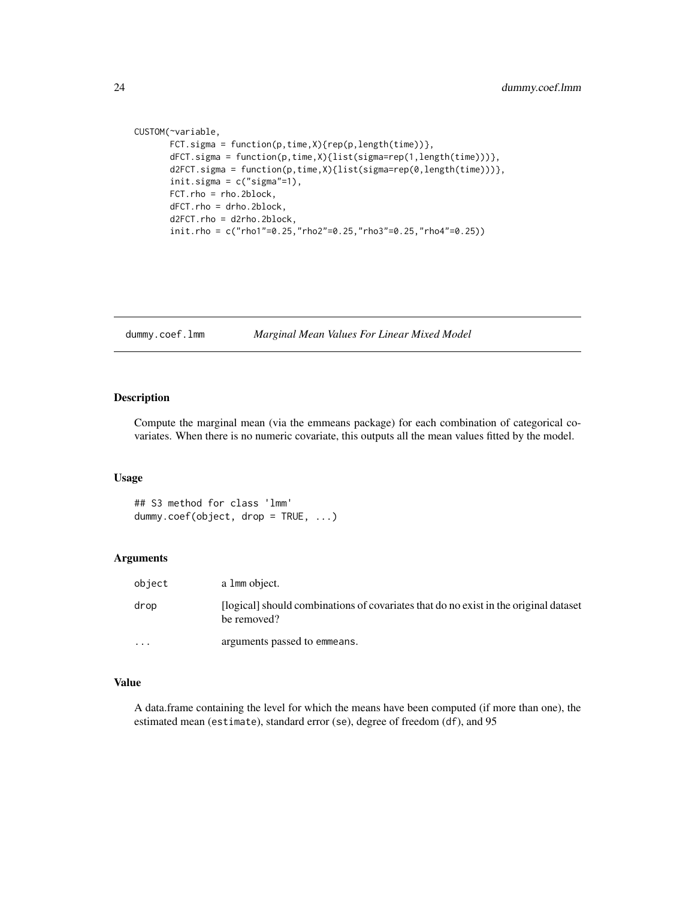```
CUSTOM(~variable,
       FCT.sigma = function(p, time, X){rep(p, length(time))},
       dFCT.sigma = function(p,time,X){list(sigma=rep(1,length(time)))},
       d2FCT.sigma = function(p,time,X){list(sigma=rep(0,length(time)))},
       init.sigma = c("sigma"=1),
       FCT.rho = rho.2block,
       dFCT.rho = drho.2block,
       d2FCT.rho = d2rho.2block,
       init.rho = c("rho1"=0.25,"rho2"=0.25,"rho3"=0.25,"rho4"=0.25))
```
dummy.coef.lmm *Marginal Mean Values For Linear Mixed Model*

#### Description

Compute the marginal mean (via the emmeans package) for each combination of categorical covariates. When there is no numeric covariate, this outputs all the mean values fitted by the model.

### Usage

## S3 method for class 'lmm' dummy.coef(object, drop = TRUE, ...)

### Arguments

| object  | a 1 mm object.                                                                                      |
|---------|-----------------------------------------------------------------------------------------------------|
| drop    | [logical] should combinations of covariates that do no exist in the original dataset<br>be removed? |
| $\cdot$ | arguments passed to emmeans.                                                                        |

### Value

A data.frame containing the level for which the means have been computed (if more than one), the estimated mean (estimate), standard error (se), degree of freedom (df), and 95

<span id="page-23-0"></span>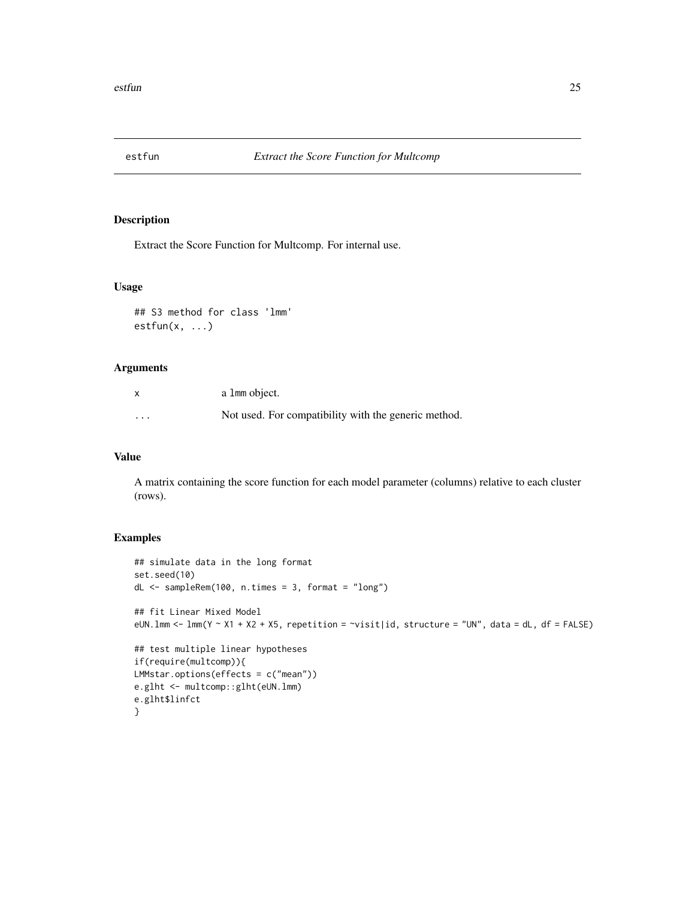<span id="page-24-0"></span>

Extract the Score Function for Multcomp. For internal use.

# Usage

## S3 method for class 'lmm'  $estfun(x, \ldots)$ 

# Arguments

|          | a 1 mm object.                                       |
|----------|------------------------------------------------------|
| $\cdots$ | Not used. For compatibility with the generic method. |

# Value

A matrix containing the score function for each model parameter (columns) relative to each cluster (rows).

```
## simulate data in the long format
set.seed(10)
dL <- sampleRem(100, n.times = 3, format = "long")
## fit Linear Mixed Model
eUN. lmm < -1mm(Y \sim X1 + X2 + X5, repetition = \sim visit|id, structure = "UN", data = dL, df = FALSE)
## test multiple linear hypotheses
if(require(multcomp)){
LMMstar.options(effects = c("mean"))
e.glht <- multcomp::glht(eUN.lmm)
e.glht$linfct
}
```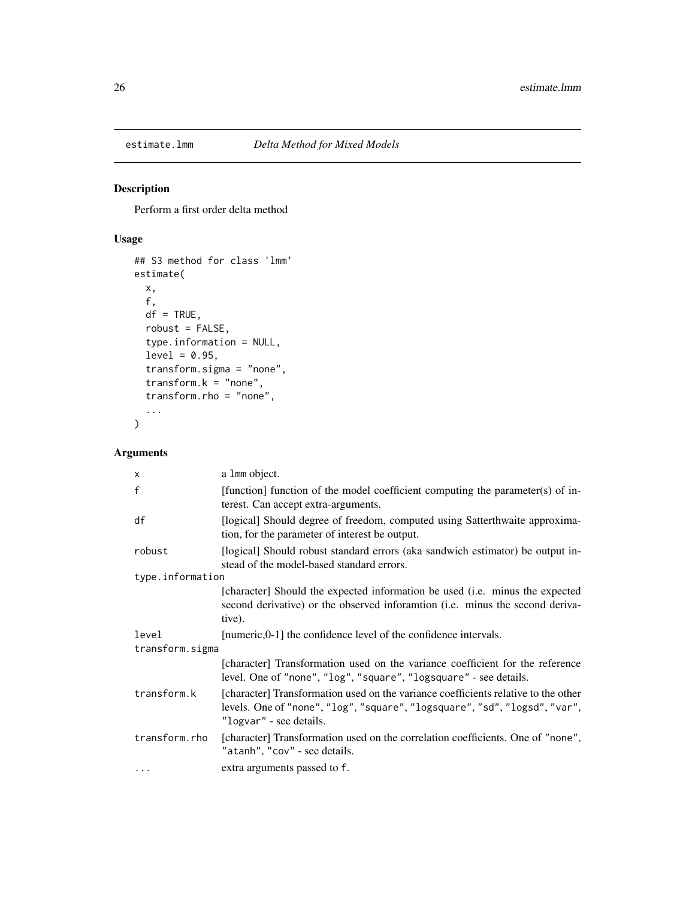<span id="page-25-0"></span>

Perform a first order delta method

# Usage

```
## S3 method for class 'lmm'
estimate(
 x,
  f,
 df = TRUE,robust = FALSE,type.information = NULL,
  level = 0.95,transform.sigma = "none",
  transform.k = "none",transform.rho = "none",
  ...
\mathcal{L}
```

| $\mathsf{x}$     | a 1mm object.                                                                                                                                                                               |  |
|------------------|---------------------------------------------------------------------------------------------------------------------------------------------------------------------------------------------|--|
| f                | [function] function of the model coefficient computing the parameter(s) of in-<br>terest. Can accept extra-arguments.                                                                       |  |
| df               | [logical] Should degree of freedom, computed using Satterthwaite approxima-<br>tion, for the parameter of interest be output.                                                               |  |
| robust           | [logical] Should robust standard errors (aka sandwich estimator) be output in-<br>stead of the model-based standard errors.                                                                 |  |
| type.information |                                                                                                                                                                                             |  |
|                  | [character] Should the expected information be used (i.e. minus the expected<br>second derivative) or the observed inforamtion (i.e. minus the second deriva-<br>tive).                     |  |
| level            | [numeric,0-1] the confidence level of the confidence intervals.                                                                                                                             |  |
| transform.sigma  |                                                                                                                                                                                             |  |
|                  | [character] Transformation used on the variance coefficient for the reference<br>level. One of "none", "log", "square", "logsquare" - see details.                                          |  |
| transform.k      | [character] Transformation used on the variance coefficients relative to the other<br>levels. One of "none", "log", "square", "logsquare", "sd", "logsd", "var",<br>"logvar" - see details. |  |
| transform.rho    | [character] Transformation used on the correlation coefficients. One of "none",<br>"atanh", "cov" - see details.                                                                            |  |
| $\cdot$          | extra arguments passed to f.                                                                                                                                                                |  |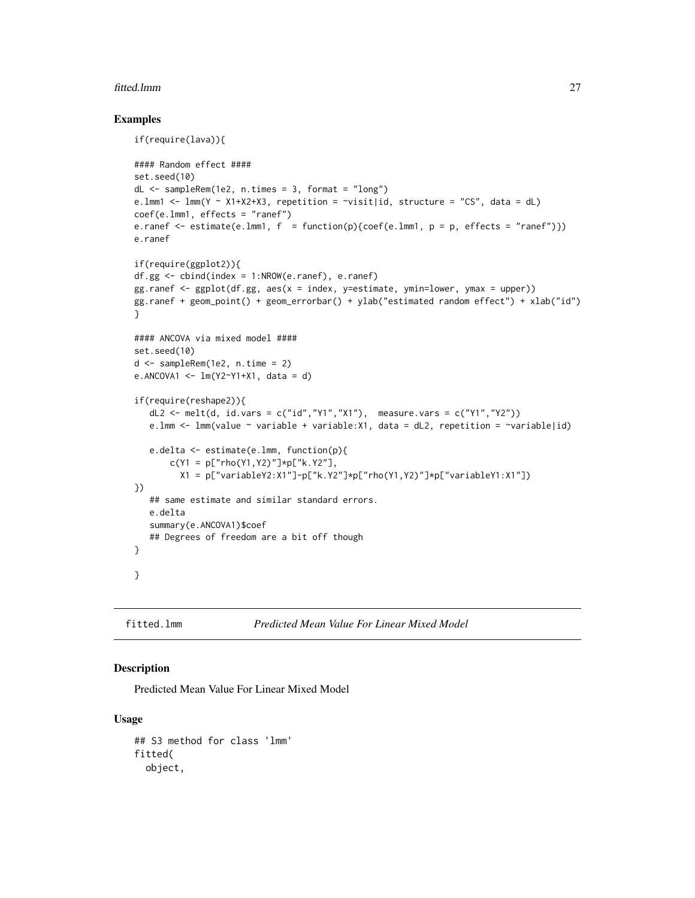### <span id="page-26-0"></span>fitted.lmm 27

### Examples

```
if(require(lava)){
#### Random effect ####
set.seed(10)
dL \leq - sampleRem(1e2, n.times = 3, format = "long")
e.lmm1 <- lmm(Y ~ X1+X2+X3, repetition = ~visit|id, structure = "CS", data = dL)
coef(e.lmm1, effects = "ranef")
e.ranef \leq estimate(e.lmm1, f = function(p){coef(e.lmm1, p = p, effects = "ranef")})
e.ranef
if(require(ggplot2)){
df.gg <- cbind(index = 1:NROW(e.ranef), e.ranef)
gg.ranef <- ggplot(df.gg, aes(x = index, y=estimate, ymin=lower, ymax = upper))
gg.ranef + geom_point() + geom_errorbar() + ylab("estimated random effect") + xlab("id")
}
#### ANCOVA via mixed model ####
set.seed(10)
d <- sampleRem(1e2, n.time = 2)
e.ANCOVA1 <- lm(Y2~Y1+X1, data = d)
if(require(reshape2)){
   dL2 <- melt(d, id.vars = c("id","Y1","X1"), measure.vars = c("Y1","Y2"))
   e.lmm \leq 1mm(value \sim variable + variable:X1, data = dL2, repetition = \simvariable|id)
   e.delta <- estimate(e.lmm, function(p){
       c(Y1 = p["rho(Y1, Y2)"] * p["k.Y2"],
         X1 = p['variableY2:X1"]-p['k.Y2"] *p['rho(Y1,Y2)] *p['variableY1:X1"])})
   ## same estimate and similar standard errors.
   e.delta
   summary(e.ANCOVA1)$coef
   ## Degrees of freedom are a bit off though
}
}
```

```
fitted.lmm Predicted Mean Value For Linear Mixed Model
```
### Description

Predicted Mean Value For Linear Mixed Model

### Usage

```
## S3 method for class 'lmm'
fitted(
 object,
```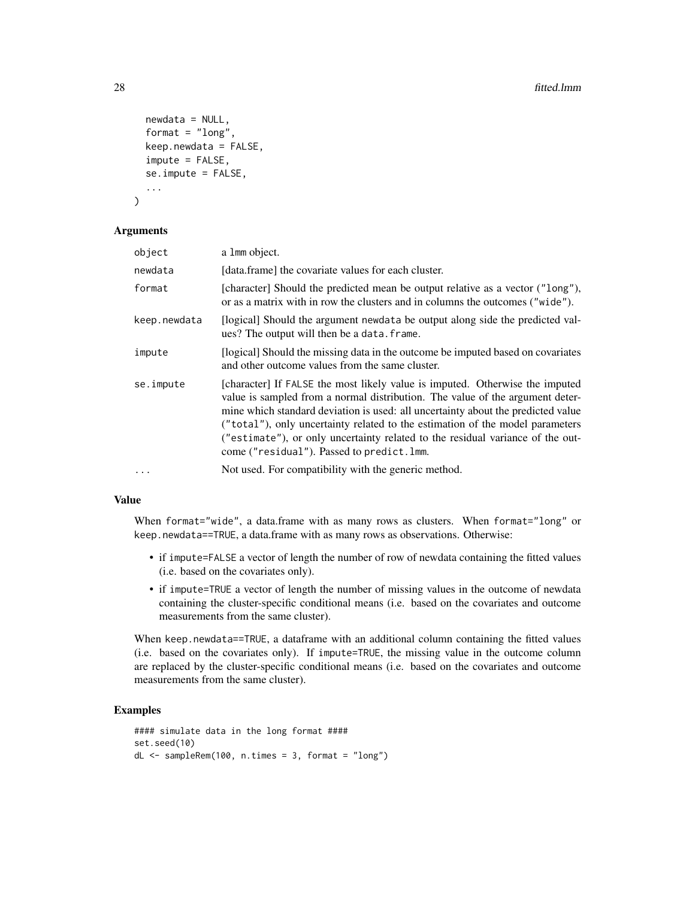```
newdata = NULL,
format = "long",keep.nexta = FALSE,impute = FALSE,
se.impute = FALSE,
...
```
### Arguments

)

| object       | a 1mm object.                                                                                                                                                                                                                                                                                                                                                                                                                                                      |
|--------------|--------------------------------------------------------------------------------------------------------------------------------------------------------------------------------------------------------------------------------------------------------------------------------------------------------------------------------------------------------------------------------------------------------------------------------------------------------------------|
| newdata      | [data.frame] the covariate values for each cluster.                                                                                                                                                                                                                                                                                                                                                                                                                |
| format       | [character] Should the predicted mean be output relative as a vector ("long"),<br>or as a matrix with in row the clusters and in columns the outcomes ("wide").                                                                                                                                                                                                                                                                                                    |
| keep.newdata | [logical] Should the argument newdata be output along side the predicted val-<br>ues? The output will then be a data. frame.                                                                                                                                                                                                                                                                                                                                       |
| impute       | [logical] Should the missing data in the outcome be imputed based on covariates<br>and other outcome values from the same cluster.                                                                                                                                                                                                                                                                                                                                 |
| se.impute    | [character] If FALSE the most likely value is imputed. Otherwise the imputed<br>value is sampled from a normal distribution. The value of the argument deter-<br>mine which standard deviation is used: all uncertainty about the predicted value<br>("total"), only uncertainty related to the estimation of the model parameters<br>("estimate"), or only uncertainty related to the residual variance of the out-<br>come ("residual"). Passed to predict. lmm. |
| $\ddots$     | Not used. For compatibility with the generic method.                                                                                                                                                                                                                                                                                                                                                                                                               |

### Value

When format="wide", a data.frame with as many rows as clusters. When format="long" or keep.newdata==TRUE, a data.frame with as many rows as observations. Otherwise:

- if impute=FALSE a vector of length the number of row of newdata containing the fitted values (i.e. based on the covariates only).
- if impute=TRUE a vector of length the number of missing values in the outcome of newdata containing the cluster-specific conditional means (i.e. based on the covariates and outcome measurements from the same cluster).

When keep.newdata==TRUE, a dataframe with an additional column containing the fitted values (i.e. based on the covariates only). If impute=TRUE, the missing value in the outcome column are replaced by the cluster-specific conditional means (i.e. based on the covariates and outcome measurements from the same cluster).

```
#### simulate data in the long format ####
set.seed(10)
dL \leq - sampleRem(100, n.times = 3, format = "long")
```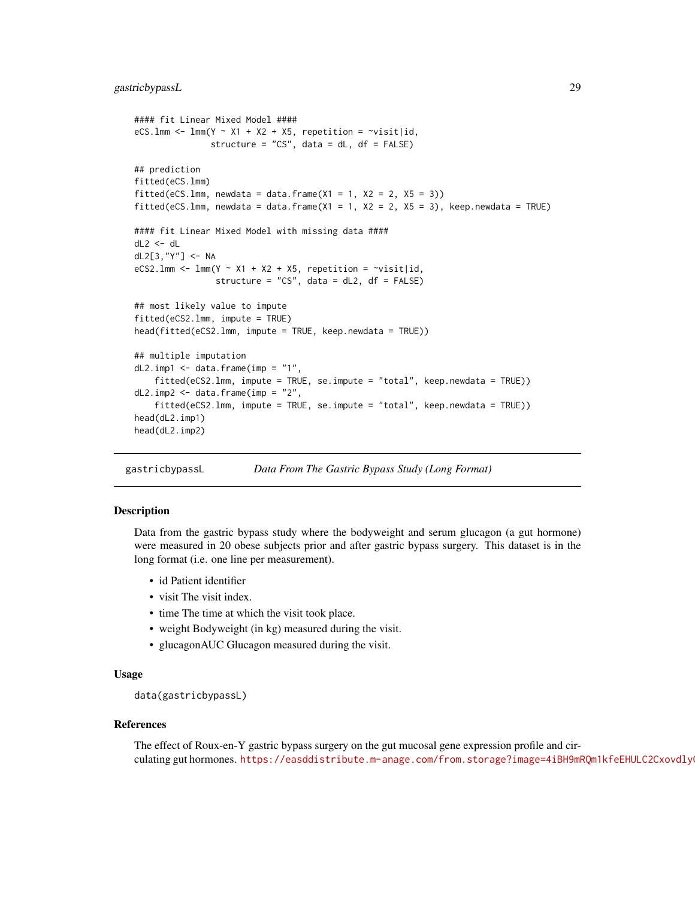# <span id="page-28-0"></span>gastricbypassL 29

```
#### fit Linear Mixed Model ####
eCS.lmm <- lmm(Y \sim X1 + X2 + X5, repetition = \simvisit|id,
               structure = "CS", data = dL, df = FALSE)
## prediction
fitted(eCS.lmm)
fitted(eCS.lmm, newdata = data.frame(X1 = 1, X2 = 2, X5 = 3))
fitted(eCS.lmm, newdata = data.frame(X1 = 1, X2 = 2, X5 = 3), keep.newdata = TRUE)
#### fit Linear Mixed Model with missing data ####
dL2 < - dLdL2[3,"Y"] <- NA
eCS2.1mm <- lmm(Y \sim X1 + X2 + X5, repetition = \simvisit|id,
                structure = "CS", data = dL2, df = FALSE)
## most likely value to impute
fitted(eCS2.lmm, impute = TRUE)
head(fitted(eCS2.lmm, impute = TRUE, keep.newdata = TRUE))
## multiple imputation
dL2.imp1 \leq data.frame(imp = "1",
    fitted(eCS2.lmm, impute = TRUE, se.impute = "total", keep.newdata = TRUE))
dL2.imp2 \leq data.frame(imp = "2",
   fitted(eCS2.lmm, impute = TRUE, se.impute = "total", keep.newdata = TRUE))
head(dL2.imp1)
head(dL2.imp2)
```
gastricbypassL *Data From The Gastric Bypass Study (Long Format)*

### Description

Data from the gastric bypass study where the bodyweight and serum glucagon (a gut hormone) were measured in 20 obese subjects prior and after gastric bypass surgery. This dataset is in the long format (i.e. one line per measurement).

- id Patient identifier
- visit The visit index.
- time The time at which the visit took place.
- weight Bodyweight (in kg) measured during the visit.
- glucagonAUC Glucagon measured during the visit.

### Usage

```
data(gastricbypassL)
```
### References

The effect of Roux-en-Y gastric bypass surgery on the gut mucosal gene expression profile and circulating gut hormones. https://easddistribute.m-anage.com/from.storage?image=4iBH9mRQm1kfeEHULC2Cxovdly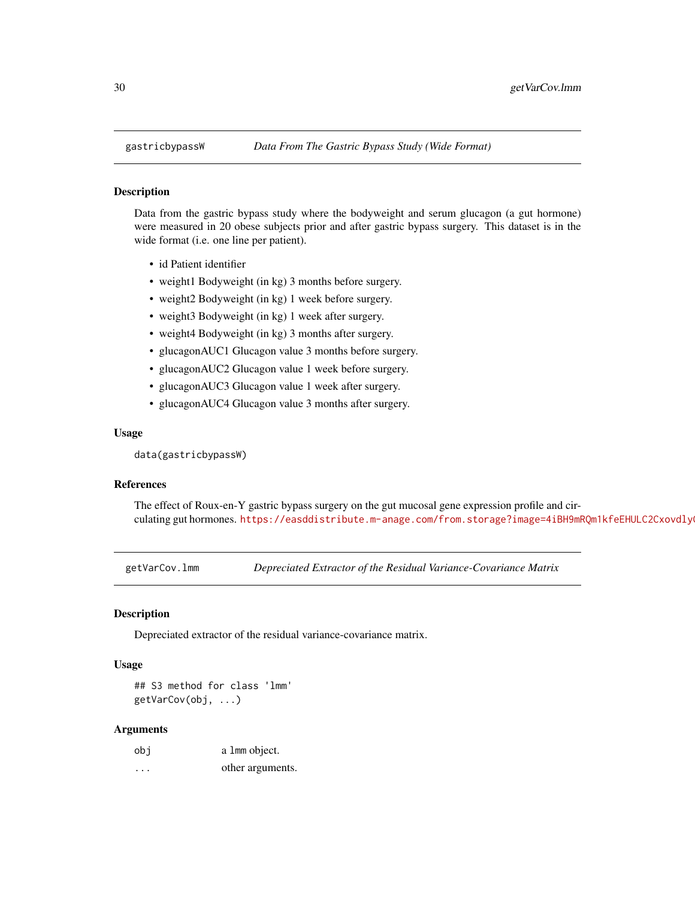<span id="page-29-0"></span>

Data from the gastric bypass study where the bodyweight and serum glucagon (a gut hormone) were measured in 20 obese subjects prior and after gastric bypass surgery. This dataset is in the wide format (i.e. one line per patient).

- id Patient identifier
- weight1 Bodyweight (in kg) 3 months before surgery.
- weight2 Bodyweight (in kg) 1 week before surgery.
- weight3 Bodyweight (in kg) 1 week after surgery.
- weight4 Bodyweight (in kg) 3 months after surgery.
- glucagonAUC1 Glucagon value 3 months before surgery.
- glucagonAUC2 Glucagon value 1 week before surgery.
- glucagonAUC3 Glucagon value 1 week after surgery.
- glucagonAUC4 Glucagon value 3 months after surgery.

#### Usage

data(gastricbypassW)

### References

The effect of Roux-en-Y gastric bypass surgery on the gut mucosal gene expression profile and circulating gut hormones. https://easddistribute.m-anage.com/from.storage?image=4iBH9mRQm1kfeEHULC2Cxovdly

<span id="page-29-1"></span>getVarCov.lmm *Depreciated Extractor of the Residual Variance-Covariance Matrix*

### Description

Depreciated extractor of the residual variance-covariance matrix.

#### Usage

## S3 method for class 'lmm' getVarCov(obj, ...)

| obi     | a 1mm object.    |
|---------|------------------|
| $\cdot$ | other arguments. |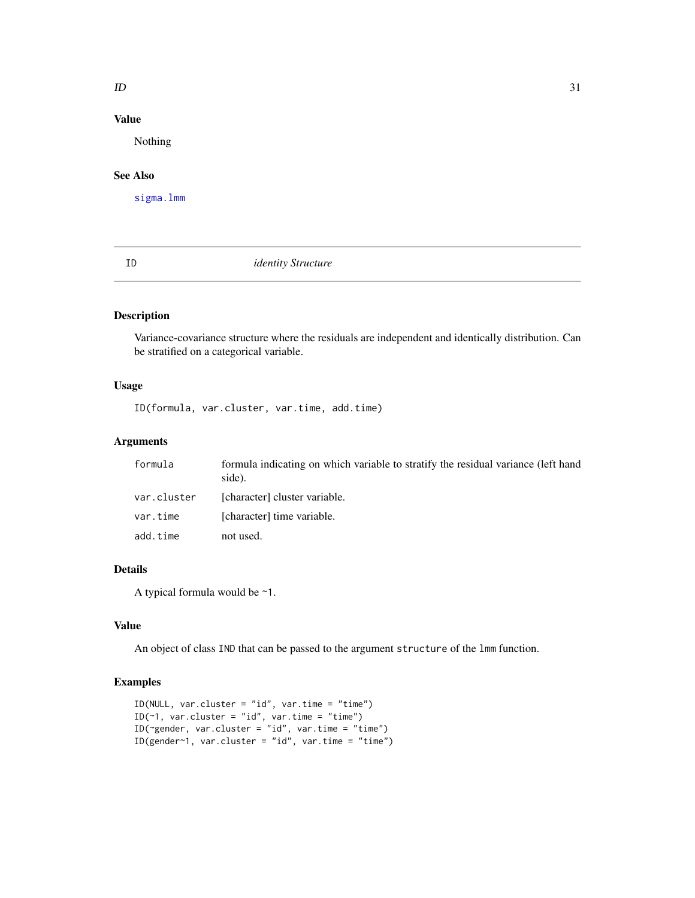### <span id="page-30-0"></span> $ID$  31

# Value

Nothing

# See Also

[sigma.lmm](#page-58-1)

ID *identity Structure*

# Description

Variance-covariance structure where the residuals are independent and identically distribution. Can be stratified on a categorical variable.

# Usage

ID(formula, var.cluster, var.time, add.time)

# Arguments

| formula     | formula indicating on which variable to stratify the residual variance (left hand<br>side). |
|-------------|---------------------------------------------------------------------------------------------|
| var.cluster | [character] cluster variable.                                                               |
| var.time    | [character] time variable.                                                                  |
| add.time    | not used.                                                                                   |

### Details

A typical formula would be ~1.

### Value

An object of class IND that can be passed to the argument structure of the lmm function.

```
ID(NULL, var.cluster = "id", var.time = "time")
ID(\sim 1, \text{var-cluster} = "id", \text{var.time} = "time")ID(~gender, var.cluster = "id", var.time = "time")
ID(gender~1, var.cluster = "id", var.time = "time")
```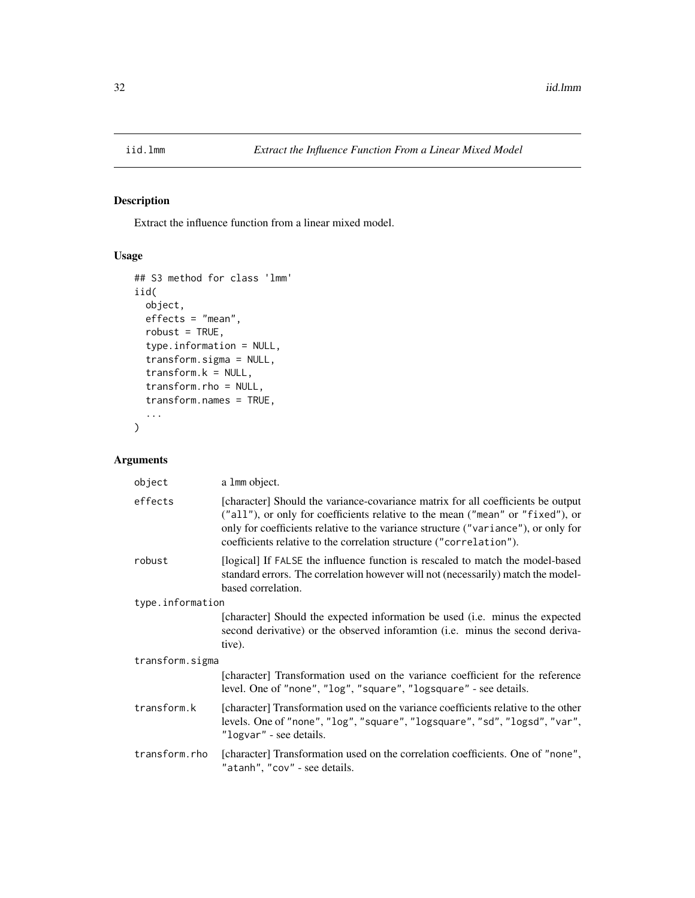<span id="page-31-0"></span>

Extract the influence function from a linear mixed model.

# Usage

```
## S3 method for class 'lmm'
iid(
 object,
 effects = "mean",
  robust = TRUE,type.information = NULL,
  transform.sigma = NULL,
  transform.k = NULL,
  transform.rho = NULL,
  transform.names = TRUE,
  ...
\mathcal{L}
```

| object           | a 1 mm object.                                                                                                                                                                                                                                                                                                                  |  |
|------------------|---------------------------------------------------------------------------------------------------------------------------------------------------------------------------------------------------------------------------------------------------------------------------------------------------------------------------------|--|
| effects          | [character] Should the variance-covariance matrix for all coefficients be output<br>("all"), or only for coefficients relative to the mean ("mean" or "fixed"), or<br>only for coefficients relative to the variance structure ("variance"), or only for<br>coefficients relative to the correlation structure ("correlation"). |  |
| robust           | [logical] If FALSE the influence function is rescaled to match the model-based<br>standard errors. The correlation however will not (necessarily) match the model-<br>based correlation.                                                                                                                                        |  |
| type.information |                                                                                                                                                                                                                                                                                                                                 |  |
|                  | [character] Should the expected information be used (i.e. minus the expected<br>second derivative) or the observed inforamtion (i.e. minus the second deriva-<br>tive).                                                                                                                                                         |  |
| transform.sigma  |                                                                                                                                                                                                                                                                                                                                 |  |
|                  | [character] Transformation used on the variance coefficient for the reference<br>level. One of "none", "log", "square", "logsquare" - see details.                                                                                                                                                                              |  |
| transform.k      | [character] Transformation used on the variance coefficients relative to the other<br>levels. One of "none", "log", "square", "logsquare", "sd", "logsd", "var",<br>"logvar" - see details.                                                                                                                                     |  |
| transform.rho    | [character] Transformation used on the correlation coefficients. One of "none",<br>"atanh", "cov" - see details.                                                                                                                                                                                                                |  |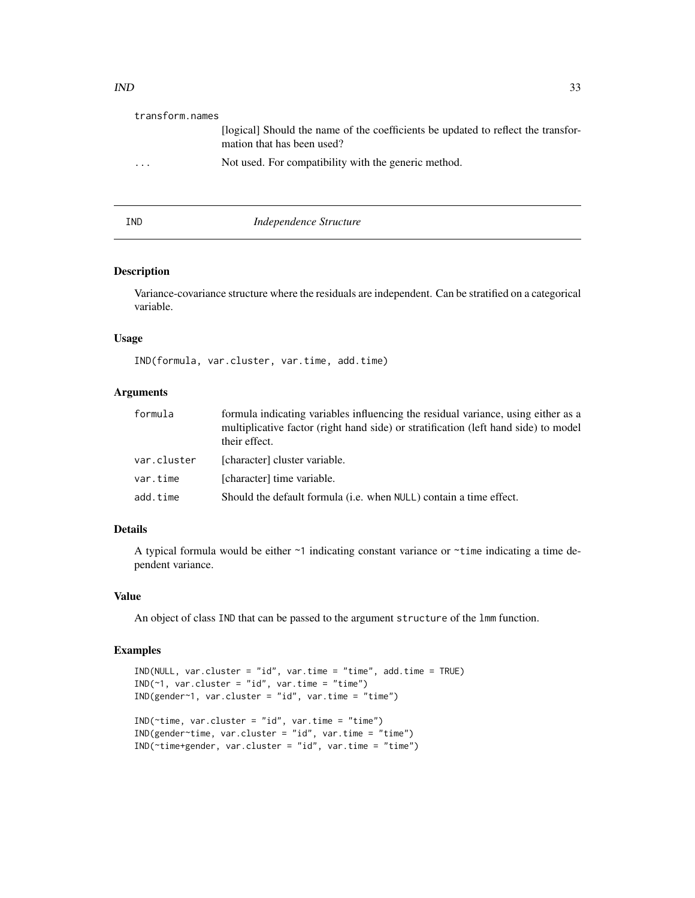<span id="page-32-0"></span>

| transform.names |                                                                                                                 |
|-----------------|-----------------------------------------------------------------------------------------------------------------|
|                 | [logical] Should the name of the coefficients be updated to reflect the transfor-<br>mation that has been used? |
| $\cdots$        | Not used. For compatibility with the generic method.                                                            |
|                 |                                                                                                                 |

# IND *Independence Structure*

#### Description

Variance-covariance structure where the residuals are independent. Can be stratified on a categorical variable.

### Usage

IND(formula, var.cluster, var.time, add.time)

# Arguments

| formula     | formula indicating variables influencing the residual variance, using either as a<br>multiplicative factor (right hand side) or stratification (left hand side) to model<br>their effect. |
|-------------|-------------------------------------------------------------------------------------------------------------------------------------------------------------------------------------------|
| var.cluster | [character] cluster variable.                                                                                                                                                             |
| var.time    | [character] time variable.                                                                                                                                                                |
| add.time    | Should the default formula ( <i>i.e.</i> when NULL) contain a time effect.                                                                                                                |

### Details

A typical formula would be either ~1 indicating constant variance or ~time indicating a time dependent variance.

### Value

An object of class IND that can be passed to the argument structure of the lmm function.

```
IND(NULL, var.cluster = "id", var.time = "time", add.time = TRUE)
IND(~1, var.cluster = "id", var.time = "time")
IND(gender~1, var.cluster = "id", var.time = "time")
IND(~time, var.cluster = "id", var.time = "time")
IND(gender~time, var.cluster = "id", var.time = "time")
IND(~time+gender, var.cluster = "id", var.time = "time")
```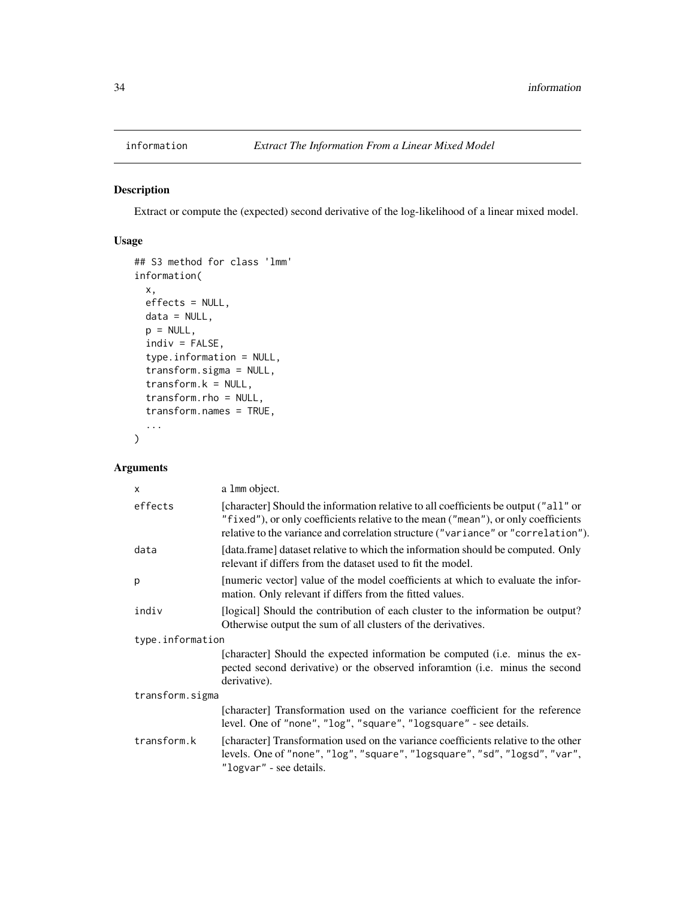<span id="page-33-0"></span>

Extract or compute the (expected) second derivative of the log-likelihood of a linear mixed model.

# Usage

```
## S3 method for class 'lmm'
information(
 x,
 effects = NULL,
 data = NULL,
 p = NULL,indiv = FALSE,
  type.information = NULL,
  transform.sigma = NULL,
  transform.k = NULL,
  transform.rho = NULL,
  transform.names = TRUE,
  ...
)
```

| X                | a 1mm object.                                                                                                                                                                                                                                                  |  |
|------------------|----------------------------------------------------------------------------------------------------------------------------------------------------------------------------------------------------------------------------------------------------------------|--|
| effects          | [character] Should the information relative to all coefficients be output ("all" or<br>"fixed"), or only coefficients relative to the mean ("mean"), or only coefficients<br>relative to the variance and correlation structure ("variance" or "correlation"). |  |
| data             | [data.frame] dataset relative to which the information should be computed. Only<br>relevant if differs from the dataset used to fit the model.                                                                                                                 |  |
| p                | [numeric vector] value of the model coefficients at which to evaluate the infor-<br>mation. Only relevant if differs from the fitted values.                                                                                                                   |  |
| indiv            | [logical] Should the contribution of each cluster to the information be output?<br>Otherwise output the sum of all clusters of the derivatives.                                                                                                                |  |
| type.information |                                                                                                                                                                                                                                                                |  |
|                  | [character] Should the expected information be computed (i.e. minus the ex-<br>pected second derivative) or the observed inforamtion (i.e. minus the second<br>derivative).                                                                                    |  |
| transform.sigma  |                                                                                                                                                                                                                                                                |  |
|                  | [character] Transformation used on the variance coefficient for the reference<br>level. One of "none", "log", "square", "logsquare" - see details.                                                                                                             |  |
| transform.k      | [character] Transformation used on the variance coefficients relative to the other<br>levels. One of "none", "log", "square", "logsquare", "sd", "logsd", "var",<br>"logvar" - see details.                                                                    |  |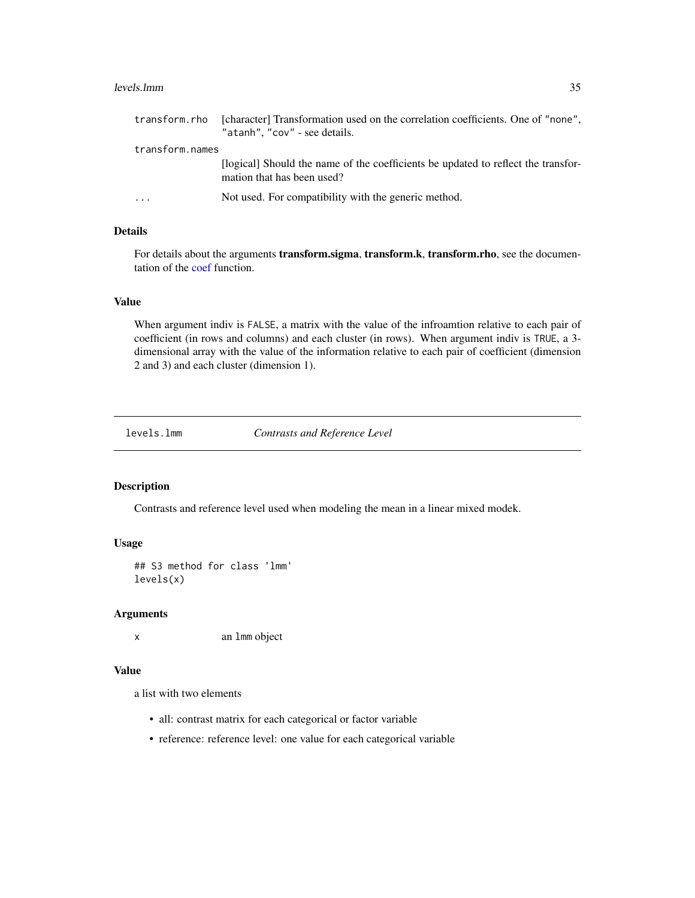#### <span id="page-34-0"></span>levels.lmm 35

| transform.rho   | [character] Transformation used on the correlation coefficients. One of "none",<br>"atanh", "cov" - see details. |
|-----------------|------------------------------------------------------------------------------------------------------------------|
| transform.names |                                                                                                                  |
|                 | [logical] Should the name of the coefficients be updated to reflect the transfor-<br>mation that has been used?  |
| $\cdots$        | Not used. For compatibility with the generic method.                                                             |

# Details

For details about the arguments **transform.sigma, transform.k, transform.rho**, see the documentation of the [coef](#page-15-2) function.

### Value

When argument indiv is FALSE, a matrix with the value of the infroamtion relative to each pair of coefficient (in rows and columns) and each cluster (in rows). When argument indiv is TRUE, a 3 dimensional array with the value of the information relative to each pair of coefficient (dimension 2 and 3) and each cluster (dimension 1).

levels.lmm *Contrasts and Reference Level*

# Description

Contrasts and reference level used when modeling the mean in a linear mixed modek.

### Usage

## S3 method for class 'lmm' levels(x)

#### Arguments

x an lmm object

### Value

a list with two elements

- all: contrast matrix for each categorical or factor variable
- reference: reference level: one value for each categorical variable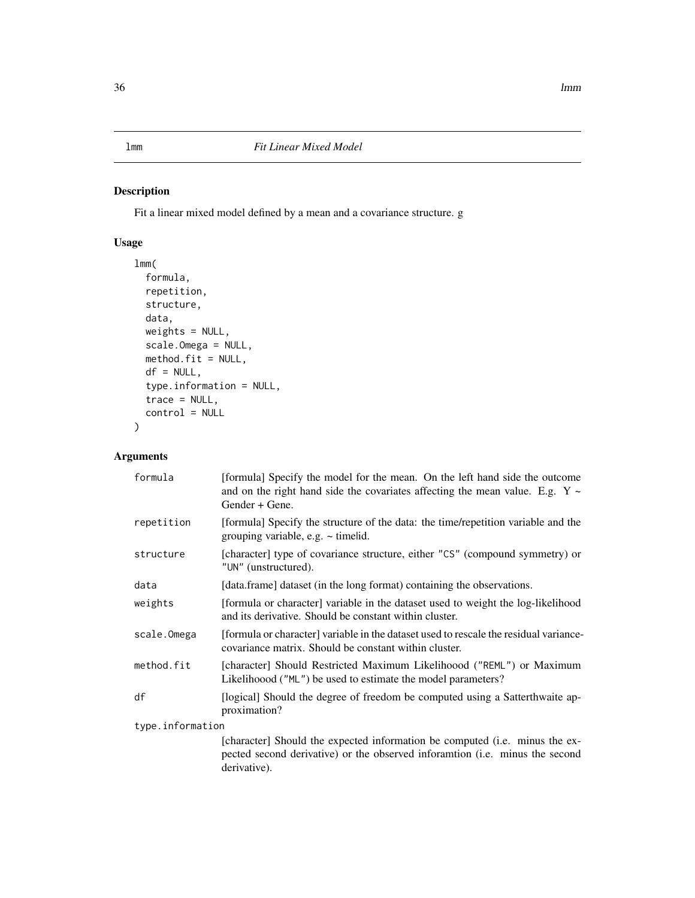<span id="page-35-1"></span><span id="page-35-0"></span>Fit a linear mixed model defined by a mean and a covariance structure. g

# Usage

```
lmm(
  formula,
  repetition,
  structure,
  data,
  weights = NULL,
  scale.Omega = NULL,
  method.fit = NULL,
  df = NULL,type.information = NULL,
  trace = NULL,
  control = NULL
)
```

| formula          | [formula] Specify the model for the mean. On the left hand side the outcome<br>and on the right hand side the covariates affecting the mean value. E.g. $Y \sim$<br>Gender + Gene. |  |
|------------------|------------------------------------------------------------------------------------------------------------------------------------------------------------------------------------|--|
| repetition       | [formula] Specify the structure of the data: the time/repetition variable and the<br>grouping variable, e.g. $\sim$ timelid.                                                       |  |
| structure        | [character] type of covariance structure, either "CS" (compound symmetry) or<br>"UN" (unstructured).                                                                               |  |
| data             | [data.frame] dataset (in the long format) containing the observations.                                                                                                             |  |
| weights          | [formula or character] variable in the dataset used to weight the log-likelihood<br>and its derivative. Should be constant within cluster.                                         |  |
| scale.Omega      | [formula or character] variable in the dataset used to rescale the residual variance-<br>covariance matrix. Should be constant within cluster.                                     |  |
| method.fit       | [character] Should Restricted Maximum Likelihoood ("REML") or Maximum<br>Likelihoood ("ML") be used to estimate the model parameters?                                              |  |
| df               | [logical] Should the degree of freedom be computed using a Satterthwaite ap-<br>proximation?                                                                                       |  |
| type.information |                                                                                                                                                                                    |  |
|                  | [character] Should the expected information be computed (i.e. minus the ex-<br>pected second derivative) or the observed inforamtion (i.e. minus the second<br>derivative).        |  |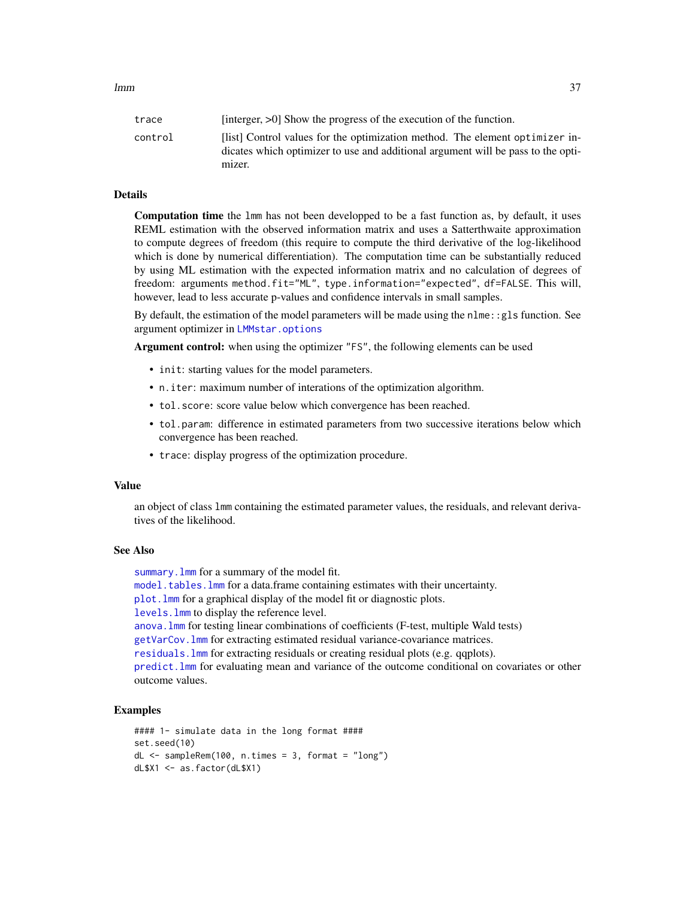<span id="page-36-0"></span>

| trace   | [interger, $>0$ ] Show the progress of the execution of the function.                                                                                            |
|---------|------------------------------------------------------------------------------------------------------------------------------------------------------------------|
| control | [list] Control values for the optimization method. The element optimizer in-<br>dicates which optimizer to use and additional argument will be pass to the opti- |
|         | mizer.                                                                                                                                                           |

#### Details

Computation time the lmm has not been developped to be a fast function as, by default, it uses REML estimation with the observed information matrix and uses a Satterthwaite approximation to compute degrees of freedom (this require to compute the third derivative of the log-likelihood which is done by numerical differentiation). The computation time can be substantially reduced by using ML estimation with the expected information matrix and no calculation of degrees of freedom: arguments method.fit="ML", type.information="expected", df=FALSE. This will, however, lead to less accurate p-values and confidence intervals in small samples.

By default, the estimation of the model parameters will be made using the  $n = 1$ : gls function. See argument optimizer in [LMMstar.options](#page-38-0)

Argument control: when using the optimizer "FS", the following elements can be used

- init: starting values for the model parameters.
- n.iter: maximum number of interations of the optimization algorithm.
- tol.score: score value below which convergence has been reached.
- tol.param: difference in estimated parameters from two successive iterations below which convergence has been reached.
- trace: display progress of the optimization procedure.

#### Value

an object of class lmm containing the estimated parameter values, the residuals, and relevant derivatives of the likelihood.

#### See Also

summary.  $lmm$  for a summary of the model fit. [model.tables.lmm](#page-43-0) for a data.frame containing estimates with their uncertainty. [plot.lmm](#page-46-0) for a graphical display of the model fit or diagnostic plots. [levels.lmm](#page-34-0) to display the reference level. [anova.lmm](#page-5-0) for testing linear combinations of coefficients (F-test, multiple Wald tests) [getVarCov.lmm](#page-29-0) for extracting estimated residual variance-covariance matrices. [residuals.lmm](#page-52-0) for extracting residuals or creating residual plots (e.g. qqplots). [predict.lmm](#page-49-0) for evaluating mean and variance of the outcome conditional on covariates or other outcome values.

# Examples

```
#### 1- simulate data in the long format ####
set.seed(10)
dL \leq - sampleRem(100, n.times = 3, format = "long")
dL$X1 <- as.factor(dL$X1)
```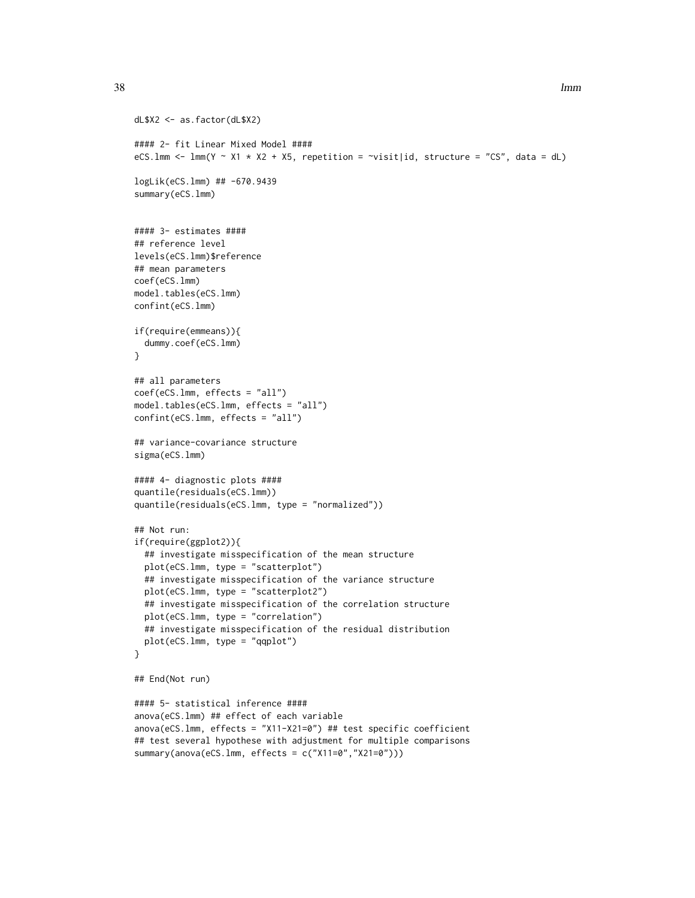```
dL$X2 <- as.factor(dL$X2)
#### 2- fit Linear Mixed Model ####
eCS.lmm <- lmm(Y \sim X1 \times X2 + X5, repetition = \sim visit|id, structure = "CS", data = dL)
logLik(eCS.lmm) ## -670.9439
summary(eCS.lmm)
#### 3- estimates ####
## reference level
levels(eCS.lmm)$reference
## mean parameters
coef(eCS.lmm)
model.tables(eCS.lmm)
confint(eCS.lmm)
if(require(emmeans)){
  dummy.coef(eCS.lmm)
}
## all parameters
coef(eCS.lmm, effects = "all")
model.tables(eCS.lmm, effects = "all")
confint(eCS.lmm, effects = "all")
## variance-covariance structure
sigma(eCS.lmm)
#### 4- diagnostic plots ####
quantile(residuals(eCS.lmm))
quantile(residuals(eCS.lmm, type = "normalized"))
## Not run:
if(require(ggplot2)){
  ## investigate misspecification of the mean structure
  plot(eCS.lmm, type = "scatterplot")
  ## investigate misspecification of the variance structure
  plot(eCS.lmm, type = "scatterplot2")
  ## investigate misspecification of the correlation structure
  plot(eCS.lmm, type = "correlation")
  ## investigate misspecification of the residual distribution
  plot(eCS.lmm, type = "qqplot")
}
## End(Not run)
#### 5- statistical inference ####
anova(eCS.lmm) ## effect of each variable
anova(eCS.lmm, effects = "X11-X21=0") ## test specific coefficient
## test several hypothese with adjustment for multiple comparisons
summary(anova(eCS.lmm, effects = c("X11=0","X21=0")))
```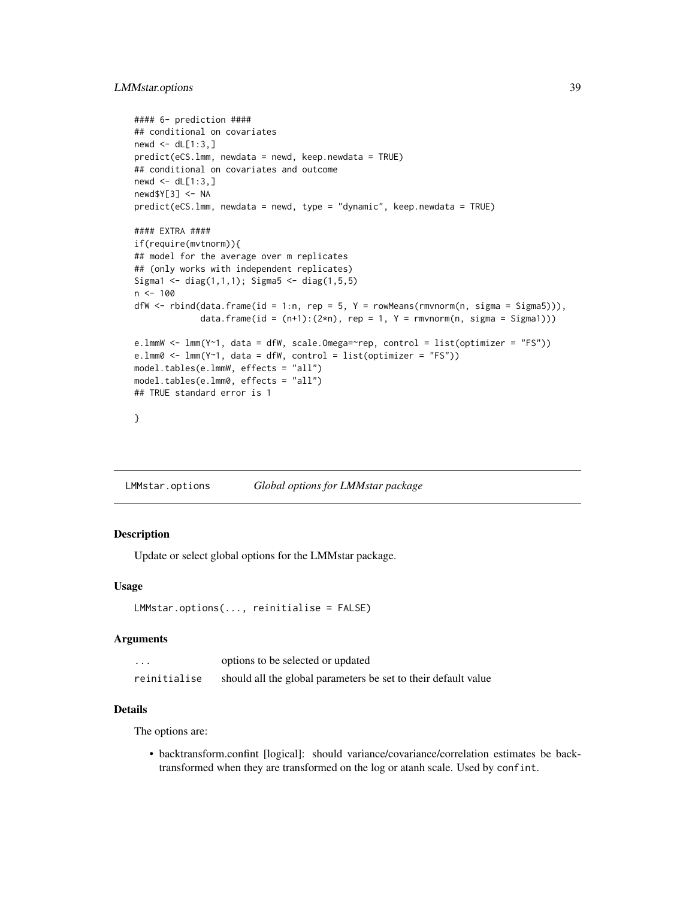# <span id="page-38-1"></span>LMMstar.options 39

```
#### 6- prediction ####
## conditional on covariates
newd \leftarrow dL[1:3, ]predict(eCS.lmm, newdata = newd, keep.newdata = TRUE)
## conditional on covariates and outcome
newd \leftarrow dL[1:3, ]newd$Y[3] <- NA
predict(eCS.lmm, newdata = newd, type = "dynamic", keep.newdata = TRUE)
#### EXTRA ####
if(require(mvtnorm)){
## model for the average over m replicates
## (only works with independent replicates)
Sigma1 <- diag(1,1,1); Sigma5 <- diag(1,5,5)
n < - 100dfW \leftarrow rbind(data.frame(id = 1:n, rep = 5, Y = rowMeans(rmvnorm(n, sigma = Sigma5))),
             data.frame(id = (n+1):(2*n), rep = 1, Y = rmvnorm(n, sigma = Sigma1)))
e.lmmW <- lmm(Y~1, data = dfW, scale.Omega=~rep, control = list(optimizer = "FS"))
e.lmm0 <- lmm(Y<sup>1</sup>), data = dfW, control = list(optimizer = "FS"))
model.tables(e.lmmW, effects = "all")
model.tables(e.lmm0, effects = "all")
## TRUE standard error is 1
}
```
<span id="page-38-0"></span>LMMstar.options *Global options for LMMstar package*

### Description

Update or select global options for the LMMstar package.

#### Usage

```
LMMstar.options(..., reinitialise = FALSE)
```
#### Arguments

| $\cdots$     | options to be selected or updated                              |
|--------------|----------------------------------------------------------------|
| reinitialise | should all the global parameters be set to their default value |

# Details

The options are:

• backtransform.confint [logical]: should variance/covariance/correlation estimates be backtransformed when they are transformed on the log or atanh scale. Used by confint.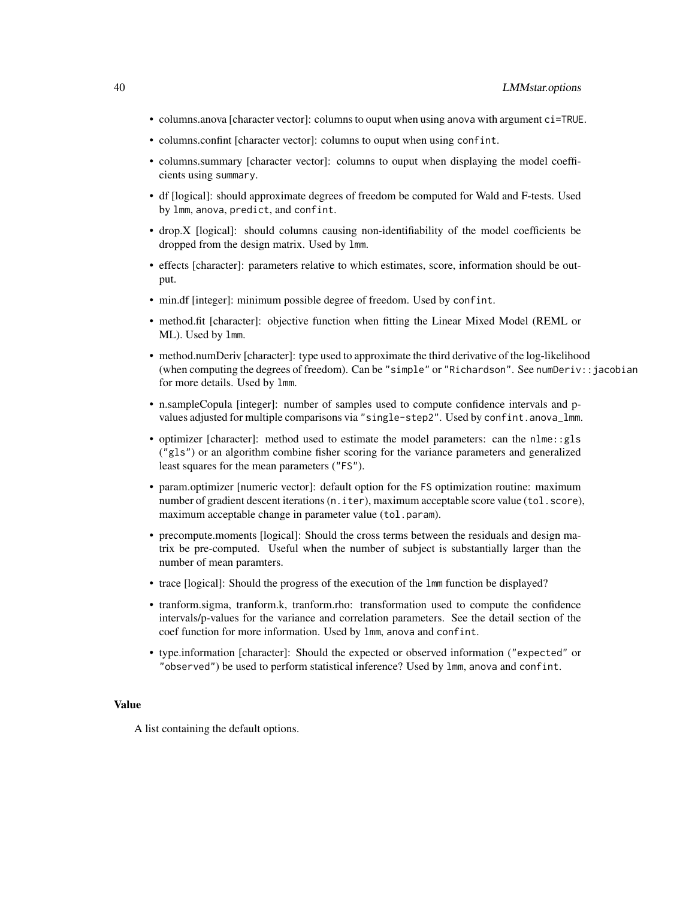- columns.anova [character vector]: columns to ouput when using anova with argument ci=TRUE.
- columns.confint [character vector]: columns to ouput when using confint.
- columns.summary [character vector]: columns to ouput when displaying the model coefficients using summary.
- df [logical]: should approximate degrees of freedom be computed for Wald and F-tests. Used by lmm, anova, predict, and confint.
- drop.X [logical]: should columns causing non-identifiability of the model coefficients be dropped from the design matrix. Used by lmm.
- effects [character]: parameters relative to which estimates, score, information should be output.
- min.df [integer]: minimum possible degree of freedom. Used by confint.
- method.fit [character]: objective function when fitting the Linear Mixed Model (REML or ML). Used by lmm.
- method.numDeriv [character]: type used to approximate the third derivative of the log-likelihood (when computing the degrees of freedom). Can be "simple" or "Richardson". See numDeriv::jacobian for more details. Used by lmm.
- n.sampleCopula [integer]: number of samples used to compute confidence intervals and pvalues adjusted for multiple comparisons via "single-step2". Used by confint.anova\_lmm.
- optimizer [character]: method used to estimate the model parameters: can the nlme::gls ("gls") or an algorithm combine fisher scoring for the variance parameters and generalized least squares for the mean parameters ("FS").
- param.optimizer [numeric vector]: default option for the FS optimization routine: maximum number of gradient descent iterations (n. iter), maximum acceptable score value (tol.score), maximum acceptable change in parameter value (tol.param).
- precompute.moments [logical]: Should the cross terms between the residuals and design matrix be pre-computed. Useful when the number of subject is substantially larger than the number of mean paramters.
- trace [logical]: Should the progress of the execution of the lmm function be displayed?
- tranform.sigma, tranform.k, tranform.rho: transformation used to compute the confidence intervals/p-values for the variance and correlation parameters. See the detail section of the coef function for more information. Used by lmm, anova and confint.
- type.information [character]: Should the expected or observed information ("expected" or "observed") be used to perform statistical inference? Used by lmm, anova and confint.

# Value

A list containing the default options.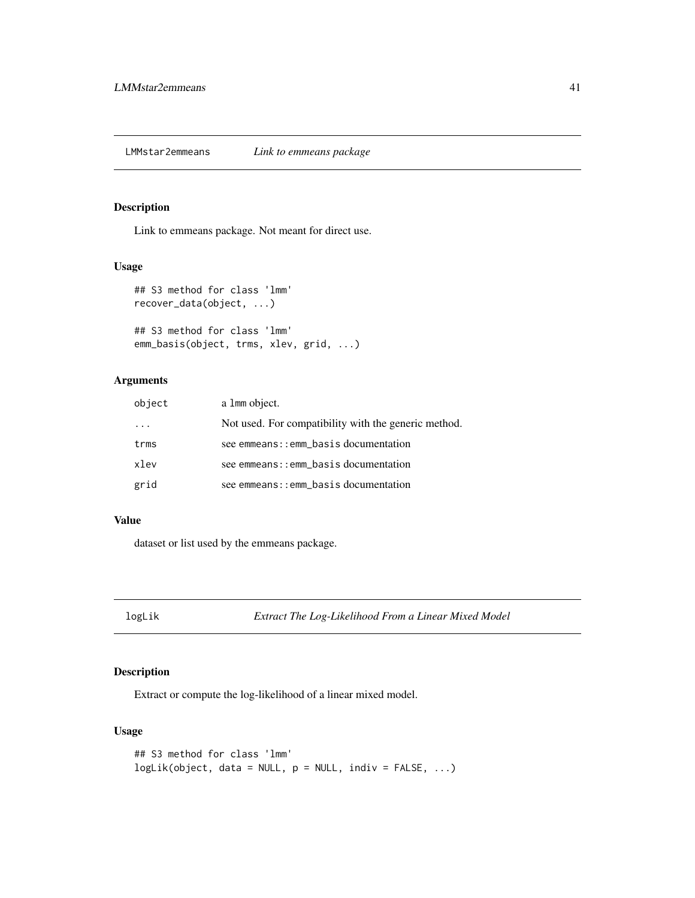# <span id="page-40-0"></span>Description

Link to emmeans package. Not meant for direct use.

#### Usage

```
## S3 method for class 'lmm'
recover_data(object, ...)
## S3 method for class 'lmm'
emm_basis(object, trms, xlev, grid, ...)
```
# Arguments

| object | a 1mm object.                                        |
|--------|------------------------------------------------------|
|        | Not used. For compatibility with the generic method. |
| trms   | see emmeans:: emm_basis documentation                |
| xlev   | see emmeans:: emm_basis documentation                |
| grid   | see emmeans:: emm_basis documentation                |

### Value

dataset or list used by the emmeans package.

logLik *Extract The Log-Likelihood From a Linear Mixed Model*

# Description

Extract or compute the log-likelihood of a linear mixed model.

```
## S3 method for class 'lmm'
logLik(object, data = NULL, p = NULL, indiv = FALSE, ...)
```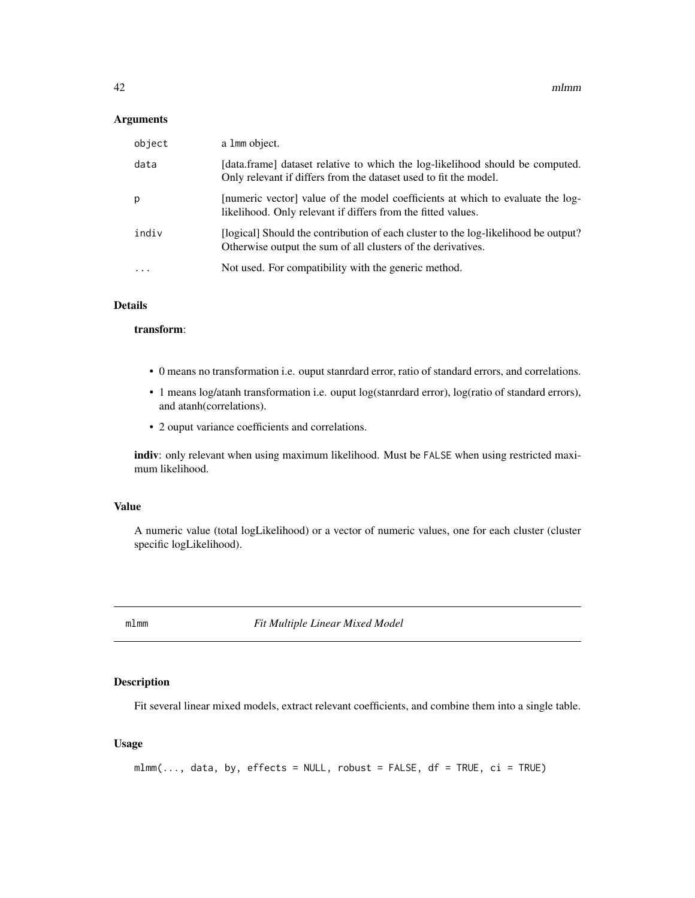#### <span id="page-41-0"></span>Arguments

| object    | a 1mm object.                                                                                                                                      |
|-----------|----------------------------------------------------------------------------------------------------------------------------------------------------|
| data      | [data.frame] dataset relative to which the log-likelihood should be computed.<br>Only relevant if differs from the dataset used to fit the model.  |
| p         | [numeric vector] value of the model coefficients at which to evaluate the log-<br>likelihood. Only relevant if differs from the fitted values.     |
| indiv     | [logical] Should the contribution of each cluster to the log-likelihood be output?<br>Otherwise output the sum of all clusters of the derivatives. |
| $\ddotsc$ | Not used. For compatibility with the generic method.                                                                                               |

# Details

# transform:

- 0 means no transformation i.e. ouput stanrdard error, ratio of standard errors, and correlations.
- 1 means log/atanh transformation i.e. ouput log(stanrdard error), log(ratio of standard errors), and atanh(correlations).
- 2 ouput variance coefficients and correlations.

indiv: only relevant when using maximum likelihood. Must be FALSE when using restricted maximum likelihood.

### Value

A numeric value (total logLikelihood) or a vector of numeric values, one for each cluster (cluster specific logLikelihood).

mlmm *Fit Multiple Linear Mixed Model*

# Description

Fit several linear mixed models, extract relevant coefficients, and combine them into a single table.

```
mlmm(..., data, by, effects = NULL, robust = FALSE, df = TRUE, ci = TRUE)
```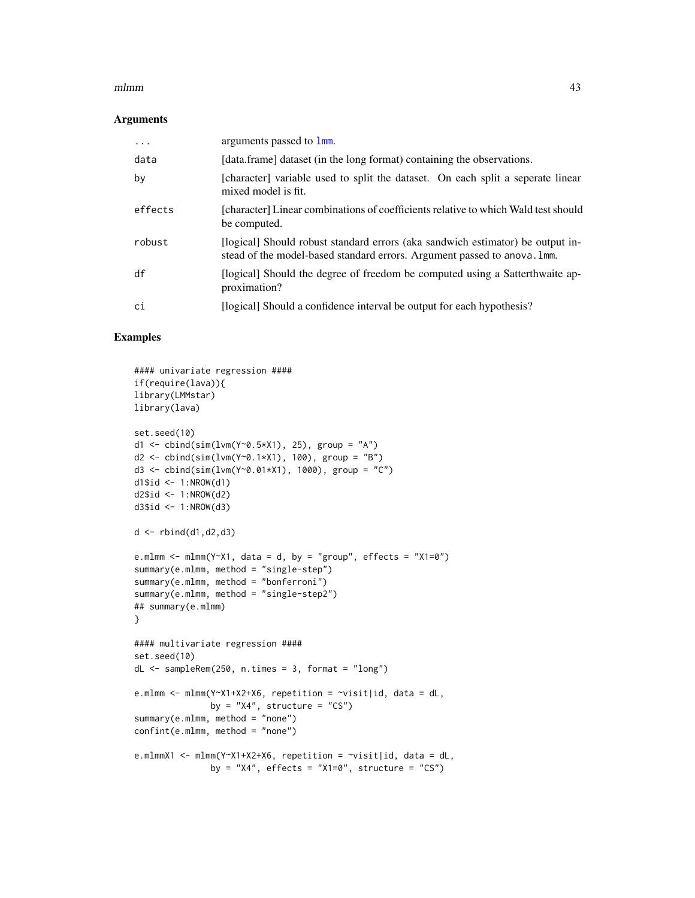#### <span id="page-42-0"></span> $mlmm$  and  $43$

#### Arguments

| $\cdots$ | arguments passed to 1mm.                                                                                                                                   |
|----------|------------------------------------------------------------------------------------------------------------------------------------------------------------|
| data     | [data.frame] dataset (in the long format) containing the observations.                                                                                     |
| by       | [character] variable used to split the dataset. On each split a seperate linear<br>mixed model is fit.                                                     |
| effects  | [character] Linear combinations of coefficients relative to which Wald test should<br>be computed.                                                         |
| robust   | [logical] Should robust standard errors (aka sandwich estimator) be output in-<br>stead of the model-based standard errors. Argument passed to anova. 1mm. |
| df       | [logical] Should the degree of freedom be computed using a Satterthwaite ap-<br>proximation?                                                               |
| сi       | [logical] Should a confidence interval be output for each hypothesis?                                                                                      |
|          |                                                                                                                                                            |

# Examples

```
#### univariate regression ####
if(require(lava)){
library(LMMstar)
library(lava)
set.seed(10)
d1 <- cbind(sim(lvm(Y~0.5*X1), 25), group = "A")
d2 <- cbind(sim(lvm(Y~0.1*X1), 100), group = "B")
d3 <- cbind(sim(lvm(Y~0.01*X1), 1000), group = "C")
d1$id <- 1:NROW(d1)
d2$id \leftarrow 1:NROW(d2)
d3$id <- 1:NROW(d3)
d \leftarrow \text{rbind}(d1, d2, d3)e.mlmm <- mlmm(Y~X1, data = d, by = "group", effects = "X1=0")
summary(e.mlmm, method = "single-step")
summary(e.mlmm, method = "bonferroni")
summary(e.mlmm, method = "single-step2")
## summary(e.mlmm)
}
#### multivariate regression ####
set.seed(10)
dL <- sampleRem(250, n.times = 3, format = "long")
e.mlmm <- mlmm(Y~X1+X2+X6, repetition = \simvisit|id, data = dL,
               by = "X4", structure = "CS")
summary(e.mlmm, method = "none")
confint(e.mlmm, method = "none")
e.mlmmX1 <- mlmm(Y~X1+X2+X6, repetition = ~visit|id, data = dL,
               by = "X4", effects = "X1=0", structure = "CS")
```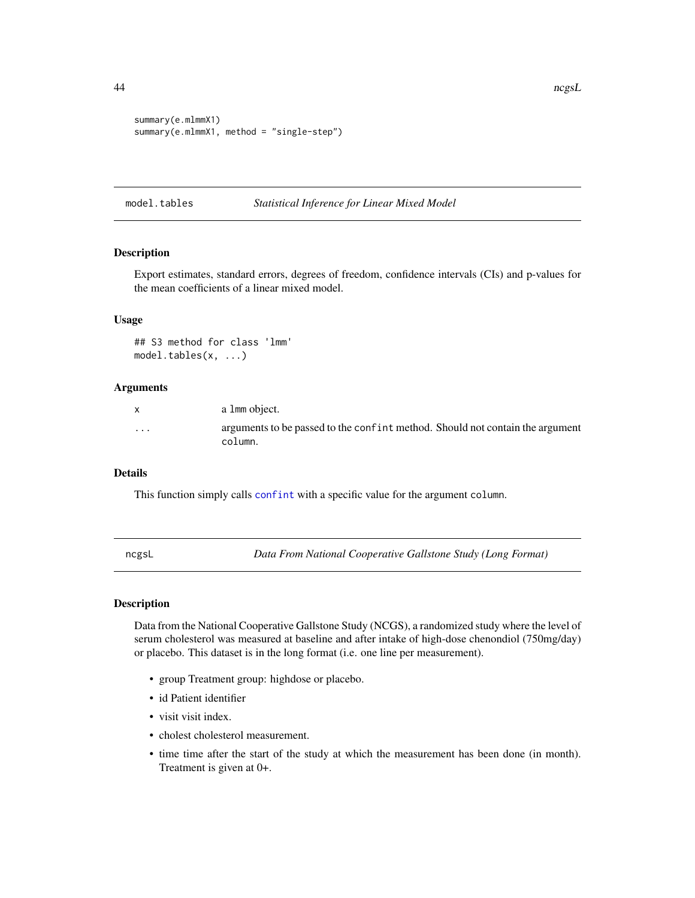```
summary(e.mlmmX1)
summary(e.mlmmX1, method = "single-step")
```
model.tables *Statistical Inference for Linear Mixed Model*

### <span id="page-43-0"></span>Description

Export estimates, standard errors, degrees of freedom, confidence intervals (CIs) and p-values for the mean coefficients of a linear mixed model.

#### Usage

## S3 method for class 'lmm' model.tables(x, ...)

#### Arguments

| X | a 1 mm object.                                                                           |
|---|------------------------------------------------------------------------------------------|
| . | arguments to be passed to the confint method. Should not contain the argument<br>column. |

# Details

This function simply calls [confint](#page-17-0) with a specific value for the argument column.

ncgsL *Data From National Cooperative Gallstone Study (Long Format)*

#### Description

Data from the National Cooperative Gallstone Study (NCGS), a randomized study where the level of serum cholesterol was measured at baseline and after intake of high-dose chenondiol (750mg/day) or placebo. This dataset is in the long format (i.e. one line per measurement).

- group Treatment group: highdose or placebo.
- id Patient identifier
- visit visit index.
- cholest cholesterol measurement.
- time time after the start of the study at which the measurement has been done (in month). Treatment is given at 0+.

<span id="page-43-1"></span>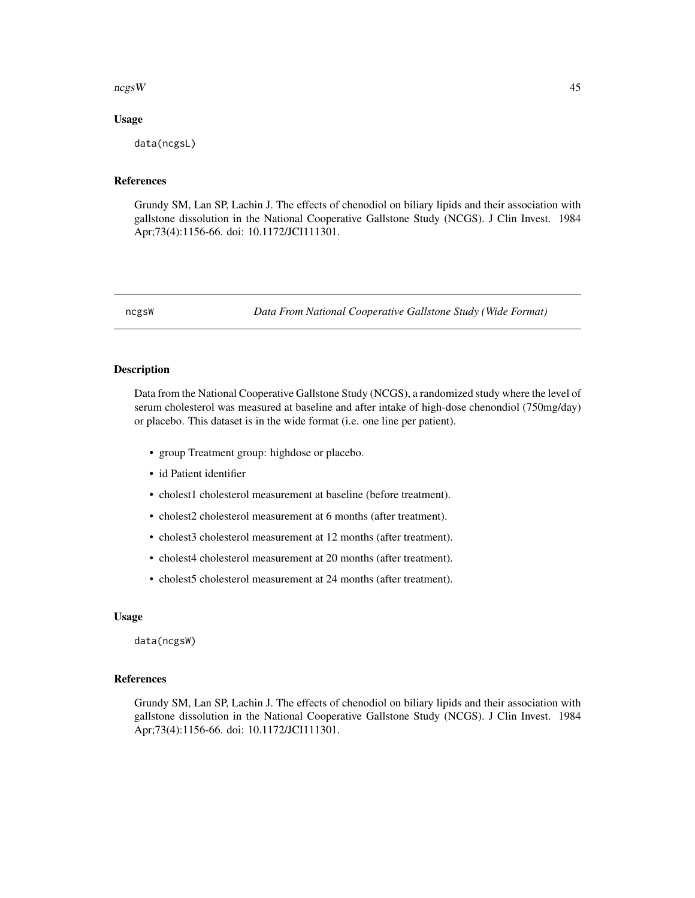#### <span id="page-44-0"></span> $\log W$  45

#### Usage

data(ncgsL)

# References

Grundy SM, Lan SP, Lachin J. The effects of chenodiol on biliary lipids and their association with gallstone dissolution in the National Cooperative Gallstone Study (NCGS). J Clin Invest. 1984 Apr;73(4):1156-66. doi: 10.1172/JCI111301.

ncgsW *Data From National Cooperative Gallstone Study (Wide Format)*

# Description

Data from the National Cooperative Gallstone Study (NCGS), a randomized study where the level of serum cholesterol was measured at baseline and after intake of high-dose chenondiol (750mg/day) or placebo. This dataset is in the wide format (i.e. one line per patient).

- group Treatment group: highdose or placebo.
- id Patient identifier
- cholest1 cholesterol measurement at baseline (before treatment).
- cholest2 cholesterol measurement at 6 months (after treatment).
- cholest3 cholesterol measurement at 12 months (after treatment).
- cholest4 cholesterol measurement at 20 months (after treatment).
- cholest5 cholesterol measurement at 24 months (after treatment).

#### Usage

data(ncgsW)

#### References

Grundy SM, Lan SP, Lachin J. The effects of chenodiol on biliary lipids and their association with gallstone dissolution in the National Cooperative Gallstone Study (NCGS). J Clin Invest. 1984 Apr;73(4):1156-66. doi: 10.1172/JCI111301.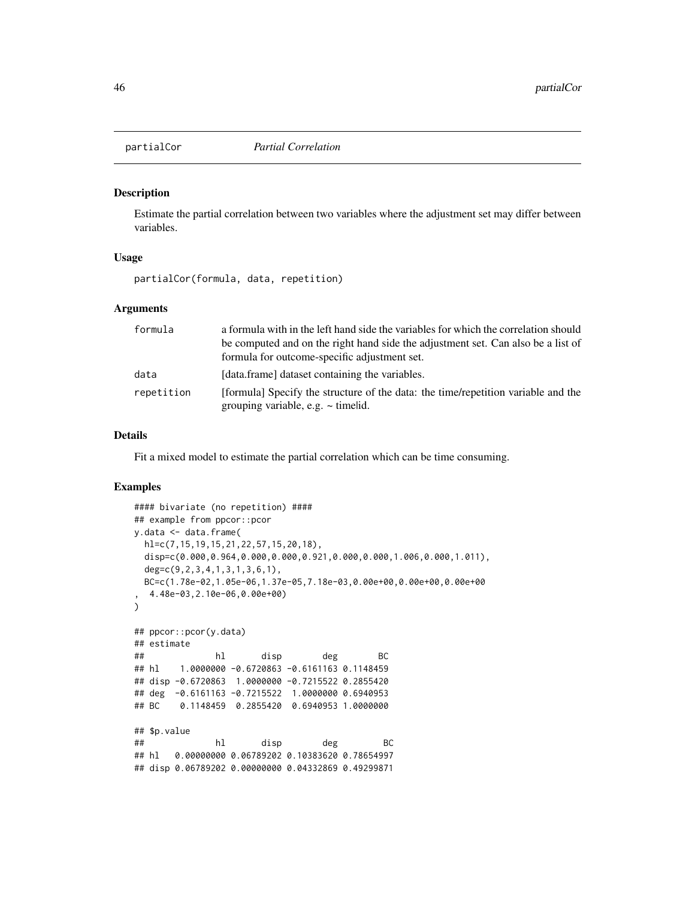<span id="page-45-0"></span>

# Description

Estimate the partial correlation between two variables where the adjustment set may differ between variables.

#### Usage

partialCor(formula, data, repetition)

#### Arguments

| formula    | a formula with in the left hand side the variables for which the correlation should                                          |
|------------|------------------------------------------------------------------------------------------------------------------------------|
|            | be computed and on the right hand side the adjustment set. Can also be a list of                                             |
|            | formula for outcome-specific adjustment set.                                                                                 |
| data       | [data.frame] dataset containing the variables.                                                                               |
| repetition | [formula] Specify the structure of the data: the time/repetition variable and the<br>grouping variable, e.g. $\sim$ timelid. |

# Details

Fit a mixed model to estimate the partial correlation which can be time consuming.

# Examples

```
#### bivariate (no repetition) ####
## example from ppcor::pcor
y.data <- data.frame(
 hl=c(7,15,19,15,21,22,57,15,20,18),
 disp=c(0.000,0.964,0.000,0.000,0.921,0.000,0.000,1.006,0.000,1.011),
 deg=c(9,2,3,4,1,3,1,3,6,1),
 BC=c(1.78e-02,1.05e-06,1.37e-05,7.18e-03,0.00e+00,0.00e+00,0.00e+00
  , 4.48e-03,2.10e-06,0.00e+00)
)
## ppcor::pcor(y.data)
## estimate
## hl disp deg BC
## hl 1.0000000 -0.6720863 -0.6161163 0.1148459
## disp -0.6720863 1.0000000 -0.7215522 0.2855420
## deg -0.6161163 -0.7215522 1.0000000 0.6940953
## BC 0.1148459 0.2855420 0.6940953 1.0000000
## $p.value
## hl disp deg BC
## hl 0.00000000 0.06789202 0.10383620 0.78654997
## disp 0.06789202 0.00000000 0.04332869 0.49299871
```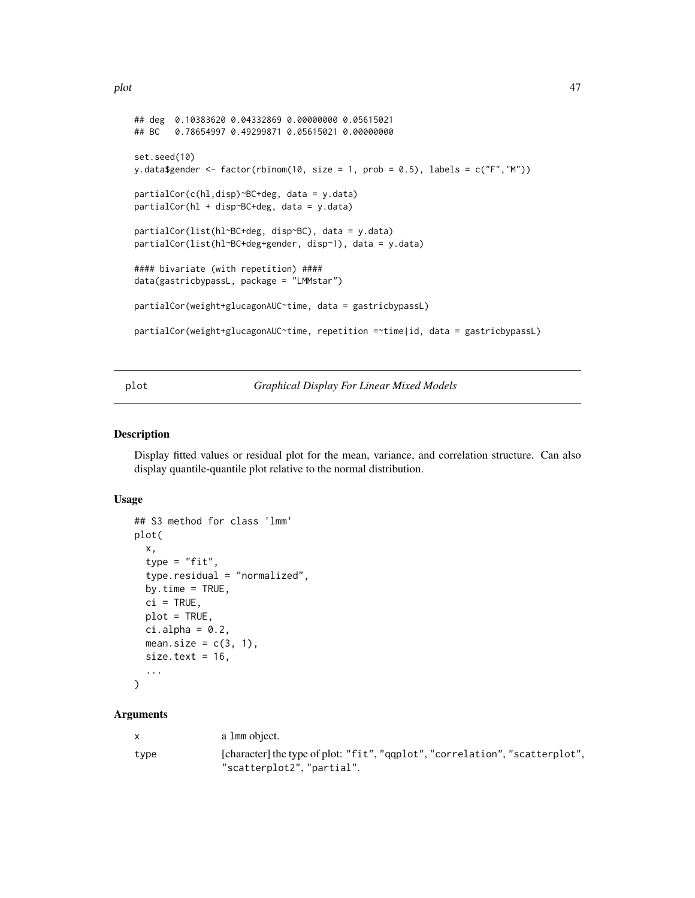```
## deg 0.10383620 0.04332869 0.00000000 0.05615021
## BC 0.78654997 0.49299871 0.05615021 0.00000000
set.seed(10)
y.data$gender <- factor(rbinom(10, size = 1, prob = 0.5), labels = c("F", "M"))
partialCor(c(hl,disp)~BC+deg, data = y.data)
partialCor(hl + disp~BC+deg, data = y.data)
partialCor(list(hl~BC+deg, disp~BC), data = y.data)
partialCor(list(hl~BC+deg+gender, disp~1), data = y.data)
#### bivariate (with repetition) ####
data(gastricbypassL, package = "LMMstar")
partialCor(weight+glucagonAUC~time, data = gastricbypassL)
partialCor(weight+glucagonAUC~time, repetition =~time|id, data = gastricbypassL)
```
#### plot *Graphical Display For Linear Mixed Models*

#### <span id="page-46-0"></span>Description

Display fitted values or residual plot for the mean, variance, and correlation structure. Can also display quantile-quantile plot relative to the normal distribution.

#### Usage

```
## S3 method for class 'lmm'
plot(
  x,
  type = "fit",type.residual = "normalized",
  by.time = TRUE,
 ci = TRUE,plot = TRUE,
  ci.alpha = 0.2,mean.size = c(3, 1),
  size.text = 16,
  ...
)
```
#### Arguments

|      | a 1mm object.                                                                                              |
|------|------------------------------------------------------------------------------------------------------------|
| type | [character] the type of plot: "fit", "gqplot", "correlation", "scatterplot",<br>"scatterplot2", "partial". |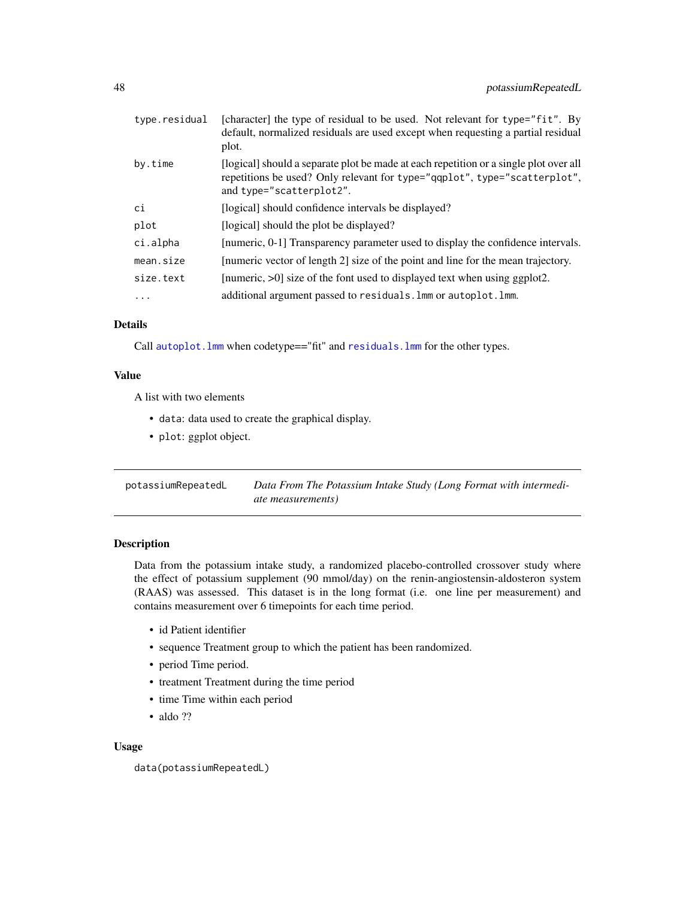<span id="page-47-0"></span>

| type.residual | [character] the type of residual to be used. Not relevant for type="fit". By<br>default, normalized residuals are used except when requesting a partial residual<br>plot.                      |
|---------------|------------------------------------------------------------------------------------------------------------------------------------------------------------------------------------------------|
| by.time       | [logical] should a separate plot be made at each repetition or a single plot over all<br>repetitions be used? Only relevant for type="qqplot", type="scatterplot",<br>and type="scatterplot2". |
| ci            | [logical] should confidence intervals be displayed?                                                                                                                                            |
| plot          | [logical] should the plot be displayed?                                                                                                                                                        |
| ci.alpha      | [numeric, 0-1] Transparency parameter used to display the confidence intervals.                                                                                                                |
| mean.size     | [numeric vector of length 2] size of the point and line for the mean trajectory.                                                                                                               |
| size.text     | [numeric, $>0$ ] size of the font used to displayed text when using ggplot2.                                                                                                                   |
| $\cdot$       | additional argument passed to residuals. Imm or autoplot. Imm.                                                                                                                                 |

# Details

Call autoplot. Imm when codetype=="fit" and residuals. Imm for the other types.

# Value

A list with two elements

- data: data used to create the graphical display.
- plot: ggplot object.

| potassiumRepeatedL | Data From The Potassium Intake Study (Long Format with intermedi- |
|--------------------|-------------------------------------------------------------------|
|                    | <i>ate measurements</i> )                                         |

# Description

Data from the potassium intake study, a randomized placebo-controlled crossover study where the effect of potassium supplement (90 mmol/day) on the renin-angiostensin-aldosteron system (RAAS) was assessed. This dataset is in the long format (i.e. one line per measurement) and contains measurement over 6 timepoints for each time period.

- id Patient identifier
- sequence Treatment group to which the patient has been randomized.
- period Time period.
- treatment Treatment during the time period
- time Time within each period
- aldo ??

```
data(potassiumRepeatedL)
```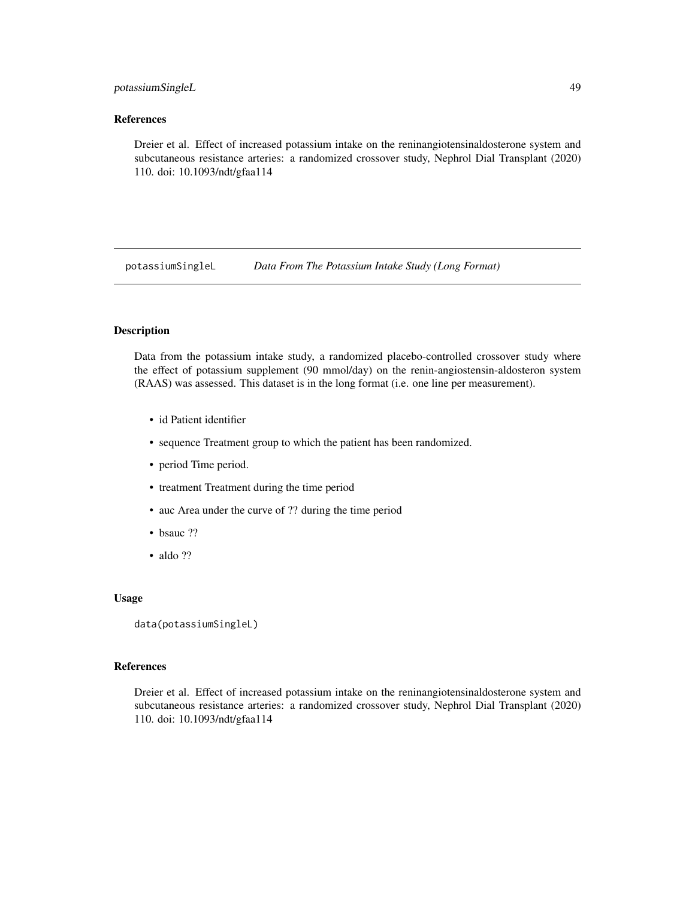# <span id="page-48-0"></span>potassiumSingleL 49

# References

Dreier et al. Effect of increased potassium intake on the reninangiotensinaldosterone system and subcutaneous resistance arteries: a randomized crossover study, Nephrol Dial Transplant (2020) 110. doi: 10.1093/ndt/gfaa114

potassiumSingleL *Data From The Potassium Intake Study (Long Format)*

# **Description**

Data from the potassium intake study, a randomized placebo-controlled crossover study where the effect of potassium supplement (90 mmol/day) on the renin-angiostensin-aldosteron system (RAAS) was assessed. This dataset is in the long format (i.e. one line per measurement).

- id Patient identifier
- sequence Treatment group to which the patient has been randomized.
- period Time period.
- treatment Treatment during the time period
- auc Area under the curve of ?? during the time period
- bsauc ??
- aldo ??

#### Usage

```
data(potassiumSingleL)
```
# References

Dreier et al. Effect of increased potassium intake on the reninangiotensinaldosterone system and subcutaneous resistance arteries: a randomized crossover study, Nephrol Dial Transplant (2020) 110. doi: 10.1093/ndt/gfaa114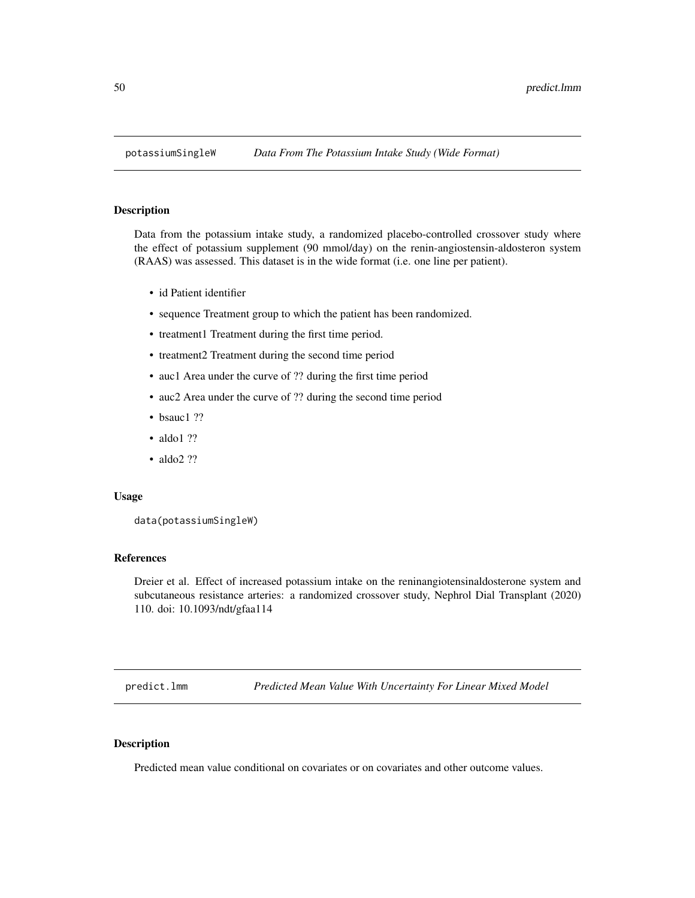<span id="page-49-1"></span>

#### Description

Data from the potassium intake study, a randomized placebo-controlled crossover study where the effect of potassium supplement (90 mmol/day) on the renin-angiostensin-aldosteron system (RAAS) was assessed. This dataset is in the wide format (i.e. one line per patient).

- id Patient identifier
- sequence Treatment group to which the patient has been randomized.
- treatment1 Treatment during the first time period.
- treatment2 Treatment during the second time period
- auc1 Area under the curve of ?? during the first time period
- auc2 Area under the curve of ?? during the second time period
- bsauc1 ??
- aldo1 ??
- aldo2 ??

#### Usage

```
data(potassiumSingleW)
```
#### References

Dreier et al. Effect of increased potassium intake on the reninangiotensinaldosterone system and subcutaneous resistance arteries: a randomized crossover study, Nephrol Dial Transplant (2020) 110. doi: 10.1093/ndt/gfaa114

<span id="page-49-0"></span>predict.lmm *Predicted Mean Value With Uncertainty For Linear Mixed Model*

# Description

Predicted mean value conditional on covariates or on covariates and other outcome values.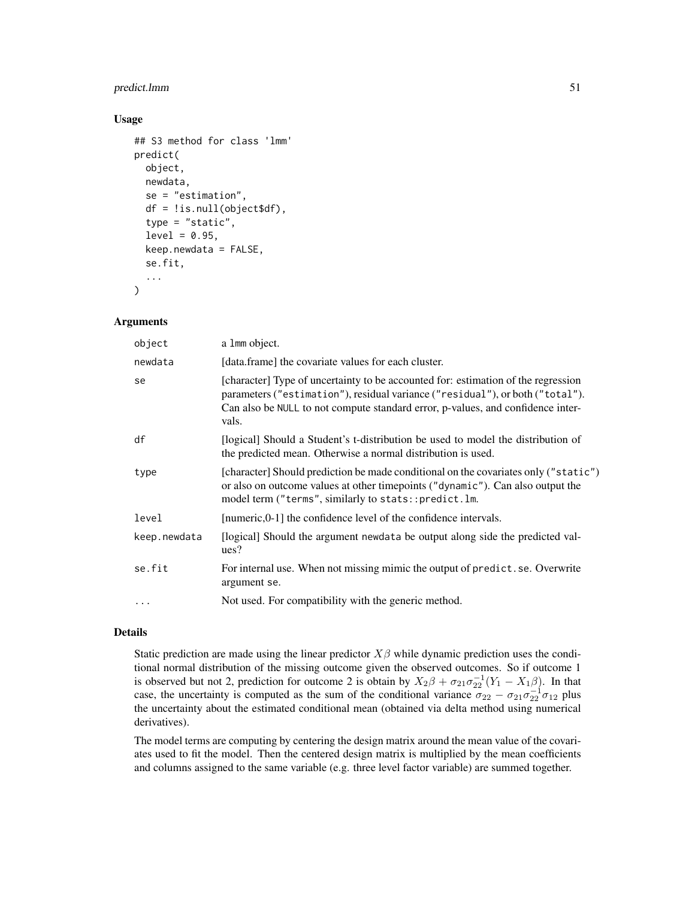# predict.lmm 51

#### Usage

```
## S3 method for class 'lmm'
predict(
 object,
  newdata,
  se = "estimation",
  df = !is.null(object$df),
  type = "static",
  level = 0.95,keep.newdata = FALSE,
  se.fit,
  ...
```
# )

# Arguments

| object       | a 1mm object.                                                                                                                                                                                                                                                  |
|--------------|----------------------------------------------------------------------------------------------------------------------------------------------------------------------------------------------------------------------------------------------------------------|
| newdata      | [data.frame] the covariate values for each cluster.                                                                                                                                                                                                            |
| se           | [character] Type of uncertainty to be accounted for: estimation of the regression<br>parameters ("estimation"), residual variance ("residual"), or both ("total").<br>Can also be NULL to not compute standard error, p-values, and confidence inter-<br>vals. |
| df           | [logical] Should a Student's t-distribution be used to model the distribution of<br>the predicted mean. Otherwise a normal distribution is used.                                                                                                               |
| type         | [character] Should prediction be made conditional on the covariates only ("static")<br>or also on outcome values at other time points ("dynamic"). Can also output the<br>model term ("terms", similarly to stats::predict.lm.                                 |
| level        | [numeric,0-1] the confidence level of the confidence intervals.                                                                                                                                                                                                |
| keep.newdata | [logical] Should the argument newdata be output along side the predicted val-<br>ues?                                                                                                                                                                          |
| se.fit       | For internal use. When not missing mimic the output of predict. se. Overwrite<br>argument se.                                                                                                                                                                  |
| $\cdots$     | Not used. For compatibility with the generic method.                                                                                                                                                                                                           |

### Details

Static prediction are made using the linear predictor  $X\beta$  while dynamic prediction uses the conditional normal distribution of the missing outcome given the observed outcomes. So if outcome 1 is observed but not 2, prediction for outcome 2 is obtain by  $X_2\beta + \sigma_{21}\sigma_{22}^{-1}(Y_1 - X_1\beta)$ . In that case, the uncertainty is computed as the sum of the conditional variance  $\sigma_{22} - \sigma_{21}\sigma_{22}^{-1}\sigma_{12}$  plus the uncertainty about the estimated conditional mean (obtained via delta method using numerical derivatives).

The model terms are computing by centering the design matrix around the mean value of the covariates used to fit the model. Then the centered design matrix is multiplied by the mean coefficients and columns assigned to the same variable (e.g. three level factor variable) are summed together.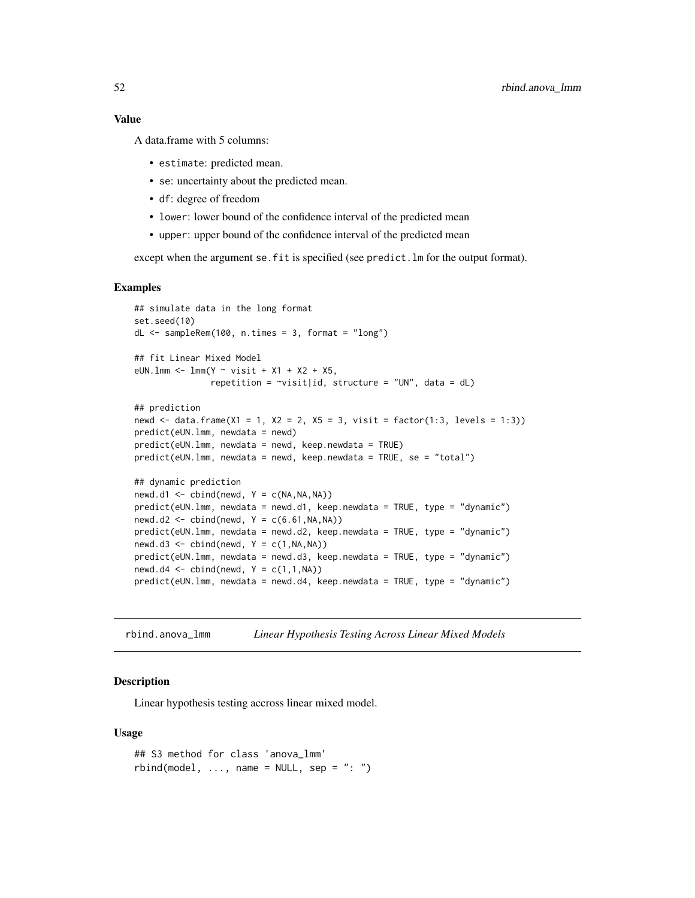# Value

A data.frame with 5 columns:

- estimate: predicted mean.
- se: uncertainty about the predicted mean.
- df: degree of freedom
- lower: lower bound of the confidence interval of the predicted mean
- upper: upper bound of the confidence interval of the predicted mean

except when the argument se.fit is specified (see predict.lm for the output format).

#### Examples

```
## simulate data in the long format
set.seed(10)
dL <- sampleRem(100, n.times = 3, format = "long")
## fit Linear Mixed Model
eUN.lmm <- lmm(Y \sim visit + X1 + X2 + X5,repetition = \simvisit|id, structure = "UN", data = dL)
## prediction
newd <- data.frame(X1 = 1, X2 = 2, X5 = 3, visit = factor(1:3, levels = 1:3))
predict(eUN.lmm, newdata = newd)
predict(eUN.lmm, newdata = newd, keep.newdata = TRUE)
predict(eUN.lmm, newdata = newd, keep.newdata = TRUE, se = "total")
## dynamic prediction
newd.d1 \le cbind(newd, Y = c(NA, NA, NA))
predict(eUN.lmm, newdata = newd.d1, keep.newdata = TRUE, type = "dynamic")
newd.d2 \leq \text{cbind(newd, Y = c(6.61, NA, NA)})predict(eUN.lmm, newdata = newd.d2, keep.newdata = TRUE, type = "dynamic")
newd.d3 <- cbind(newd, Y = c(1, NA, NA))
predict(eUN.lmm, newdata = newd.d3, keep.newdata = TRUE, type = "dynamic")
newd.d4 \le cbind(newd, Y = c(1,1,NA))
predict(eUN.lmm, newdata = newd.d4, keep.newdata = TRUE, type = "dynamic")
```
rbind.anova\_lmm *Linear Hypothesis Testing Across Linear Mixed Models*

#### **Description**

Linear hypothesis testing accross linear mixed model.

```
## S3 method for class 'anova_lmm'
rbind(model, ..., name = NULL, sep = ": ")
```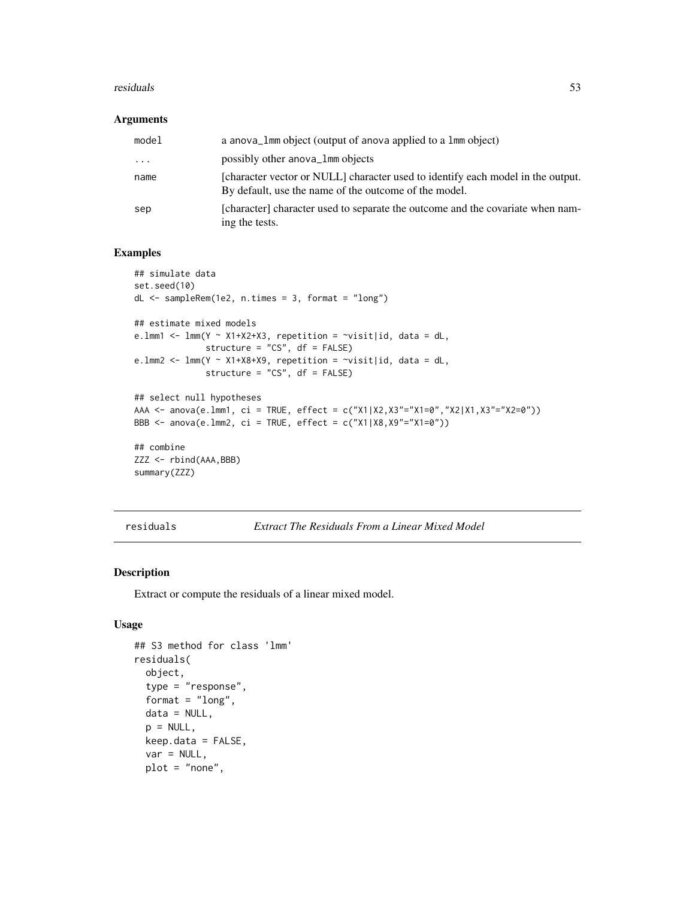#### residuals 53

#### Arguments

| model    | a anova_1mm object (output of anova applied to a 1mm object)                                                                             |
|----------|------------------------------------------------------------------------------------------------------------------------------------------|
| $\ddots$ | possibly other anova_1mm objects                                                                                                         |
| name     | [character vector or NULL] character used to identify each model in the output.<br>By default, use the name of the outcome of the model. |
| sep      | [character] character used to separate the outcome and the covariate when nam-<br>ing the tests.                                         |

# Examples

```
## simulate data
set.seed(10)
dL <- sampleRem(1e2, n.times = 3, format = "long")
## estimate mixed models
e. lmm1 < - lmm(Y \sim X1+X2+X3, repetition = \sim visit|id, data = dL,structure = "CS", df = FALSE)
e.lmm2 <- lmm(Y ~ X1+X8+X9, repetition = ~visit|id, data = dL,
              structure = "CS", df = FALSE)
## select null hypotheses
AAA <- anova(e.lmm1, ci = TRUE, effect = c("X1|X2,X3"="X1=0","X2|X1,X3"="X2=0"))
BBB <- anova(e.lmm2, ci = TRUE, effect = c("X1|X8,X9"="X1=0"))
## combine
ZZZ <- rbind(AAA,BBB)
summary(ZZZ)
```
residuals *Extract The Residuals From a Linear Mixed Model*

# <span id="page-52-0"></span>Description

Extract or compute the residuals of a linear mixed model.

```
## S3 method for class 'lmm'
residuals(
 object,
  type = "response",
  format = "long",data = NULL,
 p = NULL,
 keep.data = FALSE,
  var = NULL,
 plot = "none",
```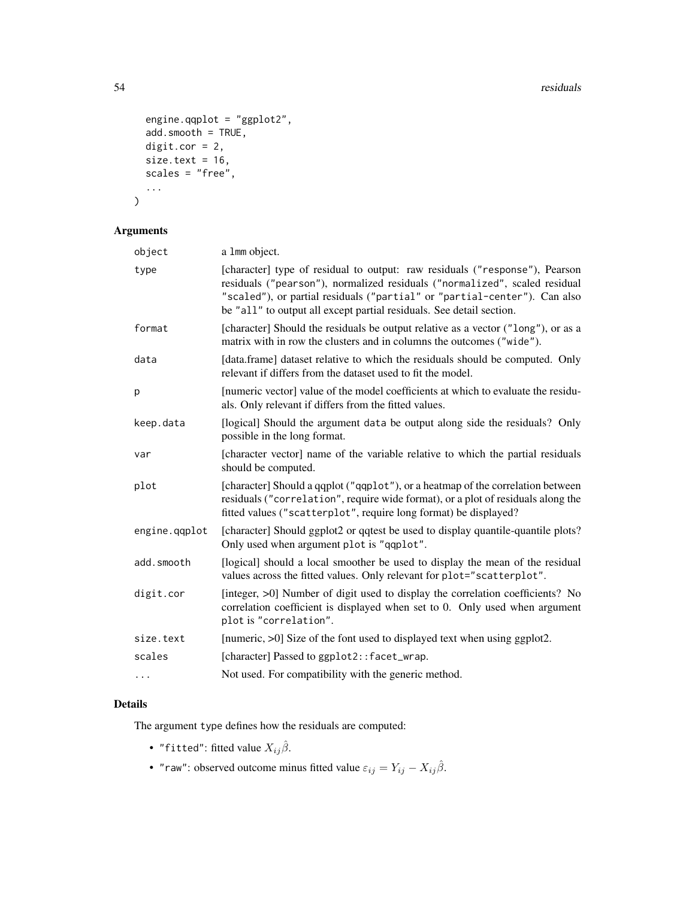```
engine.qqplot = "ggplot2",
 add.smooth = TRUE,
 digit.cor = 2,
 size.text = 16,
 scales = "free",...
)
```
# Arguments

| a 1mm object.                                                                                                                                                                                                                                                                                                  |
|----------------------------------------------------------------------------------------------------------------------------------------------------------------------------------------------------------------------------------------------------------------------------------------------------------------|
| [character] type of residual to output: raw residuals ("response"), Pearson<br>residuals ("pearson"), normalized residuals ("normalized", scaled residual<br>"scaled"), or partial residuals ("partial" or "partial-center"). Can also<br>be "all" to output all except partial residuals. See detail section. |
| [character] Should the residuals be output relative as a vector ("long"), or as a<br>matrix with in row the clusters and in columns the outcomes ("wide").                                                                                                                                                     |
| [data.frame] dataset relative to which the residuals should be computed. Only<br>relevant if differs from the dataset used to fit the model.                                                                                                                                                                   |
| [numeric vector] value of the model coefficients at which to evaluate the residu-<br>als. Only relevant if differs from the fitted values.                                                                                                                                                                     |
| [logical] Should the argument data be output along side the residuals? Only<br>possible in the long format.                                                                                                                                                                                                    |
| [character vector] name of the variable relative to which the partial residuals<br>should be computed.                                                                                                                                                                                                         |
| [character] Should a qqplot ("qqplot"), or a heatmap of the correlation between<br>residuals ("correlation", require wide format), or a plot of residuals along the<br>fitted values ("scatterplot", require long format) be displayed?                                                                        |
| [character] Should ggplot2 or qqtest be used to display quantile-quantile plots?<br>Only used when argument plot is "qqplot".                                                                                                                                                                                  |
| [logical] should a local smoother be used to display the mean of the residual<br>values across the fitted values. Only relevant for plot="scatterplot".                                                                                                                                                        |
| [integer, >0] Number of digit used to display the correlation coefficients? No<br>correlation coefficient is displayed when set to 0. Only used when argument<br>plot is "correlation".                                                                                                                        |
| [numeric, >0] Size of the font used to displayed text when using ggplot2.                                                                                                                                                                                                                                      |
| [character] Passed to ggplot2::facet_wrap.                                                                                                                                                                                                                                                                     |
| Not used. For compatibility with the generic method.                                                                                                                                                                                                                                                           |
|                                                                                                                                                                                                                                                                                                                |

# Details

The argument type defines how the residuals are computed:

- "fitted": fitted value  $X_{ij}\hat{\beta}$ .
- "raw": observed outcome minus fitted value  $\varepsilon_{ij} = Y_{ij} X_{ij} \hat{\beta}$ .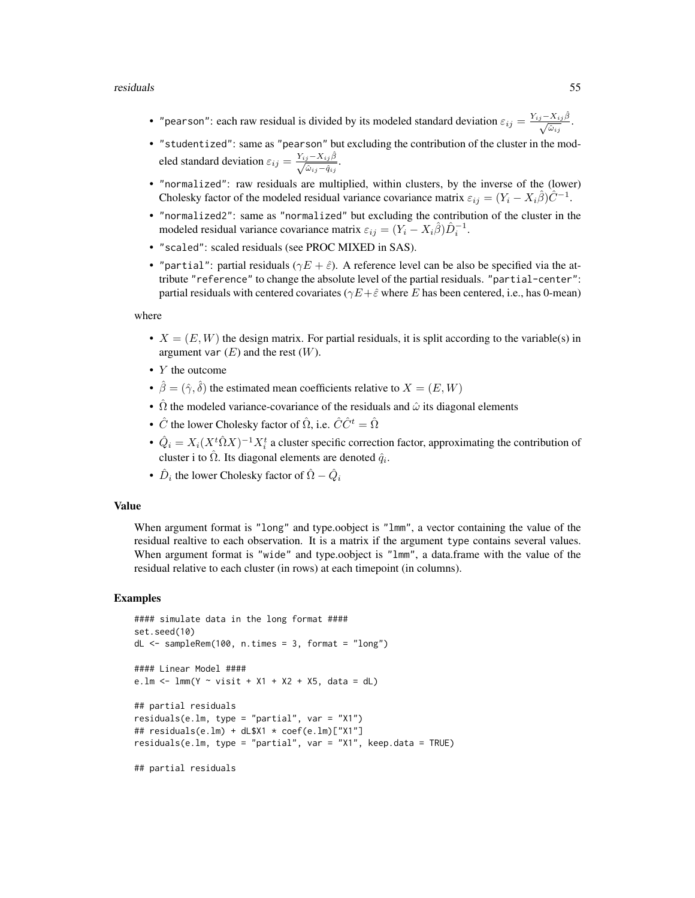#### residuals 55

- "pearson": each raw residual is divided by its modeled standard deviation  $\varepsilon_{ij} = \frac{Y_{ij} X_{ij}\hat{\beta}}{\sqrt{\hat{\omega}_{ij}}}$ .
- "studentized": same as "pearson" but excluding the contribution of the cluster in the modeled standard deviation  $\varepsilon_{ij} = \frac{Y_{ij} - X_{ij}\hat{\beta}}{\sqrt{\hat{\omega}_{ij} - \hat{q}_{ij}}}$ .
- "normalized": raw residuals are multiplied, within clusters, by the inverse of the (lower) Cholesky factor of the modeled residual variance covariance matrix  $\varepsilon_{ij} = (Y_i - X_i \hat{\beta}) \hat{C}^{-1}$ .
- "normalized2": same as "normalized" but excluding the contribution of the cluster in the modeled residual variance covariance matrix  $\varepsilon_{ij} = (Y_i - X_i \hat{\beta}) \hat{D}_i^{-1}$ .
- "scaled": scaled residuals (see PROC MIXED in SAS).
- "partial": partial residuals ( $\gamma E + \hat{\varepsilon}$ ). A reference level can be also be specified via the attribute "reference" to change the absolute level of the partial residuals. "partial-center": partial residuals with centered covariates ( $\gamma E + \hat{\varepsilon}$  where E has been centered, i.e., has 0-mean)

where

- $X = (E, W)$  the design matrix. For partial residuals, it is split according to the variable(s) in argument var  $(E)$  and the rest  $(W)$ .
- *Y* the outcome
- $\hat{\beta} = (\hat{\gamma}, \hat{\delta})$  the estimated mean coefficients relative to  $X = (E, W)$
- $\hat{\Omega}$  the modeled variance-covariance of the residuals and  $\hat{\omega}$  its diagonal elements
- $\hat{C}$  the lower Cholesky factor of  $\hat{\Omega}$ , i.e.  $\hat{C}\hat{C}^t = \hat{\Omega}$
- $\hat{Q}_i = X_i (X^t \hat{\Omega} X)^{-1} X_i^t$  a cluster specific correction factor, approximating the contribution of cluster i to  $\hat{\Omega}$ . Its diagonal elements are denoted  $\hat{q}_i$ .
- $\hat{D}_i$  the lower Cholesky factor of  $\hat{\Omega} \hat{Q}_i$

#### Value

When argument format is "long" and type.oobject is "lmm", a vector containing the value of the residual realtive to each observation. It is a matrix if the argument type contains several values. When argument format is "wide" and type.oobject is "lmm", a data.frame with the value of the residual relative to each cluster (in rows) at each timepoint (in columns).

#### Examples

```
#### simulate data in the long format ####
set.seed(10)
dL \leq - sampleRem(100, n.times = 3, format = "long")
#### Linear Model ####
e.lm <- lm(N \sim visit + X1 + X2 + X5, data = dL)
## partial residuals
residuals(e.lm, type = "partial", var = "X1")
## residuals(e.lm) + dL$X1 * coef(e.lm)["X1"]
residuals(e.lm, type = "partial", var = "X1", keep.data = TRUE)
```
## partial residuals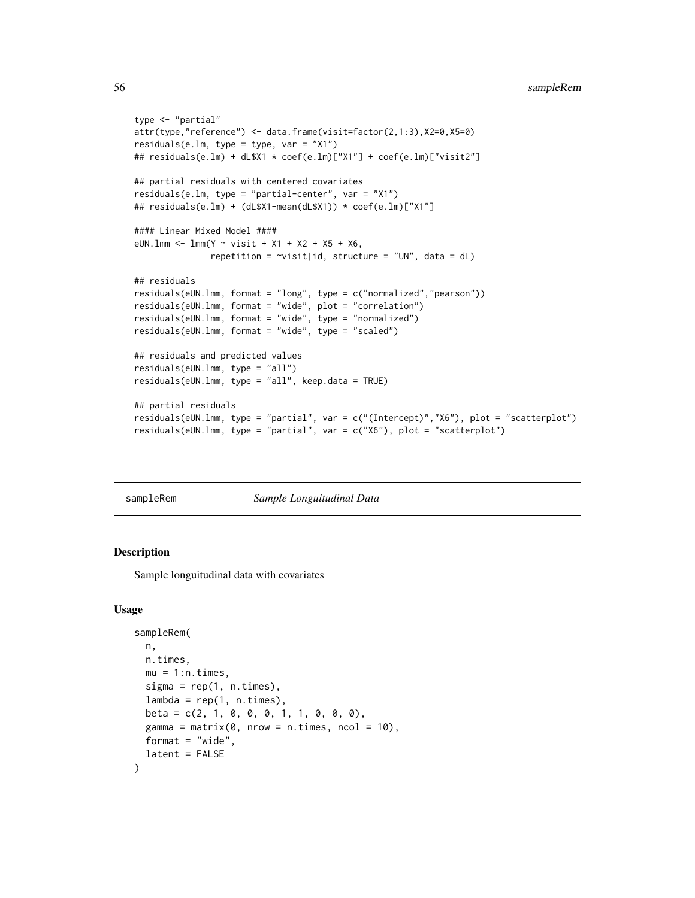```
type <- "partial"
attr(type,"reference") <- data.frame(visit=factor(2,1:3),X2=0,X5=0)
residuals(e.lm, type = type, var = "X1")
## residuals(e.lm) + dL$X1 * coef(e.lm)["X1"] + coef(e.lm)["visit2"]
## partial residuals with centered covariates
residuals(e.lm, type = "partial-center", var = "X1")
## residuals(e.lm) + (dL$X1-mean(dL$X1)) * coef(e.lm)["X1"]
#### Linear Mixed Model ####
eUN.lmm <- lmm(Y \sim visit + X1 + X2 + X5 + X6,repetition = \simvisit|id, structure = "UN", data = dL)
## residuals
residuals(eUN.lmm, format = "long", type = c("normalized","pearson"))
residuals(eUN.lmm, format = "wide", plot = "correlation")
residuals(eUN.lmm, format = "wide", type = "normalized")
residuals(eUN.lmm, format = "wide", type = "scaled")
## residuals and predicted values
residuals(eUN.lmm, type = "all")
residuals(eUN.lmm, type = "all", keep.data = TRUE)
## partial residuals
residuals(eUN.lmm, type = "partial", var = c("(Intercept)","X6"), plot = "scatterplot")
residuals(eUN.lmm, type = "partial", var = c("X6"), plot = "scatterplot")
```
sampleRem *Sample Longuitudinal Data*

#### Description

Sample longuitudinal data with covariates

```
sampleRem(
 n,
 n.times,
 mu = 1:n.times,sigma = rep(1, n.times),lambda = rep(1, n.times),
 beta = c(2, 1, 0, 0, 0, 1, 1, 0, 0, 0),
 gamma = matrix(0, nrow = n.time, ncol = 10),
 format = "wide",
  latent = FALSE
)
```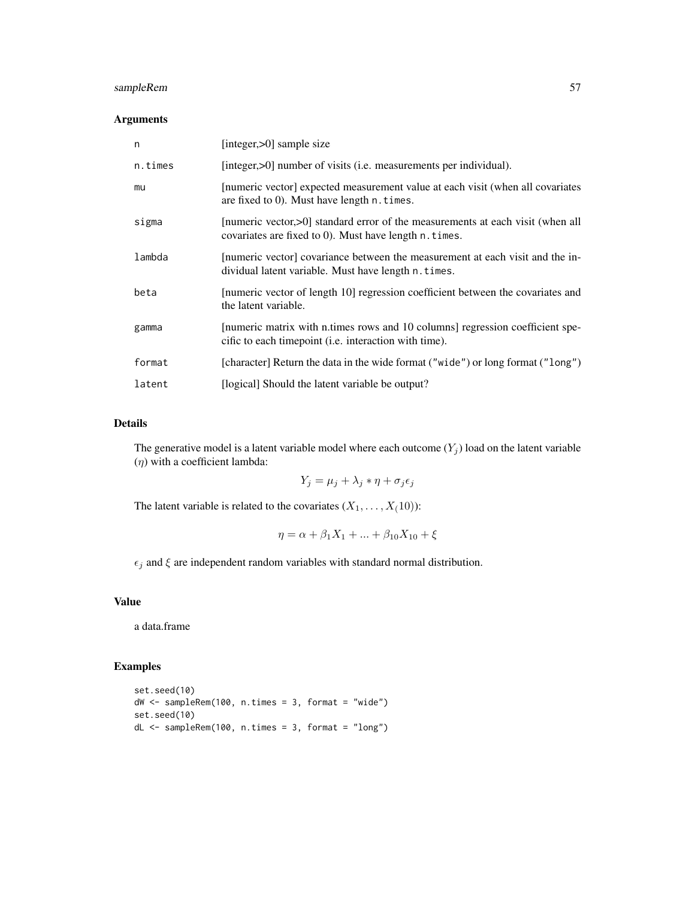# sampleRem 57

# Arguments

| n       | [integer, $>0$ ] sample size                                                                                                             |
|---------|------------------------------------------------------------------------------------------------------------------------------------------|
| n.times | [integer, >0] number of visits (i.e. measurements per individual).                                                                       |
| mu      | [numeric vector] expected measurement value at each visit (when all covariates<br>are fixed to $0$ ). Must have length $n$ . times.      |
| sigma   | [numeric vector,>0] standard error of the measurements at each visit (when all<br>covariates are fixed to 0). Must have length n. times. |
| lambda  | [numeric vector] covariance between the measurement at each visit and the in-<br>dividual latent variable. Must have length n. times.    |
| beta    | [numeric vector of length 10] regression coefficient between the covariates and<br>the latent variable.                                  |
| gamma   | [numeric matrix with n.times rows and 10 columns] regression coefficient spe-<br>cific to each timepoint (i.e. interaction with time).   |
| format  | [character] Return the data in the wide format ("wide") or long format ("long")                                                          |
| latent  | [logical] Should the latent variable be output?                                                                                          |

# Details

The generative model is a latent variable model where each outcome  $(Y_j)$  load on the latent variable  $(\eta)$  with a coefficient lambda:

$$
Y_j = \mu_j + \lambda_j * \eta + \sigma_j \epsilon_j
$$

The latent variable is related to the covariates  $(X_1, \ldots, X_(10))$ :

$$
\eta = \alpha + \beta_1 X_1 + \dots + \beta_{10} X_{10} + \xi
$$

 $\epsilon_j$  and  $\xi$  are independent random variables with standard normal distribution.

# Value

a data.frame

# Examples

```
set.seed(10)
dW <- sampleRem(100, n.times = 3, format = "wide")
set.seed(10)
dL <- sampleRem(100, n.times = 3, format = "long")
```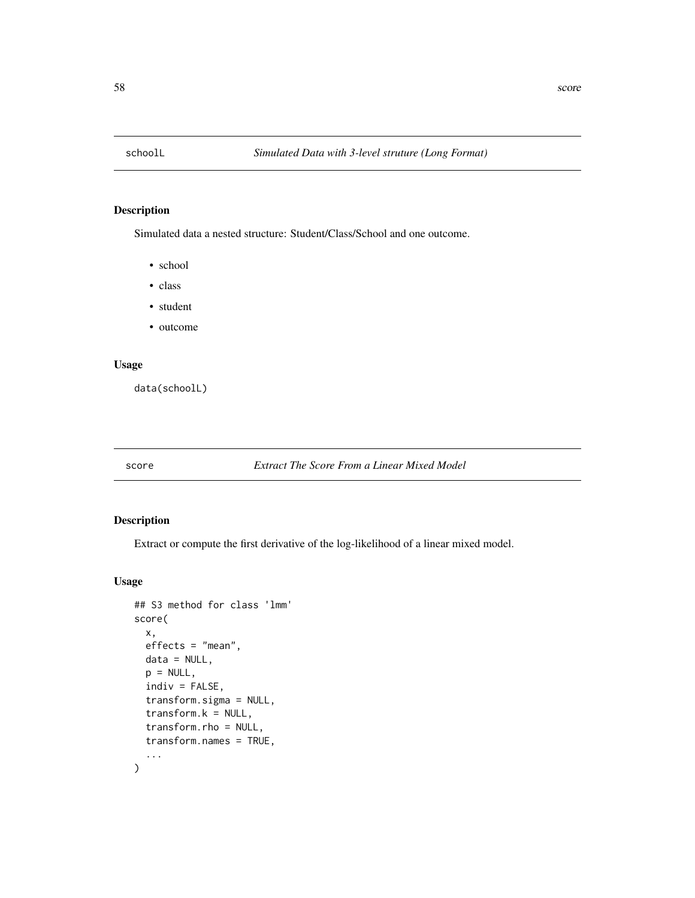<span id="page-57-0"></span>

# Description

Simulated data a nested structure: Student/Class/School and one outcome.

- school
- class
- student
- outcome

#### Usage

data(schoolL)

# score *Extract The Score From a Linear Mixed Model*

### Description

Extract or compute the first derivative of the log-likelihood of a linear mixed model.

```
## S3 method for class 'lmm'
score(
 x,
  effects = "mean",
 data = NULL,
 p = NULL,indiv = FALSE,
  transform.sigma = NULL,
  transform.k = NULL,
  transform.rho = NULL,
  transform.names = TRUE,
  ...
)
```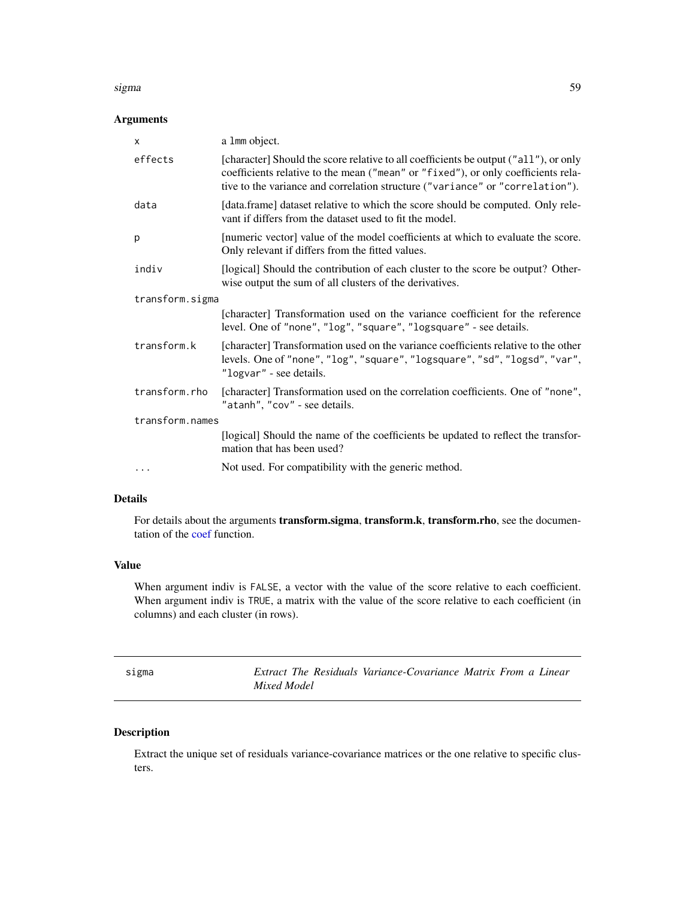#### <span id="page-58-0"></span>sigma 59 and 59 and 59 and 59 and 59 and 59 and 59 and 59 and 59 and 59 and 59 and 59 and 59 and 59 and 59 and 59 and 59 and 59 and 59 and 59 and 59 and 59 and 59 and 59 and 59 and 59 and 59 and 59 and 59 and 59 and 59 and

# Arguments

| X               | a 1mm object.                                                                                                                                                                                                                                              |  |
|-----------------|------------------------------------------------------------------------------------------------------------------------------------------------------------------------------------------------------------------------------------------------------------|--|
| effects         | [character] Should the score relative to all coefficients be output ("all"), or only<br>coefficients relative to the mean ("mean" or "fixed"), or only coefficients rela-<br>tive to the variance and correlation structure ("variance" or "correlation"). |  |
| data            | [data.frame] dataset relative to which the score should be computed. Only rele-<br>vant if differs from the dataset used to fit the model.                                                                                                                 |  |
| p               | [numeric vector] value of the model coefficients at which to evaluate the score.<br>Only relevant if differs from the fitted values.                                                                                                                       |  |
| indiv           | [logical] Should the contribution of each cluster to the score be output? Other-<br>wise output the sum of all clusters of the derivatives.                                                                                                                |  |
| transform.sigma |                                                                                                                                                                                                                                                            |  |
|                 | [character] Transformation used on the variance coefficient for the reference<br>level. One of "none", "log", "square", "logsquare" - see details.                                                                                                         |  |
| transform.k     | [character] Transformation used on the variance coefficients relative to the other<br>levels. One of "none", "log", "square", "logsquare", "sd", "logsd", "var",<br>"logvar" - see details.                                                                |  |
| transform.rho   | [character] Transformation used on the correlation coefficients. One of "none",<br>"atanh", "cov" - see details.                                                                                                                                           |  |
| transform.names |                                                                                                                                                                                                                                                            |  |
|                 | [logical] Should the name of the coefficients be updated to reflect the transfor-<br>mation that has been used?                                                                                                                                            |  |
| $\cdots$        | Not used. For compatibility with the generic method.                                                                                                                                                                                                       |  |

# Details

For details about the arguments transform.sigma, transform.k, transform.rho, see the documentation of the [coef](#page-15-0) function.

#### Value

When argument indiv is FALSE, a vector with the value of the score relative to each coefficient. When argument indiv is TRUE, a matrix with the value of the score relative to each coefficient (in columns) and each cluster (in rows).

sigma *Extract The Residuals Variance-Covariance Matrix From a Linear Mixed Model*

# Description

Extract the unique set of residuals variance-covariance matrices or the one relative to specific clusters.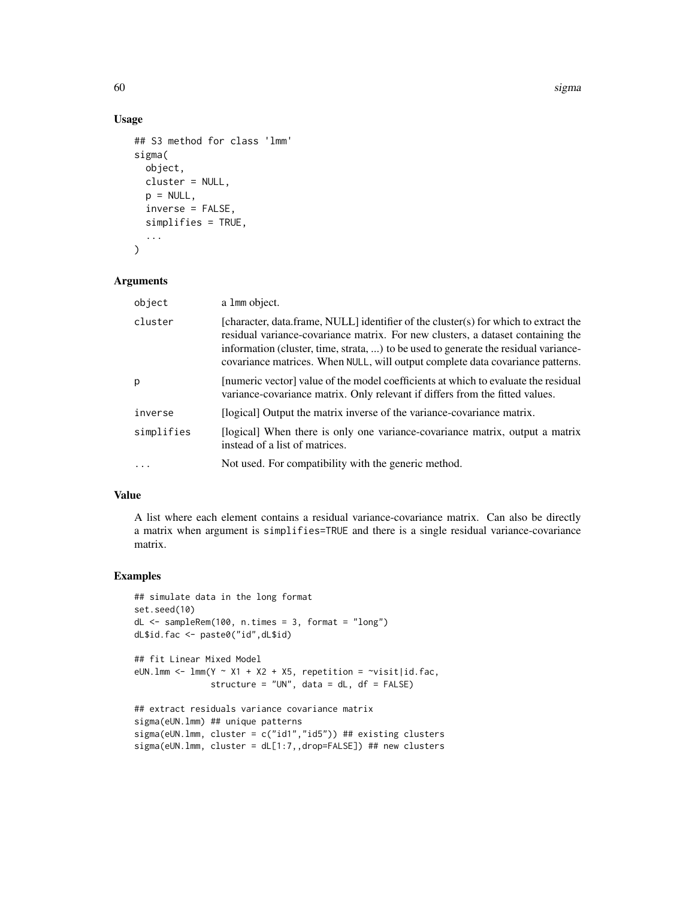60 sigma

# Usage

```
## S3 method for class 'lmm'
sigma(
  object,
  cluster = NULL,
 p = NULL,inverse = FALSE,
  simplifies = TRUE,
  ...
)
```
# Arguments

| object     | a 1mm object.                                                                                                                                                                                                                                                                                                                                   |
|------------|-------------------------------------------------------------------------------------------------------------------------------------------------------------------------------------------------------------------------------------------------------------------------------------------------------------------------------------------------|
| cluster    | [character, data.frame, NULL] identifier of the cluster(s) for which to extract the<br>residual variance-covariance matrix. For new clusters, a dataset containing the<br>information (cluster, time, strata, ) to be used to generate the residual variance-<br>covariance matrices. When NULL, will output complete data covariance patterns. |
| р          | [numeric vector] value of the model coefficients at which to evaluate the residual<br>variance-covariance matrix. Only relevant if differs from the fitted values.                                                                                                                                                                              |
| inverse    | [logical] Output the matrix inverse of the variance-covariance matrix.                                                                                                                                                                                                                                                                          |
| simplifies | [logical] When there is only one variance-covariance matrix, output a matrix<br>instead of a list of matrices.                                                                                                                                                                                                                                  |
|            | Not used. For compatibility with the generic method.                                                                                                                                                                                                                                                                                            |

# Value

A list where each element contains a residual variance-covariance matrix. Can also be directly a matrix when argument is simplifies=TRUE and there is a single residual variance-covariance matrix.

# Examples

```
## simulate data in the long format
set.seed(10)
dL <- sampleRem(100, n.times = 3, format = "long")
dL$id.fac <- paste0("id",dL$id)
## fit Linear Mixed Model
eUN.lmm <- lmm(Y \sim X1 + X2 + X5, repetition = \simvisit|id.fac,
              structure = "UN", data = dL, df = FALSE)
## extract residuals variance covariance matrix
sigma(eUN.lmm) ## unique patterns
sigma(eUN.lmm, cluster = c("id1","id5")) ## existing clusters
sigma(eUN.lmm, cluster = dL[1:7,,drop=FALSE]) ## new clusters
```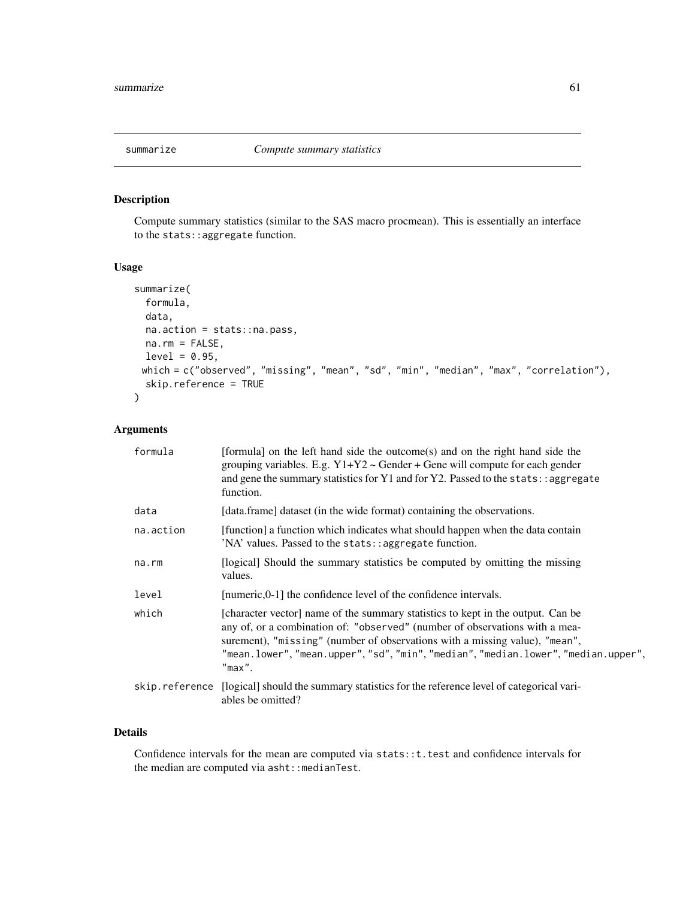# Description

Compute summary statistics (similar to the SAS macro procmean). This is essentially an interface to the stats::aggregate function.

#### Usage

```
summarize(
 formula,
 data,
 na.action = stats::na.pass,
 na.rm = FALSE,
 level = 0.95,which = c("observed", "missing", "mean", "sd", "min", "median", "max", "correlation"),
  skip.reference = TRUE
)
```
# Arguments

| formula   | [formula] on the left hand side the outcome(s) and on the right hand side the<br>grouping variables. E.g. $Y1+Y2$ ~ Gender + Gene will compute for each gender<br>and gene the summary statistics for Y1 and for Y2. Passed to the stats: : aggregate<br>function.                                                                               |
|-----------|--------------------------------------------------------------------------------------------------------------------------------------------------------------------------------------------------------------------------------------------------------------------------------------------------------------------------------------------------|
| data      | [data.frame] dataset (in the wide format) containing the observations.                                                                                                                                                                                                                                                                           |
| na.action | [function] a function which indicates what should happen when the data contain<br>'NA' values. Passed to the stats::aggregate function.                                                                                                                                                                                                          |
| na.rm     | [logical] Should the summary statistics be computed by omitting the missing<br>values.                                                                                                                                                                                                                                                           |
| level     | [numeric,0-1] the confidence level of the confidence intervals.                                                                                                                                                                                                                                                                                  |
| which     | [character vector] name of the summary statistics to kept in the output. Can be<br>any of, or a combination of: "observed" (number of observations with a mea-<br>surement), "missing" (number of observations with a missing value), "mean",<br>"mean.lower", "mean.upper", "sd", "min", "median", "median.lower", "median.upper",<br>$"max"$ . |
|           | skip.reference [logical] should the summary statistics for the reference level of categorical vari-<br>ables be omitted?                                                                                                                                                                                                                         |

# Details

Confidence intervals for the mean are computed via stats:: t. test and confidence intervals for the median are computed via asht:: medianTest.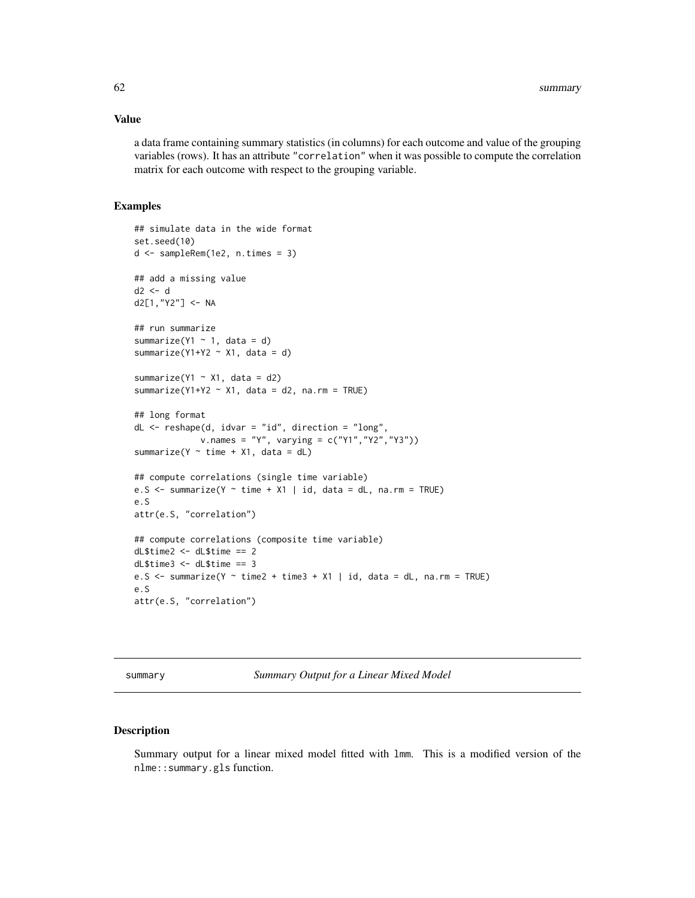#### Value

a data frame containing summary statistics (in columns) for each outcome and value of the grouping variables (rows). It has an attribute "correlation" when it was possible to compute the correlation matrix for each outcome with respect to the grouping variable.

#### Examples

```
## simulate data in the wide format
set.seed(10)
d <- sampleRem(1e2, n.times = 3)
## add a missing value
d2 < -dd2[1,"Y2"] <- NA
## run summarize
summarize(Y1 \sim 1, data = d)
summarize(Y1+Y2 \sim X1, data = d)
summarize(Y1 \sim X1, data = d2)
summarize(Y1+Y2 \sim X1, data = d2, na.rm = TRUE)
## long format
dL \leq - reshape(d, idvar = "id", direction = "long",
             v.names = "Y", varying = c("Y1","Y2","Y3"))
summarize(Y \sim time + X1, data = dL)
## compute correlations (single time variable)
e.S \le summarize(Y \sim time + X1 | id, data = dL, na.rm = TRUE)
e.S
attr(e.S, "correlation")
## compute correlations (composite time variable)
dL$time2 <- dL$time == 2
dL$time3 <- dL$time == 3
e.S \le summarize(Y \sim time2 + time3 + X1 | id, data = dL, na.rm = TRUE)
e.S
attr(e.S, "correlation")
```
summary *Summary Output for a Linear Mixed Model*

# <span id="page-61-0"></span>Description

Summary output for a linear mixed model fitted with lmm. This is a modified version of the nlme::summary.gls function.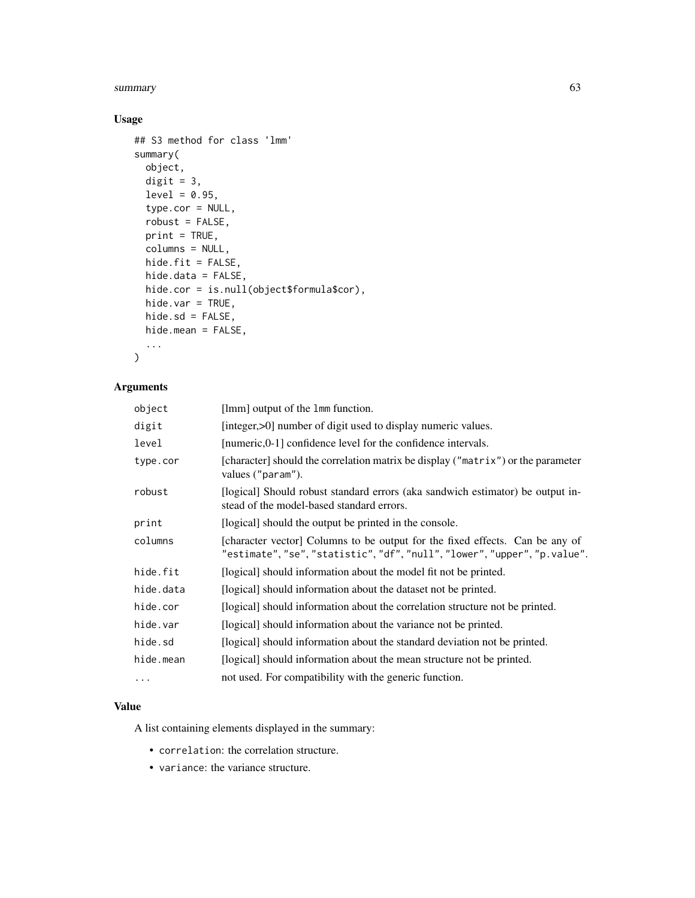#### summary 63

# Usage

```
## S3 method for class 'lmm'
summary(
 object,
 digit = 3,
  level = 0.95,type.cor = NULL,
  robust = FALSE,
 print = TRUE,
 columns = NULL,
 hide.fit = FALSE,
 hide.data = FALSE,
 hide.cor = is.null(object$formula$cor),
 hide.var = TRUE,
 hide.sd = FALSE,hide.mean = FALSE,
  ...
\mathcal{L}
```
# Arguments

| [lmm] output of the 1mm function.                                                                                                                         |
|-----------------------------------------------------------------------------------------------------------------------------------------------------------|
| [integer,>0] number of digit used to display numeric values.                                                                                              |
| [numeric,0-1] confidence level for the confidence intervals.                                                                                              |
| [character] should the correlation matrix be display ("matrix") or the parameter<br>values ("param").                                                     |
| [logical] Should robust standard errors (aka sandwich estimator) be output in-<br>stead of the model-based standard errors.                               |
| [logical] should the output be printed in the console.                                                                                                    |
| [character vector] Columns to be output for the fixed effects. Can be any of<br>"estimate", "se", "statistic", "df", "null", "lower", "upper", "p.value". |
| [logical] should information about the model fit not be printed.                                                                                          |
| [logical] should information about the dataset not be printed.                                                                                            |
| [logical] should information about the correlation structure not be printed.                                                                              |
| [logical] should information about the variance not be printed.                                                                                           |
| [logical] should information about the standard deviation not be printed.                                                                                 |
| [logical] should information about the mean structure not be printed.                                                                                     |
| not used. For compatibility with the generic function.                                                                                                    |
|                                                                                                                                                           |

#### Value

A list containing elements displayed in the summary:

- correlation: the correlation structure.
- variance: the variance structure.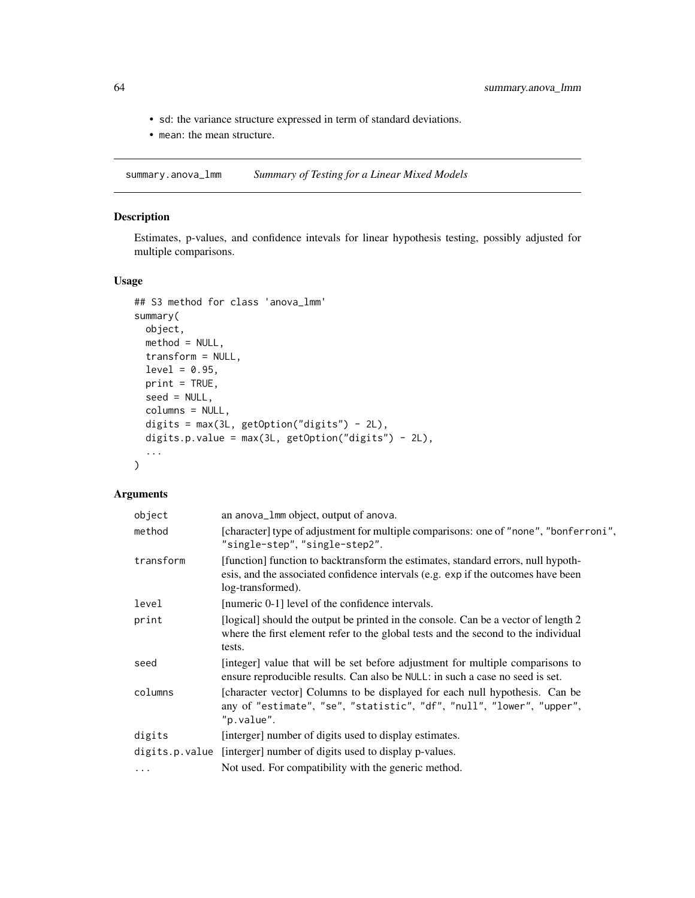- sd: the variance structure expressed in term of standard deviations.
- mean: the mean structure.

summary.anova\_lmm *Summary of Testing for a Linear Mixed Models*

# Description

Estimates, p-values, and confidence intevals for linear hypothesis testing, possibly adjusted for multiple comparisons.

# Usage

```
## S3 method for class 'anova_lmm'
summary(
 object,
 method = NULL,
 transform = NULL,
  level = 0.95,print = TRUE,
  seed = NULL,
  columns = NULL,
  digits = max(3L, getOption("digits") - 2L),
 digits.p.value = max(3L, getOption("digits") - 2L),
  ...
)
```
# Arguments

| object    | an anova_1mm object, output of anova.                                                                                                                                                       |
|-----------|---------------------------------------------------------------------------------------------------------------------------------------------------------------------------------------------|
| method    | [character] type of adjustment for multiple comparisons: one of "none", "bonferroni",<br>"single-step", "single-step2".                                                                     |
| transform | [function] function to backtransform the estimates, standard errors, null hypoth-<br>esis, and the associated confidence intervals (e.g. exp if the outcomes have been<br>log-transformed). |
| level     | [numeric 0-1] level of the confidence intervals.                                                                                                                                            |
| print     | [logical] should the output be printed in the console. Can be a vector of length 2<br>where the first element refer to the global tests and the second to the individual<br>tests.          |
| seed      | [integer] value that will be set before adjustment for multiple comparisons to<br>ensure reproducible results. Can also be NULL: in such a case no seed is set.                             |
| columns   | [character vector] Columns to be displayed for each null hypothesis. Can be<br>any of "estimate", "se", "statistic", "df", "null", "lower", "upper",<br>"p.value".                          |
| digits    | [interger] number of digits used to display estimates.                                                                                                                                      |
|           | digits.p.value [interger] number of digits used to display p-values.                                                                                                                        |
| $\ddots$  | Not used. For compatibility with the generic method.                                                                                                                                        |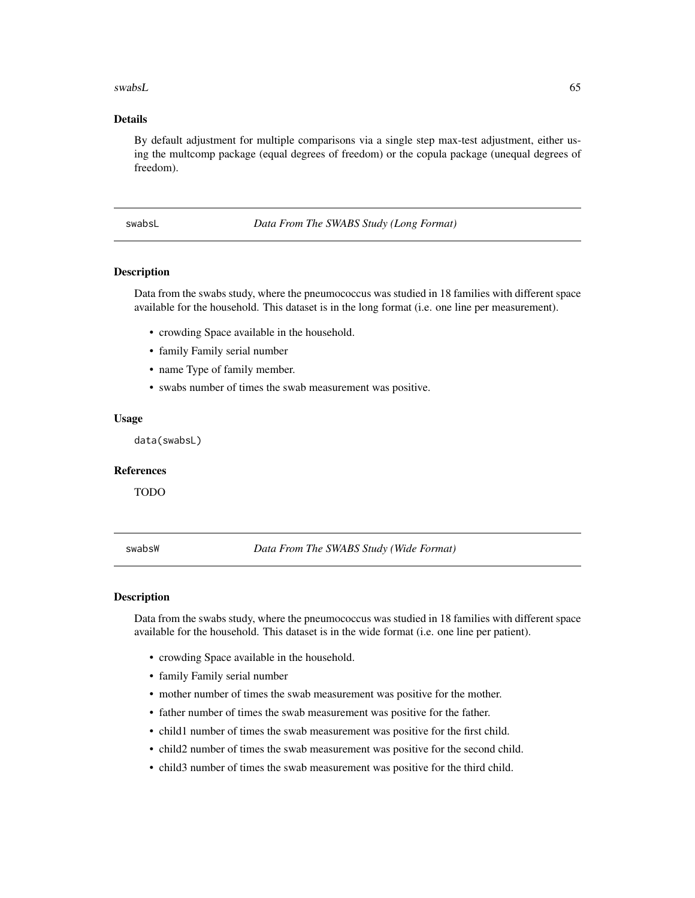<span id="page-64-0"></span>swabsL 65

# Details

By default adjustment for multiple comparisons via a single step max-test adjustment, either using the multcomp package (equal degrees of freedom) or the copula package (unequal degrees of freedom).

swabsL *Data From The SWABS Study (Long Format)*

#### Description

Data from the swabs study, where the pneumococcus was studied in 18 families with different space available for the household. This dataset is in the long format (i.e. one line per measurement).

- crowding Space available in the household.
- family Family serial number
- name Type of family member.
- swabs number of times the swab measurement was positive.

#### Usage

data(swabsL)

#### References

TODO

swabsW *Data From The SWABS Study (Wide Format)*

#### Description

Data from the swabs study, where the pneumococcus was studied in 18 families with different space available for the household. This dataset is in the wide format (i.e. one line per patient).

- crowding Space available in the household.
- family Family serial number
- mother number of times the swab measurement was positive for the mother.
- father number of times the swab measurement was positive for the father.
- child1 number of times the swab measurement was positive for the first child.
- child2 number of times the swab measurement was positive for the second child.
- child3 number of times the swab measurement was positive for the third child.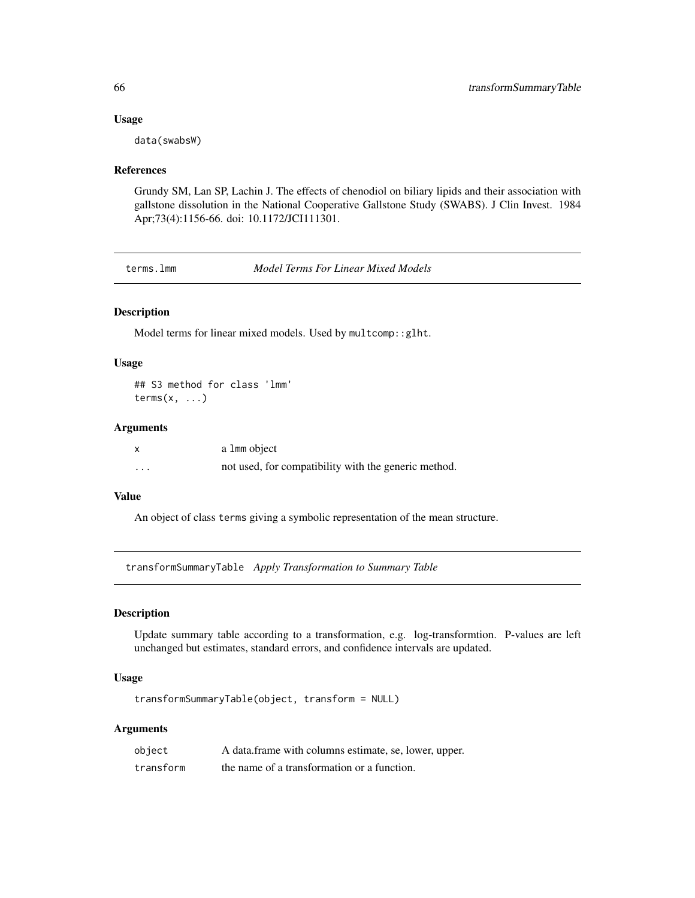#### Usage

data(swabsW)

# References

Grundy SM, Lan SP, Lachin J. The effects of chenodiol on biliary lipids and their association with gallstone dissolution in the National Cooperative Gallstone Study (SWABS). J Clin Invest. 1984 Apr;73(4):1156-66. doi: 10.1172/JCI111301.

terms.lmm *Model Terms For Linear Mixed Models*

# Description

Model terms for linear mixed models. Used by multcomp::glht.

# Usage

## S3 method for class 'lmm' terms $(x, \ldots)$ 

#### Arguments

|   | a 1mm object                                         |
|---|------------------------------------------------------|
| . | not used, for compatibility with the generic method. |

#### Value

An object of class terms giving a symbolic representation of the mean structure.

transformSummaryTable *Apply Transformation to Summary Table*

#### Description

Update summary table according to a transformation, e.g. log-transformtion. P-values are left unchanged but estimates, standard errors, and confidence intervals are updated.

# Usage

transformSummaryTable(object, transform = NULL)

# Arguments

| object    | A data frame with columns estimate, se, lower, upper. |
|-----------|-------------------------------------------------------|
| transform | the name of a transformation or a function.           |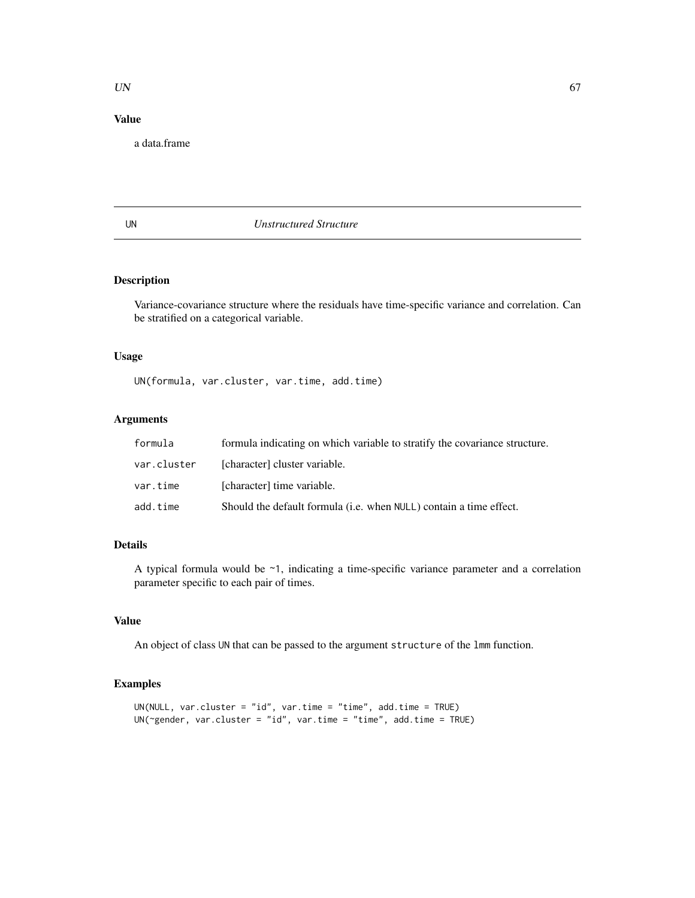#### UN 67

# Value

a data.frame

# UN *Unstructured Structure*

# Description

Variance-covariance structure where the residuals have time-specific variance and correlation. Can be stratified on a categorical variable.

# Usage

UN(formula, var.cluster, var.time, add.time)

# Arguments

| formula     | formula indicating on which variable to stratify the covariance structure. |
|-------------|----------------------------------------------------------------------------|
| var.cluster | [character] cluster variable.                                              |
| var.time    | [character] time variable.                                                 |
| add.time    | Should the default formula ( <i>i.e.</i> when NULL) contain a time effect. |

# Details

A typical formula would be ~1, indicating a time-specific variance parameter and a correlation parameter specific to each pair of times.

# Value

An object of class UN that can be passed to the argument structure of the lmm function.

# Examples

```
UN(NULL, var.cluster = "id", var.time = "time", add.time = TRUE)
UN(~gender, var.cluster = "id", var.time = "time", add.time = TRUE)
```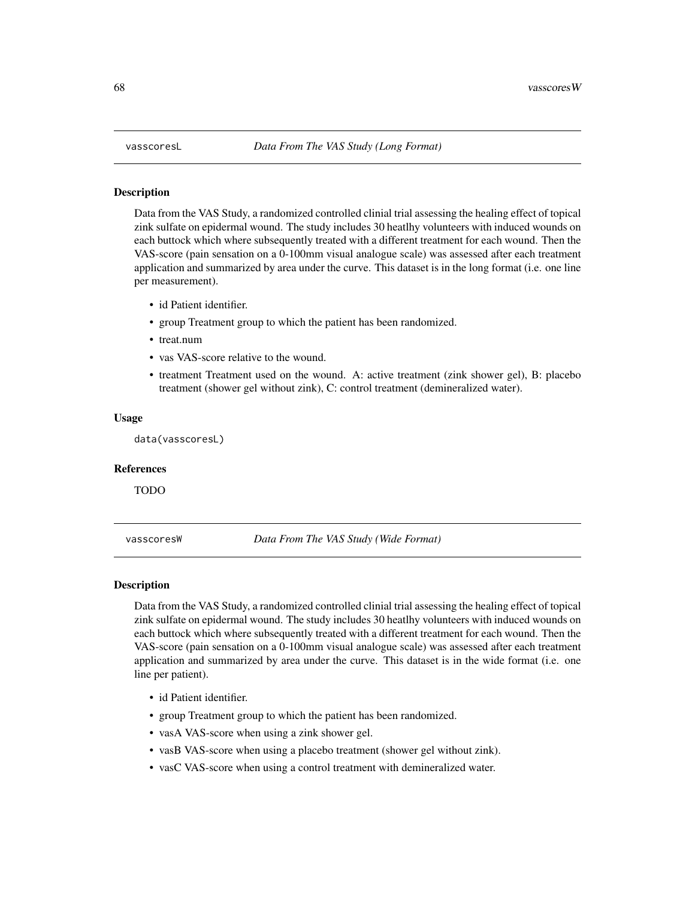#### <span id="page-67-0"></span>Description

Data from the VAS Study, a randomized controlled clinial trial assessing the healing effect of topical zink sulfate on epidermal wound. The study includes 30 heatlhy volunteers with induced wounds on each buttock which where subsequently treated with a different treatment for each wound. Then the VAS-score (pain sensation on a 0-100mm visual analogue scale) was assessed after each treatment application and summarized by area under the curve. This dataset is in the long format (i.e. one line per measurement).

- id Patient identifier.
- group Treatment group to which the patient has been randomized.
- treat.num
- vas VAS-score relative to the wound.
- treatment Treatment used on the wound. A: active treatment (zink shower gel), B: placebo treatment (shower gel without zink), C: control treatment (demineralized water).

#### Usage

data(vasscoresL)

#### References

TODO

vasscoresW *Data From The VAS Study (Wide Format)*

#### Description

Data from the VAS Study, a randomized controlled clinial trial assessing the healing effect of topical zink sulfate on epidermal wound. The study includes 30 heatlhy volunteers with induced wounds on each buttock which where subsequently treated with a different treatment for each wound. Then the VAS-score (pain sensation on a 0-100mm visual analogue scale) was assessed after each treatment application and summarized by area under the curve. This dataset is in the wide format (i.e. one line per patient).

- id Patient identifier.
- group Treatment group to which the patient has been randomized.
- vasA VAS-score when using a zink shower gel.
- vasB VAS-score when using a placebo treatment (shower gel without zink).
- vasC VAS-score when using a control treatment with demineralized water.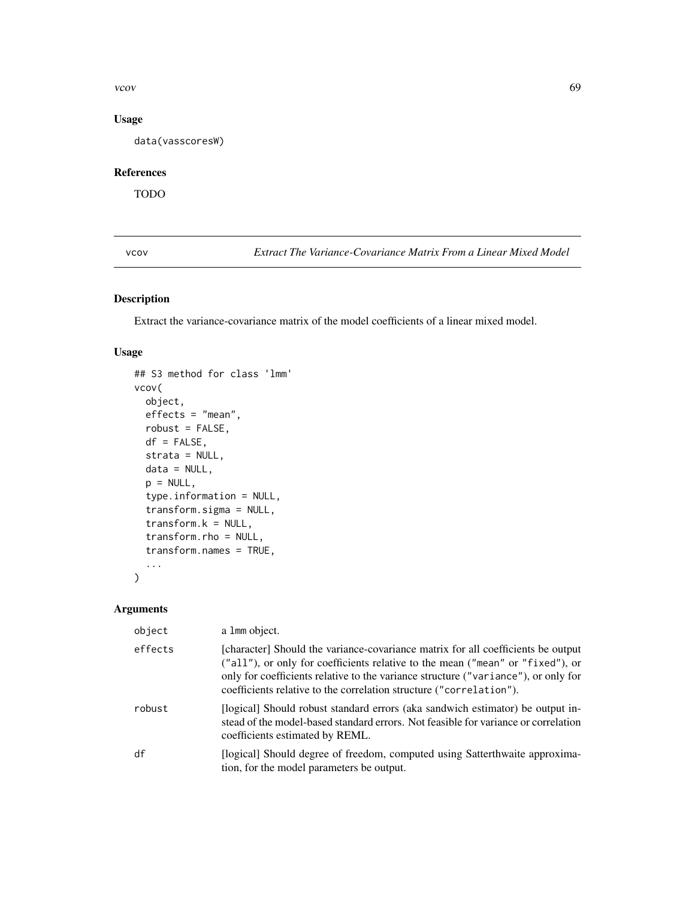vcov  $\sim$  69

# Usage

data(vasscoresW)

# References

TODO

vcov *Extract The Variance-Covariance Matrix From a Linear Mixed Model*

# Description

Extract the variance-covariance matrix of the model coefficients of a linear mixed model.

# Usage

```
## S3 method for class 'lmm'
vcov(
 object,
 effects = "mean",
 robust = FALSE,df = FALSE,strata = NULL,
 data = NULL,p = NULL,type.information = NULL,
  transform.sigma = NULL,
  transform.k = NULL,
  transform.rho = NULL,
  transform.names = TRUE,
  ...
\mathcal{L}
```
# Arguments

| object  | a 1mm object.                                                                                                                                                                                                                                                                                                                   |
|---------|---------------------------------------------------------------------------------------------------------------------------------------------------------------------------------------------------------------------------------------------------------------------------------------------------------------------------------|
| effects | [character] Should the variance-covariance matrix for all coefficients be output<br>("all"), or only for coefficients relative to the mean ("mean" or "fixed"), or<br>only for coefficients relative to the variance structure ("variance"), or only for<br>coefficients relative to the correlation structure ("correlation"). |
| robust  | [logical] Should robust standard errors (aka sandwich estimator) be output in-<br>stead of the model-based standard errors. Not feasible for variance or correlation<br>coefficients estimated by REML.                                                                                                                         |
| df      | [logical] Should degree of freedom, computed using Satterthwaite approxima-<br>tion, for the model parameters be output.                                                                                                                                                                                                        |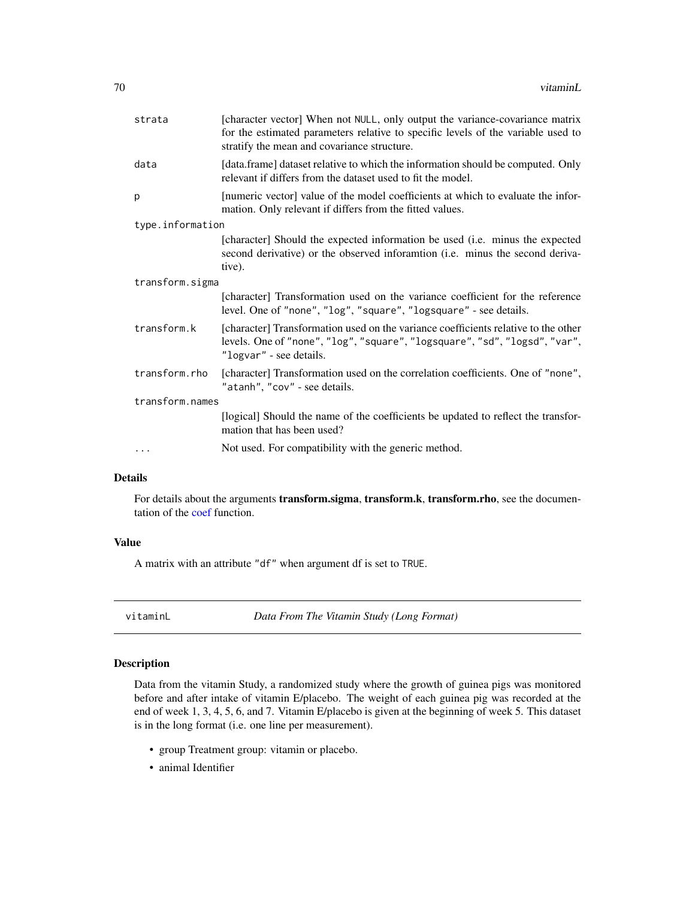<span id="page-69-0"></span>

| strata           | [character vector] When not NULL, only output the variance-covariance matrix<br>for the estimated parameters relative to specific levels of the variable used to<br>stratify the mean and covariance structure. |  |  |
|------------------|-----------------------------------------------------------------------------------------------------------------------------------------------------------------------------------------------------------------|--|--|
| data             | [data.frame] dataset relative to which the information should be computed. Only<br>relevant if differs from the dataset used to fit the model.                                                                  |  |  |
| p                | [numeric vector] value of the model coefficients at which to evaluate the infor-<br>mation. Only relevant if differs from the fitted values.                                                                    |  |  |
| type.information |                                                                                                                                                                                                                 |  |  |
|                  | [character] Should the expected information be used (i.e. minus the expected<br>second derivative) or the observed inforamtion (i.e. minus the second deriva-<br>tive).                                         |  |  |
|                  | transform.sigma                                                                                                                                                                                                 |  |  |
|                  | [character] Transformation used on the variance coefficient for the reference<br>level. One of "none", "log", "square", "logsquare" - see details.                                                              |  |  |
| transform.k      | [character] Transformation used on the variance coefficients relative to the other<br>levels. One of "none", "log", "square", "logsquare", "sd", "logsd", "var",<br>"logvar" - see details.                     |  |  |
| transform.rho    | [character] Transformation used on the correlation coefficients. One of "none",<br>"atanh", "cov" - see details.                                                                                                |  |  |
| transform.names  |                                                                                                                                                                                                                 |  |  |
|                  | [logical] Should the name of the coefficients be updated to reflect the transfor-<br>mation that has been used?                                                                                                 |  |  |
| .                | Not used. For compatibility with the generic method.                                                                                                                                                            |  |  |

# Details

For details about the arguments transform.sigma, transform.k, transform.rho, see the documentation of the [coef](#page-15-0) function.

# Value

A matrix with an attribute "df" when argument df is set to TRUE.

vitaminL *Data From The Vitamin Study (Long Format)*

# Description

Data from the vitamin Study, a randomized study where the growth of guinea pigs was monitored before and after intake of vitamin E/placebo. The weight of each guinea pig was recorded at the end of week 1, 3, 4, 5, 6, and 7. Vitamin E/placebo is given at the beginning of week 5. This dataset is in the long format (i.e. one line per measurement).

- group Treatment group: vitamin or placebo.
- animal Identifier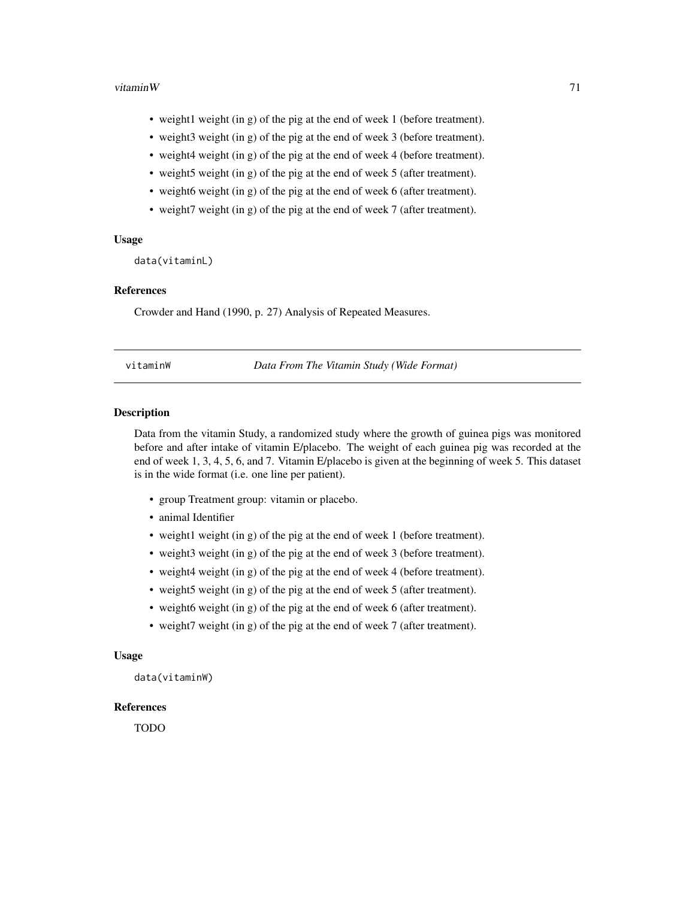#### <span id="page-70-0"></span>vitamin $W$  71

- weight1 weight (in g) of the pig at the end of week 1 (before treatment).
- weight3 weight (in g) of the pig at the end of week 3 (before treatment).
- weight4 weight (in g) of the pig at the end of week 4 (before treatment).
- weight5 weight (in g) of the pig at the end of week 5 (after treatment).
- weight6 weight (in g) of the pig at the end of week 6 (after treatment).
- weight7 weight (in g) of the pig at the end of week 7 (after treatment).

#### Usage

data(vitaminL)

#### References

Crowder and Hand (1990, p. 27) Analysis of Repeated Measures.

vitaminW *Data From The Vitamin Study (Wide Format)*

#### Description

Data from the vitamin Study, a randomized study where the growth of guinea pigs was monitored before and after intake of vitamin E/placebo. The weight of each guinea pig was recorded at the end of week 1, 3, 4, 5, 6, and 7. Vitamin E/placebo is given at the beginning of week 5. This dataset is in the wide format (i.e. one line per patient).

- group Treatment group: vitamin or placebo.
- animal Identifier
- weight1 weight (in g) of the pig at the end of week 1 (before treatment).
- weight3 weight (in g) of the pig at the end of week 3 (before treatment).
- weight4 weight (in g) of the pig at the end of week 4 (before treatment).
- weight5 weight (in g) of the pig at the end of week 5 (after treatment).
- weight6 weight (in g) of the pig at the end of week 6 (after treatment).
- weight7 weight (in g) of the pig at the end of week 7 (after treatment).

#### Usage

data(vitaminW)

# References

TODO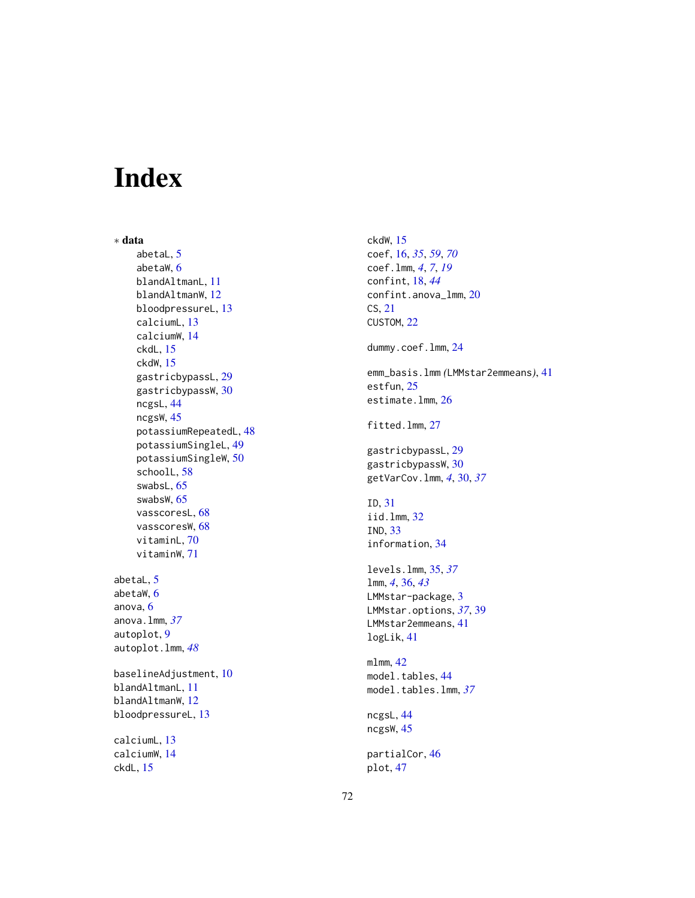# Index

∗ data abetaL, [5](#page-4-0) abetaW, [6](#page-5-1) blandAltmanL, [11](#page-10-0) blandAltmanW, [12](#page-11-0) bloodpressureL, [13](#page-12-0) calciumL, [13](#page-12-0) calciumW, [14](#page-13-0) ckdL, [15](#page-14-0) ckdW, [15](#page-14-0) gastricbypassL, [29](#page-28-0) gastricbypassW, [30](#page-29-1) ncgsL, [44](#page-43-1) ncgsW, [45](#page-44-0) potassiumRepeatedL, [48](#page-47-0) potassiumSingleL, [49](#page-48-0) potassiumSingleW, [50](#page-49-1) schoolL, [58](#page-57-0) swabsL, [65](#page-64-0) swabsW, [65](#page-64-0) vasscoresL, [68](#page-67-0) vasscoresW, [68](#page-67-0) vitaminL, [70](#page-69-0) vitaminW, [71](#page-70-0)

abetaL, [5](#page-4-0) abetaW, [6](#page-5-1) anova, [6](#page-5-1) anova.lmm, *[37](#page-36-0)* autoplot, [9](#page-8-1) autoplot.lmm, *[48](#page-47-0)*

baselineAdjustment, [10](#page-9-0) blandAltmanL, [11](#page-10-0) blandAltmanW, [12](#page-11-0) bloodpressureL, [13](#page-12-0)

calciumL, [13](#page-12-0) calciumW, [14](#page-13-0) ckdL, [15](#page-14-0)

ckdW, [15](#page-14-0) coef, [16,](#page-15-1) *[35](#page-34-1)*, *[59](#page-58-0)*, *[70](#page-69-0)* coef.lmm, *[4](#page-3-0)*, *[7](#page-6-0)*, *[19](#page-18-0)* confint, [18,](#page-17-1) *[44](#page-43-1)* confint.anova\_lmm, [20](#page-19-0) CS, [21](#page-20-0) CUSTOM, [22](#page-21-0) dummy.coef.lmm, [24](#page-23-0) emm\_basis.lmm *(*LMMstar2emmeans*)*, [41](#page-40-0) estfun, [25](#page-24-0) estimate.lmm, [26](#page-25-0) fitted.lmm, [27](#page-26-0) gastricbypassL, [29](#page-28-0) gastricbypassW, [30](#page-29-1) getVarCov.lmm, *[4](#page-3-0)*, [30,](#page-29-1) *[37](#page-36-0)* ID, [31](#page-30-0) iid.lmm, [32](#page-31-0) IND, [33](#page-32-0) information, [34](#page-33-0) levels.lmm, [35,](#page-34-1) *[37](#page-36-0)* lmm, *[4](#page-3-0)*, [36,](#page-35-1) *[43](#page-42-0)* LMMstar-package, [3](#page-2-0) LMMstar.options, *[37](#page-36-0)*, [39](#page-38-1) LMMstar2emmeans, [41](#page-40-0) logLik, [41](#page-40-0) mlmm, [42](#page-41-0) model.tables, [44](#page-43-1) model.tables.lmm, *[37](#page-36-0)* ncgsL, [44](#page-43-1) ncgsW, [45](#page-44-0) partialCor, [46](#page-45-0) plot, [47](#page-46-1)